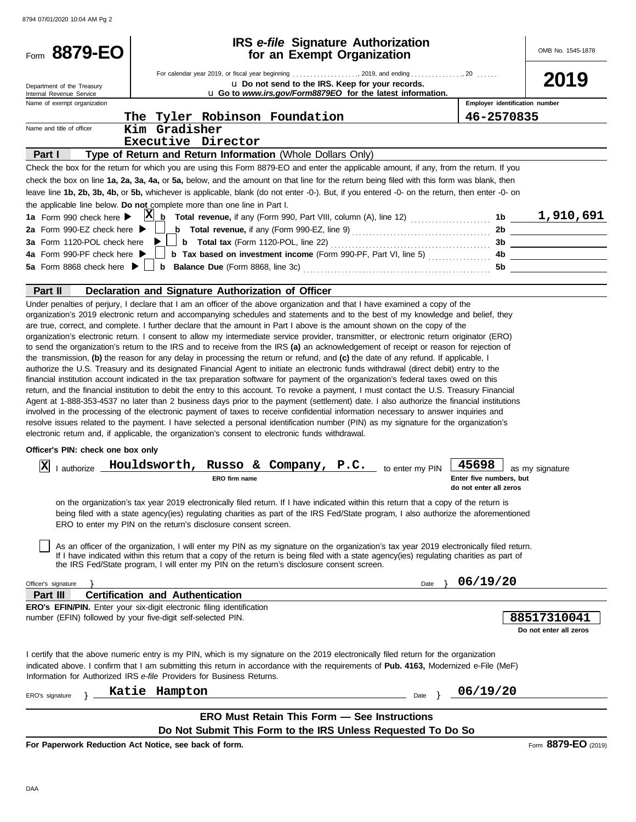| Form 8879-EO                                            | IRS e-file Signature Authorization<br>for an Exempt Organization                                                                                                                                                                                                                                                                                                                                                                                                                                                                                                                                                                                                                                                                                                                                                                                                                                                                                                                                                                                                                                                                                                                                                                                                                                                                                                                                                                                                                                                     |                                                            | OMB No. 1545-1878                     |
|---------------------------------------------------------|----------------------------------------------------------------------------------------------------------------------------------------------------------------------------------------------------------------------------------------------------------------------------------------------------------------------------------------------------------------------------------------------------------------------------------------------------------------------------------------------------------------------------------------------------------------------------------------------------------------------------------------------------------------------------------------------------------------------------------------------------------------------------------------------------------------------------------------------------------------------------------------------------------------------------------------------------------------------------------------------------------------------------------------------------------------------------------------------------------------------------------------------------------------------------------------------------------------------------------------------------------------------------------------------------------------------------------------------------------------------------------------------------------------------------------------------------------------------------------------------------------------------|------------------------------------------------------------|---------------------------------------|
| Department of the Treasury                              | U Do not send to the IRS. Keep for your records.                                                                                                                                                                                                                                                                                                                                                                                                                                                                                                                                                                                                                                                                                                                                                                                                                                                                                                                                                                                                                                                                                                                                                                                                                                                                                                                                                                                                                                                                     |                                                            | 2019                                  |
| Internal Revenue Service<br>Name of exempt organization | LI Go to www.irs.gov/Form8879EO for the latest information.                                                                                                                                                                                                                                                                                                                                                                                                                                                                                                                                                                                                                                                                                                                                                                                                                                                                                                                                                                                                                                                                                                                                                                                                                                                                                                                                                                                                                                                          | Employer identification number                             |                                       |
|                                                         |                                                                                                                                                                                                                                                                                                                                                                                                                                                                                                                                                                                                                                                                                                                                                                                                                                                                                                                                                                                                                                                                                                                                                                                                                                                                                                                                                                                                                                                                                                                      |                                                            |                                       |
| Name and title of officer                               | Tyler Robinson Foundation<br>The<br>Kim Gradisher                                                                                                                                                                                                                                                                                                                                                                                                                                                                                                                                                                                                                                                                                                                                                                                                                                                                                                                                                                                                                                                                                                                                                                                                                                                                                                                                                                                                                                                                    | 46-2570835                                                 |                                       |
|                                                         | Executive Director                                                                                                                                                                                                                                                                                                                                                                                                                                                                                                                                                                                                                                                                                                                                                                                                                                                                                                                                                                                                                                                                                                                                                                                                                                                                                                                                                                                                                                                                                                   |                                                            |                                       |
| Part I                                                  | Type of Return and Return Information (Whole Dollars Only)                                                                                                                                                                                                                                                                                                                                                                                                                                                                                                                                                                                                                                                                                                                                                                                                                                                                                                                                                                                                                                                                                                                                                                                                                                                                                                                                                                                                                                                           |                                                            |                                       |
|                                                         | Check the box for the return for which you are using this Form 8879-EO and enter the applicable amount, if any, from the return. If you                                                                                                                                                                                                                                                                                                                                                                                                                                                                                                                                                                                                                                                                                                                                                                                                                                                                                                                                                                                                                                                                                                                                                                                                                                                                                                                                                                              |                                                            |                                       |
|                                                         | check the box on line 1a, 2a, 3a, 4a, or 5a, below, and the amount on that line for the return being filed with this form was blank, then                                                                                                                                                                                                                                                                                                                                                                                                                                                                                                                                                                                                                                                                                                                                                                                                                                                                                                                                                                                                                                                                                                                                                                                                                                                                                                                                                                            |                                                            |                                       |
|                                                         | leave line 1b, 2b, 3b, 4b, or 5b, whichever is applicable, blank (do not enter -0-). But, if you entered -0- on the return, then enter -0- on                                                                                                                                                                                                                                                                                                                                                                                                                                                                                                                                                                                                                                                                                                                                                                                                                                                                                                                                                                                                                                                                                                                                                                                                                                                                                                                                                                        |                                                            |                                       |
|                                                         | the applicable line below. Do not complete more than one line in Part I.                                                                                                                                                                                                                                                                                                                                                                                                                                                                                                                                                                                                                                                                                                                                                                                                                                                                                                                                                                                                                                                                                                                                                                                                                                                                                                                                                                                                                                             |                                                            |                                       |
| 1a Form 990 check here $\blacktriangleright$            |                                                                                                                                                                                                                                                                                                                                                                                                                                                                                                                                                                                                                                                                                                                                                                                                                                                                                                                                                                                                                                                                                                                                                                                                                                                                                                                                                                                                                                                                                                                      |                                                            |                                       |
| 2a Form 990-EZ check here ▶                             |                                                                                                                                                                                                                                                                                                                                                                                                                                                                                                                                                                                                                                                                                                                                                                                                                                                                                                                                                                                                                                                                                                                                                                                                                                                                                                                                                                                                                                                                                                                      |                                                            |                                       |
| 3a Form 1120-POL check here                             |                                                                                                                                                                                                                                                                                                                                                                                                                                                                                                                                                                                                                                                                                                                                                                                                                                                                                                                                                                                                                                                                                                                                                                                                                                                                                                                                                                                                                                                                                                                      |                                                            |                                       |
| 4a Form 990-PF check here ▶                             |                                                                                                                                                                                                                                                                                                                                                                                                                                                                                                                                                                                                                                                                                                                                                                                                                                                                                                                                                                                                                                                                                                                                                                                                                                                                                                                                                                                                                                                                                                                      |                                                            |                                       |
| 5a Form 8868 check here $\blacktriangleright$           |                                                                                                                                                                                                                                                                                                                                                                                                                                                                                                                                                                                                                                                                                                                                                                                                                                                                                                                                                                                                                                                                                                                                                                                                                                                                                                                                                                                                                                                                                                                      |                                                            |                                       |
|                                                         |                                                                                                                                                                                                                                                                                                                                                                                                                                                                                                                                                                                                                                                                                                                                                                                                                                                                                                                                                                                                                                                                                                                                                                                                                                                                                                                                                                                                                                                                                                                      |                                                            |                                       |
| Part II                                                 | Declaration and Signature Authorization of Officer                                                                                                                                                                                                                                                                                                                                                                                                                                                                                                                                                                                                                                                                                                                                                                                                                                                                                                                                                                                                                                                                                                                                                                                                                                                                                                                                                                                                                                                                   |                                                            |                                       |
|                                                         | are true, correct, and complete. I further declare that the amount in Part I above is the amount shown on the copy of the<br>organization's electronic return. I consent to allow my intermediate service provider, transmitter, or electronic return originator (ERO)<br>to send the organization's return to the IRS and to receive from the IRS (a) an acknowledgement of receipt or reason for rejection of<br>the transmission, (b) the reason for any delay in processing the return or refund, and (c) the date of any refund. If applicable, I<br>authorize the U.S. Treasury and its designated Financial Agent to initiate an electronic funds withdrawal (direct debit) entry to the<br>financial institution account indicated in the tax preparation software for payment of the organization's federal taxes owed on this<br>return, and the financial institution to debit the entry to this account. To revoke a payment, I must contact the U.S. Treasury Financial<br>Agent at 1-888-353-4537 no later than 2 business days prior to the payment (settlement) date. I also authorize the financial institutions<br>involved in the processing of the electronic payment of taxes to receive confidential information necessary to answer inquiries and<br>resolve issues related to the payment. I have selected a personal identification number (PIN) as my signature for the organization's<br>electronic return and, if applicable, the organization's consent to electronic funds withdrawal. |                                                            |                                       |
| Officer's PIN: check one box only                       |                                                                                                                                                                                                                                                                                                                                                                                                                                                                                                                                                                                                                                                                                                                                                                                                                                                                                                                                                                                                                                                                                                                                                                                                                                                                                                                                                                                                                                                                                                                      |                                                            |                                       |
| x                                                       | authorize <b>Houldsworth, Russo &amp; Company, P.C.</b> to enter my PIN<br>ERO firm name                                                                                                                                                                                                                                                                                                                                                                                                                                                                                                                                                                                                                                                                                                                                                                                                                                                                                                                                                                                                                                                                                                                                                                                                                                                                                                                                                                                                                             | 45698<br>Enter five numbers, but<br>do not enter all zeros | as my signature                       |
|                                                         | on the organization's tax year 2019 electronically filed return. If I have indicated within this return that a copy of the return is<br>being filed with a state agency(ies) regulating charities as part of the IRS Fed/State program, I also authorize the aforementioned<br>ERO to enter my PIN on the return's disclosure consent screen.<br>As an officer of the organization, I will enter my PIN as my signature on the organization's tax year 2019 electronically filed return.<br>If I have indicated within this return that a copy of the return is being filed with a state agency(ies) regulating charities as part of<br>the IRS Fed/State program, I will enter my PIN on the return's disclosure consent screen.                                                                                                                                                                                                                                                                                                                                                                                                                                                                                                                                                                                                                                                                                                                                                                                    |                                                            |                                       |
|                                                         |                                                                                                                                                                                                                                                                                                                                                                                                                                                                                                                                                                                                                                                                                                                                                                                                                                                                                                                                                                                                                                                                                                                                                                                                                                                                                                                                                                                                                                                                                                                      | 06/19/20                                                   |                                       |
| Officer's signature<br>Part III                         | Date<br><b>Certification and Authentication</b>                                                                                                                                                                                                                                                                                                                                                                                                                                                                                                                                                                                                                                                                                                                                                                                                                                                                                                                                                                                                                                                                                                                                                                                                                                                                                                                                                                                                                                                                      |                                                            |                                       |
|                                                         | <b>ERO's EFIN/PIN.</b> Enter your six-digit electronic filing identification                                                                                                                                                                                                                                                                                                                                                                                                                                                                                                                                                                                                                                                                                                                                                                                                                                                                                                                                                                                                                                                                                                                                                                                                                                                                                                                                                                                                                                         |                                                            |                                       |
|                                                         | number (EFIN) followed by your five-digit self-selected PIN.                                                                                                                                                                                                                                                                                                                                                                                                                                                                                                                                                                                                                                                                                                                                                                                                                                                                                                                                                                                                                                                                                                                                                                                                                                                                                                                                                                                                                                                         |                                                            | 88517310041<br>Do not enter all zeros |
|                                                         | I certify that the above numeric entry is my PIN, which is my signature on the 2019 electronically filed return for the organization<br>indicated above. I confirm that I am submitting this return in accordance with the requirements of Pub. 4163, Modernized e-File (MeF)<br>Information for Authorized IRS e-file Providers for Business Returns.                                                                                                                                                                                                                                                                                                                                                                                                                                                                                                                                                                                                                                                                                                                                                                                                                                                                                                                                                                                                                                                                                                                                                               |                                                            |                                       |
| ERO's signature                                         | Katie Hampton<br>J.<br>Date                                                                                                                                                                                                                                                                                                                                                                                                                                                                                                                                                                                                                                                                                                                                                                                                                                                                                                                                                                                                                                                                                                                                                                                                                                                                                                                                                                                                                                                                                          | 06/19/20                                                   |                                       |
|                                                         |                                                                                                                                                                                                                                                                                                                                                                                                                                                                                                                                                                                                                                                                                                                                                                                                                                                                                                                                                                                                                                                                                                                                                                                                                                                                                                                                                                                                                                                                                                                      |                                                            |                                       |
|                                                         | <b>ERO Must Retain This Form - See Instructions</b>                                                                                                                                                                                                                                                                                                                                                                                                                                                                                                                                                                                                                                                                                                                                                                                                                                                                                                                                                                                                                                                                                                                                                                                                                                                                                                                                                                                                                                                                  |                                                            |                                       |
|                                                         | Do Not Submit This Form to the IRS Unless Requested To Do So                                                                                                                                                                                                                                                                                                                                                                                                                                                                                                                                                                                                                                                                                                                                                                                                                                                                                                                                                                                                                                                                                                                                                                                                                                                                                                                                                                                                                                                         |                                                            |                                       |
|                                                         | For Paperwork Reduction Act Notice, see back of form.                                                                                                                                                                                                                                                                                                                                                                                                                                                                                                                                                                                                                                                                                                                                                                                                                                                                                                                                                                                                                                                                                                                                                                                                                                                                                                                                                                                                                                                                |                                                            | Form 8879-EO (2019)                   |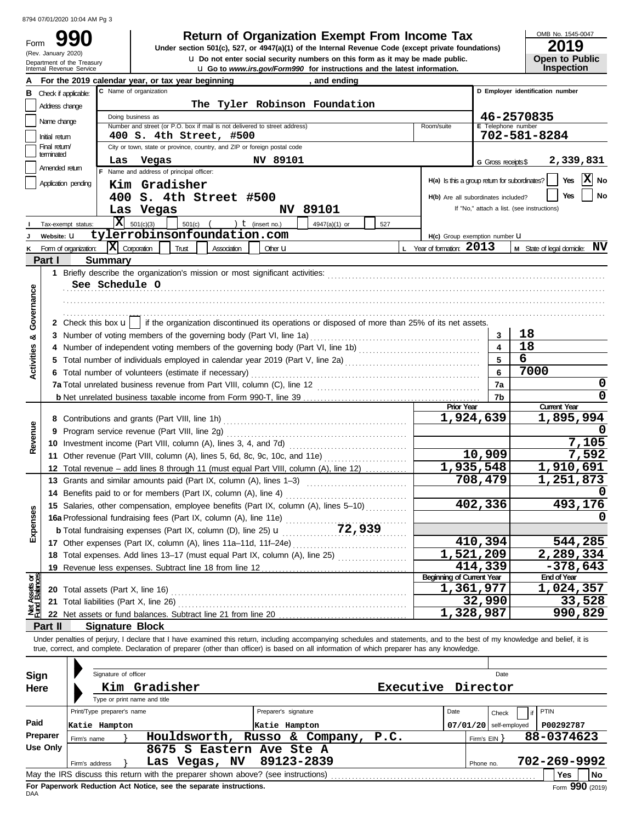Department of the Treasury<br>Internal Revenue Service Form (Rev. January 2020)

**U** Go to *www.irs.gov/Form990* for instructions and the latest information. u **Do not enter social security numbers on this form as it may be made public. Open to Public 990 2000 2019 2019 Depending Solution Solution Solution Script Script Script Prom Income Tax 2019 2019** 

OMB No. 1545-0047

**Inspection**

|                                |                                                                                                        | For the 2019 calendar year, or tax year beginning<br>and ending                                                                                                            |                                                 |                          |                                            |  |  |  |  |  |  |  |
|--------------------------------|--------------------------------------------------------------------------------------------------------|----------------------------------------------------------------------------------------------------------------------------------------------------------------------------|-------------------------------------------------|--------------------------|--------------------------------------------|--|--|--|--|--|--|--|
|                                | Check if applicable:                                                                                   | C Name of organization                                                                                                                                                     |                                                 |                          | D Employer identification number           |  |  |  |  |  |  |  |
|                                | Address change                                                                                         | The Tyler Robinson Foundation                                                                                                                                              |                                                 |                          |                                            |  |  |  |  |  |  |  |
|                                | Name change                                                                                            | Doing business as                                                                                                                                                          |                                                 |                          | 46-2570835                                 |  |  |  |  |  |  |  |
|                                |                                                                                                        | Number and street (or P.O. box if mail is not delivered to street address)                                                                                                 | Room/suite                                      | E Telephone number       |                                            |  |  |  |  |  |  |  |
|                                | Initial return                                                                                         | 400 S. 4th Street, #500                                                                                                                                                    |                                                 |                          | 702-581-8284                               |  |  |  |  |  |  |  |
|                                | City or town, state or province, country, and ZIP or foreign postal code<br>Final return<br>terminated |                                                                                                                                                                            |                                                 |                          |                                            |  |  |  |  |  |  |  |
|                                | Amended return                                                                                         | NV 89101<br>Las<br>Vegas                                                                                                                                                   |                                                 | G Gross receipts\$       | 2,339,831                                  |  |  |  |  |  |  |  |
|                                |                                                                                                        | F Name and address of principal officer:                                                                                                                                   | $H(a)$ Is this a group return for subordinates? |                          | $ X $ No<br>Yes                            |  |  |  |  |  |  |  |
|                                |                                                                                                        | Application pending<br>Kim Gradisher                                                                                                                                       |                                                 |                          |                                            |  |  |  |  |  |  |  |
|                                |                                                                                                        | 400 S. 4th Street #500                                                                                                                                                     | H(b) Are all subordinates included?             |                          | No<br>Yes                                  |  |  |  |  |  |  |  |
|                                |                                                                                                        | <b>NV 89101</b><br>Las Vegas                                                                                                                                               |                                                 |                          | If "No," attach a list. (see instructions) |  |  |  |  |  |  |  |
|                                |                                                                                                        | $ \mathbf{X} $ 501(c)(3)<br>501(c) $($ $)$ <b>t</b> (insert no.)<br>4947(a)(1) or<br>527<br>Tax-exempt status:                                                             |                                                 |                          |                                            |  |  |  |  |  |  |  |
|                                | Website: U                                                                                             | tylerrobinsonfoundation.com                                                                                                                                                | H(c) Group exemption number U                   |                          |                                            |  |  |  |  |  |  |  |
|                                |                                                                                                        | $ \mathbf{X} $ Corporation<br>Form of organization:<br>Trust<br>Association<br>Other <b>LI</b>                                                                             | L Year of formation: 2013                       |                          | M State of legal domicile: NV              |  |  |  |  |  |  |  |
|                                | Part I                                                                                                 | <b>Summary</b>                                                                                                                                                             |                                                 |                          |                                            |  |  |  |  |  |  |  |
|                                |                                                                                                        |                                                                                                                                                                            |                                                 |                          |                                            |  |  |  |  |  |  |  |
|                                |                                                                                                        | See Schedule O                                                                                                                                                             |                                                 |                          |                                            |  |  |  |  |  |  |  |
|                                |                                                                                                        |                                                                                                                                                                            |                                                 |                          |                                            |  |  |  |  |  |  |  |
| Governance                     |                                                                                                        |                                                                                                                                                                            |                                                 |                          |                                            |  |  |  |  |  |  |  |
|                                |                                                                                                        | 2 Check this box <b>u</b> if the organization discontinued its operations or disposed of more than 25% of its net assets.                                                  |                                                 |                          |                                            |  |  |  |  |  |  |  |
|                                |                                                                                                        |                                                                                                                                                                            |                                                 | 3                        | 18                                         |  |  |  |  |  |  |  |
| œ                              |                                                                                                        |                                                                                                                                                                            |                                                 |                          | 18                                         |  |  |  |  |  |  |  |
| <b>Activities</b>              |                                                                                                        |                                                                                                                                                                            |                                                 |                          |                                            |  |  |  |  |  |  |  |
|                                |                                                                                                        |                                                                                                                                                                            |                                                 | 5                        | 6                                          |  |  |  |  |  |  |  |
|                                |                                                                                                        | 6 Total number of volunteers (estimate if necessary)                                                                                                                       |                                                 | 6                        | 7000                                       |  |  |  |  |  |  |  |
|                                |                                                                                                        |                                                                                                                                                                            |                                                 | 7a                       | 0                                          |  |  |  |  |  |  |  |
|                                |                                                                                                        |                                                                                                                                                                            |                                                 | 7b                       | 0                                          |  |  |  |  |  |  |  |
|                                |                                                                                                        |                                                                                                                                                                            | Prior Year                                      |                          | <b>Current Year</b>                        |  |  |  |  |  |  |  |
|                                |                                                                                                        |                                                                                                                                                                            |                                                 | 1,924,639                | 1,895,994                                  |  |  |  |  |  |  |  |
| Revenue                        |                                                                                                        | 9 Program service revenue (Part VIII, line 2g)                                                                                                                             |                                                 |                          |                                            |  |  |  |  |  |  |  |
|                                |                                                                                                        |                                                                                                                                                                            |                                                 |                          | 7,105                                      |  |  |  |  |  |  |  |
|                                |                                                                                                        | 11 Other revenue (Part VIII, column (A), lines 5, 6d, 8c, 9c, 10c, and 11e)                                                                                                |                                                 | 10,909                   | 7,592                                      |  |  |  |  |  |  |  |
|                                |                                                                                                        | 12 Total revenue - add lines 8 through 11 (must equal Part VIII, column (A), line 12)                                                                                      |                                                 | 1,935,548                | 1,910,691                                  |  |  |  |  |  |  |  |
|                                |                                                                                                        | 13 Grants and similar amounts paid (Part IX, column (A), lines 1-3)                                                                                                        |                                                 | 708,479                  | 1,251,873                                  |  |  |  |  |  |  |  |
|                                |                                                                                                        | 14 Benefits paid to or for members (Part IX, column (A), line 4)                                                                                                           |                                                 |                          |                                            |  |  |  |  |  |  |  |
|                                |                                                                                                        | 15 Salaries, other compensation, employee benefits (Part IX, column (A), lines 5-10)                                                                                       |                                                 | 402,336                  | 493,176                                    |  |  |  |  |  |  |  |
|                                |                                                                                                        | 16a Professional fundraising fees (Part IX, column (A), line 11e)                                                                                                          |                                                 |                          |                                            |  |  |  |  |  |  |  |
| Expenses                       |                                                                                                        | <b>b</b> Total fundraising expenses (Part IX, column (D), line 25) <b>u</b> 22, 939                                                                                        |                                                 |                          |                                            |  |  |  |  |  |  |  |
|                                |                                                                                                        | 17 Other expenses (Part IX, column (A), lines 11a-11d, 11f-24e)                                                                                                            |                                                 | 410,394                  | 544,285                                    |  |  |  |  |  |  |  |
|                                |                                                                                                        | 18 Total expenses. Add lines 13-17 (must equal Part IX, column (A), line 25)                                                                                               |                                                 | $\overline{1,521,209}$   | 2,289,334                                  |  |  |  |  |  |  |  |
|                                |                                                                                                        | 19 Revenue less expenses. Subtract line 18 from line 12                                                                                                                    |                                                 | 414,339                  | $-378,643$                                 |  |  |  |  |  |  |  |
| Net Assets or<br>Fund Balances |                                                                                                        |                                                                                                                                                                            | <b>Beginning of Current Year</b>                |                          | <b>End of Year</b>                         |  |  |  |  |  |  |  |
|                                |                                                                                                        | 20 Total assets (Part X, line 16)                                                                                                                                          |                                                 | 1,361,977                | 1,024,357                                  |  |  |  |  |  |  |  |
|                                |                                                                                                        | 21 Total liabilities (Part X, line 26)                                                                                                                                     |                                                 | 32,990                   | 33,528                                     |  |  |  |  |  |  |  |
|                                |                                                                                                        |                                                                                                                                                                            |                                                 | 1,328,987                | 990,829                                    |  |  |  |  |  |  |  |
|                                | Part II                                                                                                | <b>Signature Block</b>                                                                                                                                                     |                                                 |                          |                                            |  |  |  |  |  |  |  |
|                                |                                                                                                        | Under penalties of perjury, I declare that I have examined this return, including accompanying schedules and statements, and to the best of my knowledge and belief, it is |                                                 |                          |                                            |  |  |  |  |  |  |  |
|                                |                                                                                                        | true, correct, and complete. Declaration of preparer (other than officer) is based on all information of which preparer has any knowledge.                                 |                                                 |                          |                                            |  |  |  |  |  |  |  |
|                                |                                                                                                        |                                                                                                                                                                            |                                                 |                          |                                            |  |  |  |  |  |  |  |
| Sign                           |                                                                                                        | Signature of officer                                                                                                                                                       |                                                 | Date                     |                                            |  |  |  |  |  |  |  |
| Here                           |                                                                                                        | Kim Gradisher                                                                                                                                                              | Executive Director                              |                          |                                            |  |  |  |  |  |  |  |
|                                |                                                                                                        | Type or print name and title                                                                                                                                               |                                                 |                          |                                            |  |  |  |  |  |  |  |
|                                |                                                                                                        | Preparer's signature<br>Print/Type preparer's name                                                                                                                         | Date                                            | Check                    | PTIN                                       |  |  |  |  |  |  |  |
| Paid                           |                                                                                                        | Katie Hampton<br>Katie Hampton                                                                                                                                             |                                                 | $07/01/20$ self-employed | P00292787                                  |  |  |  |  |  |  |  |
|                                | Preparer                                                                                               | Houldsworth, Russo & Company,<br>P.C.                                                                                                                                      |                                                 |                          | 88-0374623                                 |  |  |  |  |  |  |  |
|                                | <b>Use Only</b>                                                                                        | Firm's name<br>8675 S Eastern Ave Ste A                                                                                                                                    |                                                 | Firm's $EIN$ }           |                                            |  |  |  |  |  |  |  |
|                                |                                                                                                        | 89123-2839                                                                                                                                                                 |                                                 |                          | 702-269-9992                               |  |  |  |  |  |  |  |
|                                |                                                                                                        | Las Vegas, NV<br>Firm's address                                                                                                                                            |                                                 | Phone no.                |                                            |  |  |  |  |  |  |  |
|                                |                                                                                                        | May the IRS discuss this return with the preparer shown above? (see instructions)                                                                                          |                                                 |                          | Yes<br>No                                  |  |  |  |  |  |  |  |

| Sign<br>Here    | Signature of officer                        | Kim Gradisher                                                                     |                                       | Executive | Director                          | Date              |                                                          |
|-----------------|---------------------------------------------|-----------------------------------------------------------------------------------|---------------------------------------|-----------|-----------------------------------|-------------------|----------------------------------------------------------|
| Paid            | Print/Type preparer's name<br>Katie Hampton | Type or print name and title                                                      | Preparer's signature<br>Katie Hampton | Date      | Check<br>$07/01/20$ self-employed | PTIN<br>P00292787 |                                                          |
| <b>Preparer</b> | Firm's name                                 | Houldsworth,                                                                      | Russo & Company,<br>P.C.              |           | Firm's $EIN$ $\}$                 | 88-0374623        |                                                          |
| Use Only        | Firm's address                              | 8675 S Eastern Ave Ste A<br>NV<br>Las Vegas,                                      | 89123-2839                            |           | Phone no.                         |                   | 702-269-9992                                             |
|                 |                                             | May the IRS discuss this return with the preparer shown above? (see instructions) |                                       |           |                                   |                   | l No<br><b>Yes</b><br>$\mathbf{A} \mathbf{A} \mathbf{A}$ |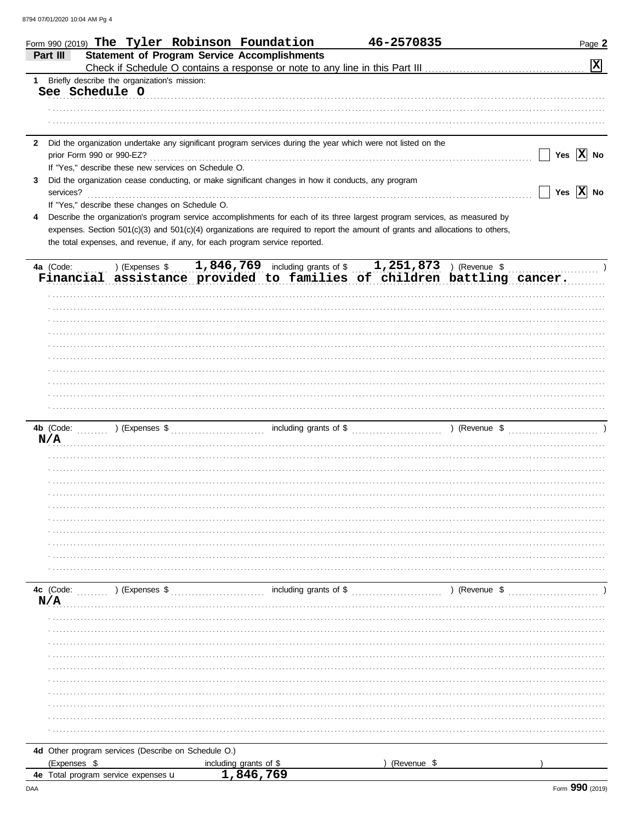|              | Form 990 (2019) The Tyler Robinson Foundation                                                                                                                                                  |                        | 46-2570835  |               | Page 2                |
|--------------|------------------------------------------------------------------------------------------------------------------------------------------------------------------------------------------------|------------------------|-------------|---------------|-----------------------|
|              | <b>Statement of Program Service Accomplishments</b><br>Part III                                                                                                                                |                        |             |               |                       |
|              |                                                                                                                                                                                                |                        |             |               | $\boxed{\mathbf{X}}$  |
| 1            | Briefly describe the organization's mission:                                                                                                                                                   |                        |             |               |                       |
|              | See Schedule O                                                                                                                                                                                 |                        |             |               |                       |
|              |                                                                                                                                                                                                |                        |             |               |                       |
|              |                                                                                                                                                                                                |                        |             |               |                       |
| $\mathbf{2}$ | Did the organization undertake any significant program services during the year which were not listed on the                                                                                   |                        |             |               |                       |
|              |                                                                                                                                                                                                |                        |             |               | Yes $\overline{X}$ No |
|              | If "Yes," describe these new services on Schedule O.                                                                                                                                           |                        |             |               |                       |
| 3            | Did the organization cease conducting, or make significant changes in how it conducts, any program                                                                                             |                        |             |               |                       |
|              | services?                                                                                                                                                                                      |                        |             |               | Yes $\overline{X}$ No |
|              | If "Yes," describe these changes on Schedule O.                                                                                                                                                |                        |             |               |                       |
| 4            | Describe the organization's program service accomplishments for each of its three largest program services, as measured by                                                                     |                        |             |               |                       |
|              | expenses. Section 501(c)(3) and 501(c)(4) organizations are required to report the amount of grants and allocations to others,                                                                 |                        |             |               |                       |
|              | the total expenses, and revenue, if any, for each program service reported.                                                                                                                    |                        |             |               |                       |
|              |                                                                                                                                                                                                |                        |             |               |                       |
|              | 4a (Code:  ) (Expenses $\frac{1,846,769}{1,846,769}$ including grants of $\frac{1,251,873}{1,251,873}$ ) (Revenue \$<br>Financial assistance provided to families of children battling cancer. |                        |             |               |                       |
|              |                                                                                                                                                                                                |                        |             |               |                       |
|              |                                                                                                                                                                                                |                        |             |               |                       |
|              |                                                                                                                                                                                                |                        |             |               |                       |
|              |                                                                                                                                                                                                |                        |             |               |                       |
|              |                                                                                                                                                                                                |                        |             |               |                       |
|              |                                                                                                                                                                                                |                        |             |               |                       |
|              |                                                                                                                                                                                                |                        |             |               |                       |
|              |                                                                                                                                                                                                |                        |             |               |                       |
|              |                                                                                                                                                                                                |                        |             |               |                       |
|              |                                                                                                                                                                                                |                        |             |               |                       |
|              |                                                                                                                                                                                                |                        |             |               |                       |
|              |                                                                                                                                                                                                |                        |             |               |                       |
|              | N/A                                                                                                                                                                                            |                        |             |               |                       |
|              |                                                                                                                                                                                                |                        |             |               |                       |
|              |                                                                                                                                                                                                |                        |             |               |                       |
|              |                                                                                                                                                                                                |                        |             |               |                       |
|              |                                                                                                                                                                                                |                        |             |               |                       |
|              |                                                                                                                                                                                                |                        |             |               |                       |
|              |                                                                                                                                                                                                |                        |             |               |                       |
|              |                                                                                                                                                                                                |                        |             |               |                       |
|              |                                                                                                                                                                                                |                        |             |               |                       |
|              |                                                                                                                                                                                                |                        |             |               |                       |
|              |                                                                                                                                                                                                |                        |             |               |                       |
|              | 4c (Code:<br>) (Expenses \$                                                                                                                                                                    | including grants of \$ |             | ) (Revenue \$ |                       |
|              | N/A                                                                                                                                                                                            |                        |             |               |                       |
|              |                                                                                                                                                                                                |                        |             |               |                       |
|              |                                                                                                                                                                                                |                        |             |               |                       |
|              |                                                                                                                                                                                                |                        |             |               |                       |
|              |                                                                                                                                                                                                |                        |             |               |                       |
|              |                                                                                                                                                                                                |                        |             |               |                       |
|              |                                                                                                                                                                                                |                        |             |               |                       |
|              |                                                                                                                                                                                                |                        |             |               |                       |
|              |                                                                                                                                                                                                |                        |             |               |                       |
|              |                                                                                                                                                                                                |                        |             |               |                       |
|              |                                                                                                                                                                                                |                        |             |               |                       |
|              | 4d Other program services (Describe on Schedule O.)                                                                                                                                            |                        |             |               |                       |
|              | (Expenses \$                                                                                                                                                                                   | including grants of \$ | (Revenue \$ |               |                       |
|              | 4e Total program service expenses u                                                                                                                                                            | 1,846,769              |             |               |                       |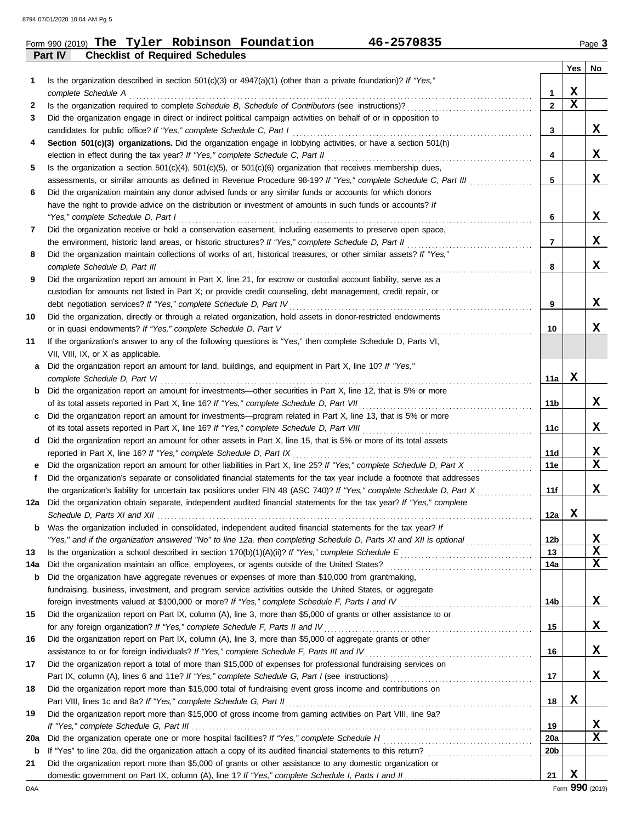|         |  |                                        | Form 990 (2019) The Tyler Robinson Foundation | 46-2570835 | Page <b>3</b> |
|---------|--|----------------------------------------|-----------------------------------------------|------------|---------------|
| Part IV |  | <b>Checklist of Required Schedules</b> |                                               |            |               |

|     | succionel of negation concuency                                                                                                        |                 | Yes | No          |
|-----|----------------------------------------------------------------------------------------------------------------------------------------|-----------------|-----|-------------|
| 1.  | Is the organization described in section $501(c)(3)$ or $4947(a)(1)$ (other than a private foundation)? If "Yes,"                      |                 |     |             |
|     | complete Schedule A                                                                                                                    | 1               | x   |             |
| 2   |                                                                                                                                        | $\mathbf{2}$    | x   |             |
| 3   | Did the organization engage in direct or indirect political campaign activities on behalf of or in opposition to                       |                 |     |             |
|     | candidates for public office? If "Yes," complete Schedule C, Part I                                                                    | 3               |     | X.          |
| 4   | Section 501(c)(3) organizations. Did the organization engage in lobbying activities, or have a section 501(h)                          |                 |     |             |
|     |                                                                                                                                        | 4               |     | X.          |
| 5   | Is the organization a section $501(c)(4)$ , $501(c)(5)$ , or $501(c)(6)$ organization that receives membership dues,                   |                 |     |             |
|     | assessments, or similar amounts as defined in Revenue Procedure 98-19? If "Yes," complete Schedule C, Part III                         | 5               |     | X           |
| 6   | Did the organization maintain any donor advised funds or any similar funds or accounts for which donors                                |                 |     |             |
|     | have the right to provide advice on the distribution or investment of amounts in such funds or accounts? If                            |                 |     |             |
|     | "Yes," complete Schedule D, Part I                                                                                                     | 6               |     | X           |
| 7   | Did the organization receive or hold a conservation easement, including easements to preserve open space,                              |                 |     |             |
|     | the environment, historic land areas, or historic structures? If "Yes," complete Schedule D, Part II                                   | 7               |     | X           |
| 8   | Did the organization maintain collections of works of art, historical treasures, or other similar assets? If "Yes,"                    |                 |     |             |
|     |                                                                                                                                        | 8               |     | x           |
| 9   | Did the organization report an amount in Part X, line 21, for escrow or custodial account liability, serve as a                        |                 |     |             |
|     | custodian for amounts not listed in Part X; or provide credit counseling, debt management, credit repair, or                           |                 |     |             |
|     | debt negotiation services? If "Yes," complete Schedule D, Part IV                                                                      | 9               |     | X           |
| 10  | Did the organization, directly or through a related organization, hold assets in donor-restricted endowments                           |                 |     |             |
|     |                                                                                                                                        | 10              |     | x           |
| 11  | If the organization's answer to any of the following questions is "Yes," then complete Schedule D, Parts VI,                           |                 |     |             |
|     | VII, VIII, IX, or X as applicable.                                                                                                     |                 |     |             |
| a   | Did the organization report an amount for land, buildings, and equipment in Part X, line 10? If "Yes,"<br>complete Schedule D, Part VI | 11a             | X   |             |
|     | <b>b</b> Did the organization report an amount for investments—other securities in Part X, line 12, that is 5% or more                 |                 |     |             |
|     | of its total assets reported in Part X, line 16? If "Yes," complete Schedule D, Part VII                                               | 11b             |     | x           |
| c.  | Did the organization report an amount for investments—program related in Part X, line 13, that is 5% or more                           |                 |     |             |
|     |                                                                                                                                        | 11c             |     | x           |
| d   | Did the organization report an amount for other assets in Part X, line 15, that is 5% or more of its total assets                      |                 |     |             |
|     |                                                                                                                                        | 11d             |     | X           |
| е   | Did the organization report an amount for other liabilities in Part X, line 25? If "Yes," complete Schedule D, Part X                  | 11e             |     | $\mathbf x$ |
| f   | Did the organization's separate or consolidated financial statements for the tax year include a footnote that addresses                |                 |     |             |
|     | the organization's liability for uncertain tax positions under FIN 48 (ASC 740)? If "Yes," complete Schedule D, Part X                 | 11f             |     | x           |
| 12a | Did the organization obtain separate, independent audited financial statements for the tax year? If "Yes," complete                    |                 |     |             |
|     |                                                                                                                                        | 12a             | x   |             |
| b   | Was the organization included in consolidated, independent audited financial statements for the tax year? If                           |                 |     |             |
|     | "Yes," and if the organization answered "No" to line 12a, then completing Schedule D, Parts XI and XII is optional                     | 12 <sub>b</sub> |     | X           |
| 13  |                                                                                                                                        | 13              |     | $\mathbf x$ |
| 14a |                                                                                                                                        | 14a             |     | X           |
| b   | Did the organization have aggregate revenues or expenses of more than \$10,000 from grantmaking,                                       |                 |     |             |
|     | fundraising, business, investment, and program service activities outside the United States, or aggregate                              |                 |     |             |
|     |                                                                                                                                        | 14b             |     | X           |
| 15  | Did the organization report on Part IX, column (A), line 3, more than \$5,000 of grants or other assistance to or                      |                 |     |             |
|     | for any foreign organization? If "Yes," complete Schedule F, Parts II and IV                                                           | 15              |     | X           |
| 16  | Did the organization report on Part IX, column (A), line 3, more than \$5,000 of aggregate grants or other                             |                 |     |             |
|     |                                                                                                                                        | 16              |     | X           |
| 17  | Did the organization report a total of more than \$15,000 of expenses for professional fundraising services on                         |                 |     | X           |
| 18  | Did the organization report more than \$15,000 total of fundraising event gross income and contributions on                            | 17              |     |             |
|     |                                                                                                                                        | 18              | X   |             |
| 19  | Did the organization report more than \$15,000 of gross income from gaming activities on Part VIII, line 9a?                           |                 |     |             |
|     |                                                                                                                                        | 19              |     | X           |
| 20a | Did the organization operate one or more hospital facilities? If "Yes," complete Schedule H                                            | 20a             |     | X           |
| b   |                                                                                                                                        | 20 <sub>b</sub> |     |             |
| 21  | Did the organization report more than \$5,000 of grants or other assistance to any domestic organization or                            |                 |     |             |
|     |                                                                                                                                        | 21              | X   |             |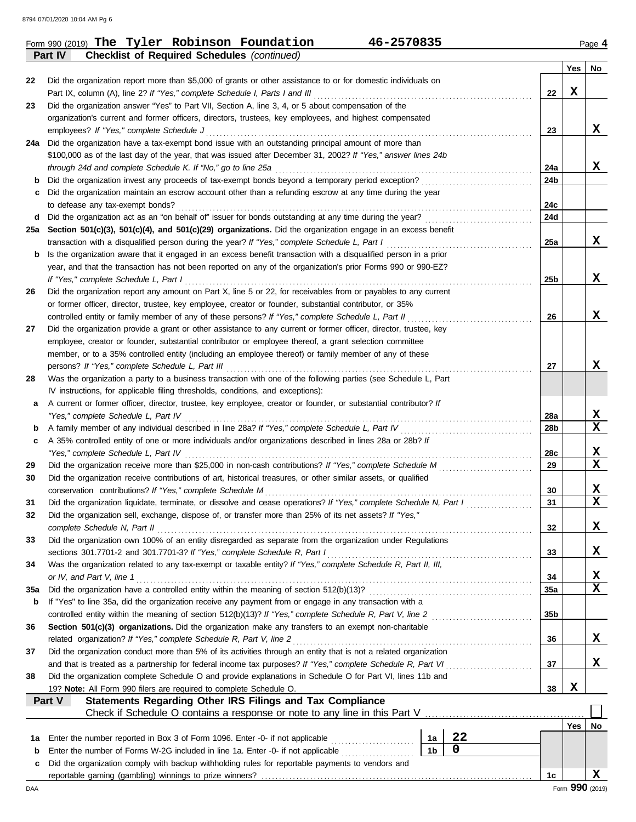| <b>Checklist of Required Schedules (continued)</b><br>Part IV<br>Yes<br>No<br>Did the organization report more than \$5,000 of grants or other assistance to or for domestic individuals on<br>22<br>x<br>Part IX, column (A), line 2? If "Yes," complete Schedule I, Parts I and III<br>22<br>Did the organization answer "Yes" to Part VII, Section A, line 3, 4, or 5 about compensation of the<br>23<br>organization's current and former officers, directors, trustees, key employees, and highest compensated<br>x<br>employees? If "Yes," complete Schedule J<br>23<br>Did the organization have a tax-exempt bond issue with an outstanding principal amount of more than<br>24a<br>\$100,000 as of the last day of the year, that was issued after December 31, 2002? If "Yes," answer lines 24b<br>x<br>24a<br>through 24d and complete Schedule K. If "No," go to line 25a<br>Did the organization invest any proceeds of tax-exempt bonds beyond a temporary period exception?<br>24b<br>Did the organization maintain an escrow account other than a refunding escrow at any time during the year<br>c<br>24c<br>to defease any tax-exempt bonds?<br>Did the organization act as an "on behalf of" issuer for bonds outstanding at any time during the year?<br>24d<br>d<br>Section 501(c)(3), 501(c)(4), and 501(c)(29) organizations. Did the organization engage in an excess benefit<br>25а<br>x<br>transaction with a disqualified person during the year? If "Yes," complete Schedule L, Part I<br>25a<br>Is the organization aware that it engaged in an excess benefit transaction with a disqualified person in a prior<br>year, and that the transaction has not been reported on any of the organization's prior Forms 990 or 990-EZ?<br>x<br>If "Yes," complete Schedule L, Part I<br>25b<br>Did the organization report any amount on Part X, line 5 or 22, for receivables from or payables to any current<br>26<br>or former officer, director, trustee, key employee, creator or founder, substantial contributor, or 35%<br>x<br>controlled entity or family member of any of these persons? If "Yes," complete Schedule L, Part II<br>26<br>Did the organization provide a grant or other assistance to any current or former officer, director, trustee, key<br>27<br>employee, creator or founder, substantial contributor or employee thereof, a grant selection committee<br>member, or to a 35% controlled entity (including an employee thereof) or family member of any of these<br>x<br>persons? If "Yes," complete Schedule L, Part III<br>27<br>Was the organization a party to a business transaction with one of the following parties (see Schedule L, Part<br>28<br>IV instructions, for applicable filing thresholds, conditions, and exceptions):<br>A current or former officer, director, trustee, key employee, creator or founder, or substantial contributor? If<br>а<br>"Yes," complete Schedule L, Part IV<br>X<br>28a<br>$\mathbf x$<br>A family member of any individual described in line 28a? If "Yes," complete Schedule L, Part IV<br>28b<br>b<br>A 35% controlled entity of one or more individuals and/or organizations described in lines 28a or 28b? If<br>c<br>X<br>"Yes," complete Schedule L, Part IV<br>28c<br>$\mathbf x$<br>29<br>29<br>Did the organization receive contributions of art, historical treasures, or other similar assets, or qualified<br>30<br>x<br>conservation contributions? If "Yes," complete Schedule M<br>30<br>X<br>31<br>Did the organization liquidate, terminate, or dissolve and cease operations? If "Yes," complete Schedule N, Part I<br>31<br>Did the organization sell, exchange, dispose of, or transfer more than 25% of its net assets? If "Yes,"<br>32<br>X.<br>32<br>complete Schedule N, Part II<br>Did the organization own 100% of an entity disregarded as separate from the organization under Regulations<br>33<br>X.<br>33<br>Was the organization related to any tax-exempt or taxable entity? If "Yes," complete Schedule R, Part II, III,<br>34<br>X.<br>34<br>X<br>35a<br><b>35a</b><br>If "Yes" to line 35a, did the organization receive any payment from or engage in any transaction with a<br>b<br>controlled entity within the meaning of section 512(b)(13)? If "Yes," complete Schedule R, Part V, line 2<br>35 <sub>b</sub><br>Section 501(c)(3) organizations. Did the organization make any transfers to an exempt non-charitable<br>36<br>related organization? If "Yes," complete Schedule R, Part V, line 2<br>X.<br>36<br>Did the organization conduct more than 5% of its activities through an entity that is not a related organization<br>37<br>x<br>and that is treated as a partnership for federal income tax purposes? If "Yes," complete Schedule R, Part VI<br>37<br>Did the organization complete Schedule O and provide explanations in Schedule O for Part VI, lines 11b and<br>38<br>X<br>19? Note: All Form 990 filers are required to complete Schedule O.<br>38<br><b>Statements Regarding Other IRS Filings and Tax Compliance</b><br>Part V<br>Yes<br>No<br>22<br>Enter the number reported in Box 3 of Form 1096. Enter -0- if not applicable<br>1a<br>1a<br>0<br>1 <sub>b</sub><br>Enter the number of Forms W-2G included in line 1a. Enter -0- if not applicable<br>b<br>Did the organization comply with backup withholding rules for reportable payments to vendors and<br>c<br>x<br>1c |     | 46-2570835<br>Form 990 (2019) The Tyler Robinson Foundation |  |  | Page 4 |  |  |  |  |  |  |  |
|---------------------------------------------------------------------------------------------------------------------------------------------------------------------------------------------------------------------------------------------------------------------------------------------------------------------------------------------------------------------------------------------------------------------------------------------------------------------------------------------------------------------------------------------------------------------------------------------------------------------------------------------------------------------------------------------------------------------------------------------------------------------------------------------------------------------------------------------------------------------------------------------------------------------------------------------------------------------------------------------------------------------------------------------------------------------------------------------------------------------------------------------------------------------------------------------------------------------------------------------------------------------------------------------------------------------------------------------------------------------------------------------------------------------------------------------------------------------------------------------------------------------------------------------------------------------------------------------------------------------------------------------------------------------------------------------------------------------------------------------------------------------------------------------------------------------------------------------------------------------------------------------------------------------------------------------------------------------------------------------------------------------------------------------------------------------------------------------------------------------------------------------------------------------------------------------------------------------------------------------------------------------------------------------------------------------------------------------------------------------------------------------------------------------------------------------------------------------------------------------------------------------------------------------------------------------------------------------------------------------------------------------------------------------------------------------------------------------------------------------------------------------------------------------------------------------------------------------------------------------------------------------------------------------------------------------------------------------------------------------------------------------------------------------------------------------------------------------------------------------------------------------------------------------------------------------------------------------------------------------------------------------------------------------------------------------------------------------------------------------------------------------------------------------------------------------------------------------------------------------------------------------------------------------------------------------------------------------------------------------------------------------------------------------------------------------------------------------------------------------------------------------------------------------------------------------------------------------------------------------------------------------------------------------------------------------------------------------------------------------------------------------------------------------------------------------------------------------------------------------------------------------------------------------------------------------------------------------------------------------------------------------------------------------------------------------------------------------------------------------------------------------------------------------------------------------------------------------------------------------------------------------------------------------------------------------------------------------------------------------------------------------------------------------------------------------------------------------------------------------------------------------------------------------------------------------------------------------------------------------------------------------------------------------------------------------------------------------------------------------------------------------------------------------------------------------------------------------------------------------------------------------------------------------------------------------------------------------------------------------------------------------------------------------------------------------------------------------------------------------------------------------------------------------------------------------------------|-----|-------------------------------------------------------------|--|--|--------|--|--|--|--|--|--|--|
|                                                                                                                                                                                                                                                                                                                                                                                                                                                                                                                                                                                                                                                                                                                                                                                                                                                                                                                                                                                                                                                                                                                                                                                                                                                                                                                                                                                                                                                                                                                                                                                                                                                                                                                                                                                                                                                                                                                                                                                                                                                                                                                                                                                                                                                                                                                                                                                                                                                                                                                                                                                                                                                                                                                                                                                                                                                                                                                                                                                                                                                                                                                                                                                                                                                                                                                                                                                                                                                                                                                                                                                                                                                                                                                                                                                                                                                                                                                                                                                                                                                                                                                                                                                                                                                                                                                                                                                                                                                                                                                                                                                                                                                                                                                                                                                                                                                                                                                                                                                                                                                                                                                                                                                                                                                                                                                                                                                                                                                         |     |                                                             |  |  |        |  |  |  |  |  |  |  |
|                                                                                                                                                                                                                                                                                                                                                                                                                                                                                                                                                                                                                                                                                                                                                                                                                                                                                                                                                                                                                                                                                                                                                                                                                                                                                                                                                                                                                                                                                                                                                                                                                                                                                                                                                                                                                                                                                                                                                                                                                                                                                                                                                                                                                                                                                                                                                                                                                                                                                                                                                                                                                                                                                                                                                                                                                                                                                                                                                                                                                                                                                                                                                                                                                                                                                                                                                                                                                                                                                                                                                                                                                                                                                                                                                                                                                                                                                                                                                                                                                                                                                                                                                                                                                                                                                                                                                                                                                                                                                                                                                                                                                                                                                                                                                                                                                                                                                                                                                                                                                                                                                                                                                                                                                                                                                                                                                                                                                                                         |     |                                                             |  |  |        |  |  |  |  |  |  |  |
| Form 990 (2019)                                                                                                                                                                                                                                                                                                                                                                                                                                                                                                                                                                                                                                                                                                                                                                                                                                                                                                                                                                                                                                                                                                                                                                                                                                                                                                                                                                                                                                                                                                                                                                                                                                                                                                                                                                                                                                                                                                                                                                                                                                                                                                                                                                                                                                                                                                                                                                                                                                                                                                                                                                                                                                                                                                                                                                                                                                                                                                                                                                                                                                                                                                                                                                                                                                                                                                                                                                                                                                                                                                                                                                                                                                                                                                                                                                                                                                                                                                                                                                                                                                                                                                                                                                                                                                                                                                                                                                                                                                                                                                                                                                                                                                                                                                                                                                                                                                                                                                                                                                                                                                                                                                                                                                                                                                                                                                                                                                                                                                         |     |                                                             |  |  |        |  |  |  |  |  |  |  |
|                                                                                                                                                                                                                                                                                                                                                                                                                                                                                                                                                                                                                                                                                                                                                                                                                                                                                                                                                                                                                                                                                                                                                                                                                                                                                                                                                                                                                                                                                                                                                                                                                                                                                                                                                                                                                                                                                                                                                                                                                                                                                                                                                                                                                                                                                                                                                                                                                                                                                                                                                                                                                                                                                                                                                                                                                                                                                                                                                                                                                                                                                                                                                                                                                                                                                                                                                                                                                                                                                                                                                                                                                                                                                                                                                                                                                                                                                                                                                                                                                                                                                                                                                                                                                                                                                                                                                                                                                                                                                                                                                                                                                                                                                                                                                                                                                                                                                                                                                                                                                                                                                                                                                                                                                                                                                                                                                                                                                                                         |     |                                                             |  |  |        |  |  |  |  |  |  |  |
|                                                                                                                                                                                                                                                                                                                                                                                                                                                                                                                                                                                                                                                                                                                                                                                                                                                                                                                                                                                                                                                                                                                                                                                                                                                                                                                                                                                                                                                                                                                                                                                                                                                                                                                                                                                                                                                                                                                                                                                                                                                                                                                                                                                                                                                                                                                                                                                                                                                                                                                                                                                                                                                                                                                                                                                                                                                                                                                                                                                                                                                                                                                                                                                                                                                                                                                                                                                                                                                                                                                                                                                                                                                                                                                                                                                                                                                                                                                                                                                                                                                                                                                                                                                                                                                                                                                                                                                                                                                                                                                                                                                                                                                                                                                                                                                                                                                                                                                                                                                                                                                                                                                                                                                                                                                                                                                                                                                                                                                         |     |                                                             |  |  |        |  |  |  |  |  |  |  |
|                                                                                                                                                                                                                                                                                                                                                                                                                                                                                                                                                                                                                                                                                                                                                                                                                                                                                                                                                                                                                                                                                                                                                                                                                                                                                                                                                                                                                                                                                                                                                                                                                                                                                                                                                                                                                                                                                                                                                                                                                                                                                                                                                                                                                                                                                                                                                                                                                                                                                                                                                                                                                                                                                                                                                                                                                                                                                                                                                                                                                                                                                                                                                                                                                                                                                                                                                                                                                                                                                                                                                                                                                                                                                                                                                                                                                                                                                                                                                                                                                                                                                                                                                                                                                                                                                                                                                                                                                                                                                                                                                                                                                                                                                                                                                                                                                                                                                                                                                                                                                                                                                                                                                                                                                                                                                                                                                                                                                                                         |     |                                                             |  |  |        |  |  |  |  |  |  |  |
|                                                                                                                                                                                                                                                                                                                                                                                                                                                                                                                                                                                                                                                                                                                                                                                                                                                                                                                                                                                                                                                                                                                                                                                                                                                                                                                                                                                                                                                                                                                                                                                                                                                                                                                                                                                                                                                                                                                                                                                                                                                                                                                                                                                                                                                                                                                                                                                                                                                                                                                                                                                                                                                                                                                                                                                                                                                                                                                                                                                                                                                                                                                                                                                                                                                                                                                                                                                                                                                                                                                                                                                                                                                                                                                                                                                                                                                                                                                                                                                                                                                                                                                                                                                                                                                                                                                                                                                                                                                                                                                                                                                                                                                                                                                                                                                                                                                                                                                                                                                                                                                                                                                                                                                                                                                                                                                                                                                                                                                         |     |                                                             |  |  |        |  |  |  |  |  |  |  |
|                                                                                                                                                                                                                                                                                                                                                                                                                                                                                                                                                                                                                                                                                                                                                                                                                                                                                                                                                                                                                                                                                                                                                                                                                                                                                                                                                                                                                                                                                                                                                                                                                                                                                                                                                                                                                                                                                                                                                                                                                                                                                                                                                                                                                                                                                                                                                                                                                                                                                                                                                                                                                                                                                                                                                                                                                                                                                                                                                                                                                                                                                                                                                                                                                                                                                                                                                                                                                                                                                                                                                                                                                                                                                                                                                                                                                                                                                                                                                                                                                                                                                                                                                                                                                                                                                                                                                                                                                                                                                                                                                                                                                                                                                                                                                                                                                                                                                                                                                                                                                                                                                                                                                                                                                                                                                                                                                                                                                                                         |     |                                                             |  |  |        |  |  |  |  |  |  |  |
|                                                                                                                                                                                                                                                                                                                                                                                                                                                                                                                                                                                                                                                                                                                                                                                                                                                                                                                                                                                                                                                                                                                                                                                                                                                                                                                                                                                                                                                                                                                                                                                                                                                                                                                                                                                                                                                                                                                                                                                                                                                                                                                                                                                                                                                                                                                                                                                                                                                                                                                                                                                                                                                                                                                                                                                                                                                                                                                                                                                                                                                                                                                                                                                                                                                                                                                                                                                                                                                                                                                                                                                                                                                                                                                                                                                                                                                                                                                                                                                                                                                                                                                                                                                                                                                                                                                                                                                                                                                                                                                                                                                                                                                                                                                                                                                                                                                                                                                                                                                                                                                                                                                                                                                                                                                                                                                                                                                                                                                         |     |                                                             |  |  |        |  |  |  |  |  |  |  |
|                                                                                                                                                                                                                                                                                                                                                                                                                                                                                                                                                                                                                                                                                                                                                                                                                                                                                                                                                                                                                                                                                                                                                                                                                                                                                                                                                                                                                                                                                                                                                                                                                                                                                                                                                                                                                                                                                                                                                                                                                                                                                                                                                                                                                                                                                                                                                                                                                                                                                                                                                                                                                                                                                                                                                                                                                                                                                                                                                                                                                                                                                                                                                                                                                                                                                                                                                                                                                                                                                                                                                                                                                                                                                                                                                                                                                                                                                                                                                                                                                                                                                                                                                                                                                                                                                                                                                                                                                                                                                                                                                                                                                                                                                                                                                                                                                                                                                                                                                                                                                                                                                                                                                                                                                                                                                                                                                                                                                                                         |     |                                                             |  |  |        |  |  |  |  |  |  |  |
|                                                                                                                                                                                                                                                                                                                                                                                                                                                                                                                                                                                                                                                                                                                                                                                                                                                                                                                                                                                                                                                                                                                                                                                                                                                                                                                                                                                                                                                                                                                                                                                                                                                                                                                                                                                                                                                                                                                                                                                                                                                                                                                                                                                                                                                                                                                                                                                                                                                                                                                                                                                                                                                                                                                                                                                                                                                                                                                                                                                                                                                                                                                                                                                                                                                                                                                                                                                                                                                                                                                                                                                                                                                                                                                                                                                                                                                                                                                                                                                                                                                                                                                                                                                                                                                                                                                                                                                                                                                                                                                                                                                                                                                                                                                                                                                                                                                                                                                                                                                                                                                                                                                                                                                                                                                                                                                                                                                                                                                         |     |                                                             |  |  |        |  |  |  |  |  |  |  |
|                                                                                                                                                                                                                                                                                                                                                                                                                                                                                                                                                                                                                                                                                                                                                                                                                                                                                                                                                                                                                                                                                                                                                                                                                                                                                                                                                                                                                                                                                                                                                                                                                                                                                                                                                                                                                                                                                                                                                                                                                                                                                                                                                                                                                                                                                                                                                                                                                                                                                                                                                                                                                                                                                                                                                                                                                                                                                                                                                                                                                                                                                                                                                                                                                                                                                                                                                                                                                                                                                                                                                                                                                                                                                                                                                                                                                                                                                                                                                                                                                                                                                                                                                                                                                                                                                                                                                                                                                                                                                                                                                                                                                                                                                                                                                                                                                                                                                                                                                                                                                                                                                                                                                                                                                                                                                                                                                                                                                                                         |     |                                                             |  |  |        |  |  |  |  |  |  |  |
|                                                                                                                                                                                                                                                                                                                                                                                                                                                                                                                                                                                                                                                                                                                                                                                                                                                                                                                                                                                                                                                                                                                                                                                                                                                                                                                                                                                                                                                                                                                                                                                                                                                                                                                                                                                                                                                                                                                                                                                                                                                                                                                                                                                                                                                                                                                                                                                                                                                                                                                                                                                                                                                                                                                                                                                                                                                                                                                                                                                                                                                                                                                                                                                                                                                                                                                                                                                                                                                                                                                                                                                                                                                                                                                                                                                                                                                                                                                                                                                                                                                                                                                                                                                                                                                                                                                                                                                                                                                                                                                                                                                                                                                                                                                                                                                                                                                                                                                                                                                                                                                                                                                                                                                                                                                                                                                                                                                                                                                         |     |                                                             |  |  |        |  |  |  |  |  |  |  |
|                                                                                                                                                                                                                                                                                                                                                                                                                                                                                                                                                                                                                                                                                                                                                                                                                                                                                                                                                                                                                                                                                                                                                                                                                                                                                                                                                                                                                                                                                                                                                                                                                                                                                                                                                                                                                                                                                                                                                                                                                                                                                                                                                                                                                                                                                                                                                                                                                                                                                                                                                                                                                                                                                                                                                                                                                                                                                                                                                                                                                                                                                                                                                                                                                                                                                                                                                                                                                                                                                                                                                                                                                                                                                                                                                                                                                                                                                                                                                                                                                                                                                                                                                                                                                                                                                                                                                                                                                                                                                                                                                                                                                                                                                                                                                                                                                                                                                                                                                                                                                                                                                                                                                                                                                                                                                                                                                                                                                                                         |     |                                                             |  |  |        |  |  |  |  |  |  |  |
|                                                                                                                                                                                                                                                                                                                                                                                                                                                                                                                                                                                                                                                                                                                                                                                                                                                                                                                                                                                                                                                                                                                                                                                                                                                                                                                                                                                                                                                                                                                                                                                                                                                                                                                                                                                                                                                                                                                                                                                                                                                                                                                                                                                                                                                                                                                                                                                                                                                                                                                                                                                                                                                                                                                                                                                                                                                                                                                                                                                                                                                                                                                                                                                                                                                                                                                                                                                                                                                                                                                                                                                                                                                                                                                                                                                                                                                                                                                                                                                                                                                                                                                                                                                                                                                                                                                                                                                                                                                                                                                                                                                                                                                                                                                                                                                                                                                                                                                                                                                                                                                                                                                                                                                                                                                                                                                                                                                                                                                         |     |                                                             |  |  |        |  |  |  |  |  |  |  |
|                                                                                                                                                                                                                                                                                                                                                                                                                                                                                                                                                                                                                                                                                                                                                                                                                                                                                                                                                                                                                                                                                                                                                                                                                                                                                                                                                                                                                                                                                                                                                                                                                                                                                                                                                                                                                                                                                                                                                                                                                                                                                                                                                                                                                                                                                                                                                                                                                                                                                                                                                                                                                                                                                                                                                                                                                                                                                                                                                                                                                                                                                                                                                                                                                                                                                                                                                                                                                                                                                                                                                                                                                                                                                                                                                                                                                                                                                                                                                                                                                                                                                                                                                                                                                                                                                                                                                                                                                                                                                                                                                                                                                                                                                                                                                                                                                                                                                                                                                                                                                                                                                                                                                                                                                                                                                                                                                                                                                                                         |     |                                                             |  |  |        |  |  |  |  |  |  |  |
|                                                                                                                                                                                                                                                                                                                                                                                                                                                                                                                                                                                                                                                                                                                                                                                                                                                                                                                                                                                                                                                                                                                                                                                                                                                                                                                                                                                                                                                                                                                                                                                                                                                                                                                                                                                                                                                                                                                                                                                                                                                                                                                                                                                                                                                                                                                                                                                                                                                                                                                                                                                                                                                                                                                                                                                                                                                                                                                                                                                                                                                                                                                                                                                                                                                                                                                                                                                                                                                                                                                                                                                                                                                                                                                                                                                                                                                                                                                                                                                                                                                                                                                                                                                                                                                                                                                                                                                                                                                                                                                                                                                                                                                                                                                                                                                                                                                                                                                                                                                                                                                                                                                                                                                                                                                                                                                                                                                                                                                         |     |                                                             |  |  |        |  |  |  |  |  |  |  |
|                                                                                                                                                                                                                                                                                                                                                                                                                                                                                                                                                                                                                                                                                                                                                                                                                                                                                                                                                                                                                                                                                                                                                                                                                                                                                                                                                                                                                                                                                                                                                                                                                                                                                                                                                                                                                                                                                                                                                                                                                                                                                                                                                                                                                                                                                                                                                                                                                                                                                                                                                                                                                                                                                                                                                                                                                                                                                                                                                                                                                                                                                                                                                                                                                                                                                                                                                                                                                                                                                                                                                                                                                                                                                                                                                                                                                                                                                                                                                                                                                                                                                                                                                                                                                                                                                                                                                                                                                                                                                                                                                                                                                                                                                                                                                                                                                                                                                                                                                                                                                                                                                                                                                                                                                                                                                                                                                                                                                                                         |     |                                                             |  |  |        |  |  |  |  |  |  |  |
|                                                                                                                                                                                                                                                                                                                                                                                                                                                                                                                                                                                                                                                                                                                                                                                                                                                                                                                                                                                                                                                                                                                                                                                                                                                                                                                                                                                                                                                                                                                                                                                                                                                                                                                                                                                                                                                                                                                                                                                                                                                                                                                                                                                                                                                                                                                                                                                                                                                                                                                                                                                                                                                                                                                                                                                                                                                                                                                                                                                                                                                                                                                                                                                                                                                                                                                                                                                                                                                                                                                                                                                                                                                                                                                                                                                                                                                                                                                                                                                                                                                                                                                                                                                                                                                                                                                                                                                                                                                                                                                                                                                                                                                                                                                                                                                                                                                                                                                                                                                                                                                                                                                                                                                                                                                                                                                                                                                                                                                         |     |                                                             |  |  |        |  |  |  |  |  |  |  |
|                                                                                                                                                                                                                                                                                                                                                                                                                                                                                                                                                                                                                                                                                                                                                                                                                                                                                                                                                                                                                                                                                                                                                                                                                                                                                                                                                                                                                                                                                                                                                                                                                                                                                                                                                                                                                                                                                                                                                                                                                                                                                                                                                                                                                                                                                                                                                                                                                                                                                                                                                                                                                                                                                                                                                                                                                                                                                                                                                                                                                                                                                                                                                                                                                                                                                                                                                                                                                                                                                                                                                                                                                                                                                                                                                                                                                                                                                                                                                                                                                                                                                                                                                                                                                                                                                                                                                                                                                                                                                                                                                                                                                                                                                                                                                                                                                                                                                                                                                                                                                                                                                                                                                                                                                                                                                                                                                                                                                                                         |     |                                                             |  |  |        |  |  |  |  |  |  |  |
|                                                                                                                                                                                                                                                                                                                                                                                                                                                                                                                                                                                                                                                                                                                                                                                                                                                                                                                                                                                                                                                                                                                                                                                                                                                                                                                                                                                                                                                                                                                                                                                                                                                                                                                                                                                                                                                                                                                                                                                                                                                                                                                                                                                                                                                                                                                                                                                                                                                                                                                                                                                                                                                                                                                                                                                                                                                                                                                                                                                                                                                                                                                                                                                                                                                                                                                                                                                                                                                                                                                                                                                                                                                                                                                                                                                                                                                                                                                                                                                                                                                                                                                                                                                                                                                                                                                                                                                                                                                                                                                                                                                                                                                                                                                                                                                                                                                                                                                                                                                                                                                                                                                                                                                                                                                                                                                                                                                                                                                         |     |                                                             |  |  |        |  |  |  |  |  |  |  |
|                                                                                                                                                                                                                                                                                                                                                                                                                                                                                                                                                                                                                                                                                                                                                                                                                                                                                                                                                                                                                                                                                                                                                                                                                                                                                                                                                                                                                                                                                                                                                                                                                                                                                                                                                                                                                                                                                                                                                                                                                                                                                                                                                                                                                                                                                                                                                                                                                                                                                                                                                                                                                                                                                                                                                                                                                                                                                                                                                                                                                                                                                                                                                                                                                                                                                                                                                                                                                                                                                                                                                                                                                                                                                                                                                                                                                                                                                                                                                                                                                                                                                                                                                                                                                                                                                                                                                                                                                                                                                                                                                                                                                                                                                                                                                                                                                                                                                                                                                                                                                                                                                                                                                                                                                                                                                                                                                                                                                                                         |     |                                                             |  |  |        |  |  |  |  |  |  |  |
|                                                                                                                                                                                                                                                                                                                                                                                                                                                                                                                                                                                                                                                                                                                                                                                                                                                                                                                                                                                                                                                                                                                                                                                                                                                                                                                                                                                                                                                                                                                                                                                                                                                                                                                                                                                                                                                                                                                                                                                                                                                                                                                                                                                                                                                                                                                                                                                                                                                                                                                                                                                                                                                                                                                                                                                                                                                                                                                                                                                                                                                                                                                                                                                                                                                                                                                                                                                                                                                                                                                                                                                                                                                                                                                                                                                                                                                                                                                                                                                                                                                                                                                                                                                                                                                                                                                                                                                                                                                                                                                                                                                                                                                                                                                                                                                                                                                                                                                                                                                                                                                                                                                                                                                                                                                                                                                                                                                                                                                         |     |                                                             |  |  |        |  |  |  |  |  |  |  |
|                                                                                                                                                                                                                                                                                                                                                                                                                                                                                                                                                                                                                                                                                                                                                                                                                                                                                                                                                                                                                                                                                                                                                                                                                                                                                                                                                                                                                                                                                                                                                                                                                                                                                                                                                                                                                                                                                                                                                                                                                                                                                                                                                                                                                                                                                                                                                                                                                                                                                                                                                                                                                                                                                                                                                                                                                                                                                                                                                                                                                                                                                                                                                                                                                                                                                                                                                                                                                                                                                                                                                                                                                                                                                                                                                                                                                                                                                                                                                                                                                                                                                                                                                                                                                                                                                                                                                                                                                                                                                                                                                                                                                                                                                                                                                                                                                                                                                                                                                                                                                                                                                                                                                                                                                                                                                                                                                                                                                                                         |     |                                                             |  |  |        |  |  |  |  |  |  |  |
|                                                                                                                                                                                                                                                                                                                                                                                                                                                                                                                                                                                                                                                                                                                                                                                                                                                                                                                                                                                                                                                                                                                                                                                                                                                                                                                                                                                                                                                                                                                                                                                                                                                                                                                                                                                                                                                                                                                                                                                                                                                                                                                                                                                                                                                                                                                                                                                                                                                                                                                                                                                                                                                                                                                                                                                                                                                                                                                                                                                                                                                                                                                                                                                                                                                                                                                                                                                                                                                                                                                                                                                                                                                                                                                                                                                                                                                                                                                                                                                                                                                                                                                                                                                                                                                                                                                                                                                                                                                                                                                                                                                                                                                                                                                                                                                                                                                                                                                                                                                                                                                                                                                                                                                                                                                                                                                                                                                                                                                         |     |                                                             |  |  |        |  |  |  |  |  |  |  |
|                                                                                                                                                                                                                                                                                                                                                                                                                                                                                                                                                                                                                                                                                                                                                                                                                                                                                                                                                                                                                                                                                                                                                                                                                                                                                                                                                                                                                                                                                                                                                                                                                                                                                                                                                                                                                                                                                                                                                                                                                                                                                                                                                                                                                                                                                                                                                                                                                                                                                                                                                                                                                                                                                                                                                                                                                                                                                                                                                                                                                                                                                                                                                                                                                                                                                                                                                                                                                                                                                                                                                                                                                                                                                                                                                                                                                                                                                                                                                                                                                                                                                                                                                                                                                                                                                                                                                                                                                                                                                                                                                                                                                                                                                                                                                                                                                                                                                                                                                                                                                                                                                                                                                                                                                                                                                                                                                                                                                                                         |     |                                                             |  |  |        |  |  |  |  |  |  |  |
|                                                                                                                                                                                                                                                                                                                                                                                                                                                                                                                                                                                                                                                                                                                                                                                                                                                                                                                                                                                                                                                                                                                                                                                                                                                                                                                                                                                                                                                                                                                                                                                                                                                                                                                                                                                                                                                                                                                                                                                                                                                                                                                                                                                                                                                                                                                                                                                                                                                                                                                                                                                                                                                                                                                                                                                                                                                                                                                                                                                                                                                                                                                                                                                                                                                                                                                                                                                                                                                                                                                                                                                                                                                                                                                                                                                                                                                                                                                                                                                                                                                                                                                                                                                                                                                                                                                                                                                                                                                                                                                                                                                                                                                                                                                                                                                                                                                                                                                                                                                                                                                                                                                                                                                                                                                                                                                                                                                                                                                         |     |                                                             |  |  |        |  |  |  |  |  |  |  |
|                                                                                                                                                                                                                                                                                                                                                                                                                                                                                                                                                                                                                                                                                                                                                                                                                                                                                                                                                                                                                                                                                                                                                                                                                                                                                                                                                                                                                                                                                                                                                                                                                                                                                                                                                                                                                                                                                                                                                                                                                                                                                                                                                                                                                                                                                                                                                                                                                                                                                                                                                                                                                                                                                                                                                                                                                                                                                                                                                                                                                                                                                                                                                                                                                                                                                                                                                                                                                                                                                                                                                                                                                                                                                                                                                                                                                                                                                                                                                                                                                                                                                                                                                                                                                                                                                                                                                                                                                                                                                                                                                                                                                                                                                                                                                                                                                                                                                                                                                                                                                                                                                                                                                                                                                                                                                                                                                                                                                                                         |     |                                                             |  |  |        |  |  |  |  |  |  |  |
|                                                                                                                                                                                                                                                                                                                                                                                                                                                                                                                                                                                                                                                                                                                                                                                                                                                                                                                                                                                                                                                                                                                                                                                                                                                                                                                                                                                                                                                                                                                                                                                                                                                                                                                                                                                                                                                                                                                                                                                                                                                                                                                                                                                                                                                                                                                                                                                                                                                                                                                                                                                                                                                                                                                                                                                                                                                                                                                                                                                                                                                                                                                                                                                                                                                                                                                                                                                                                                                                                                                                                                                                                                                                                                                                                                                                                                                                                                                                                                                                                                                                                                                                                                                                                                                                                                                                                                                                                                                                                                                                                                                                                                                                                                                                                                                                                                                                                                                                                                                                                                                                                                                                                                                                                                                                                                                                                                                                                                                         |     |                                                             |  |  |        |  |  |  |  |  |  |  |
|                                                                                                                                                                                                                                                                                                                                                                                                                                                                                                                                                                                                                                                                                                                                                                                                                                                                                                                                                                                                                                                                                                                                                                                                                                                                                                                                                                                                                                                                                                                                                                                                                                                                                                                                                                                                                                                                                                                                                                                                                                                                                                                                                                                                                                                                                                                                                                                                                                                                                                                                                                                                                                                                                                                                                                                                                                                                                                                                                                                                                                                                                                                                                                                                                                                                                                                                                                                                                                                                                                                                                                                                                                                                                                                                                                                                                                                                                                                                                                                                                                                                                                                                                                                                                                                                                                                                                                                                                                                                                                                                                                                                                                                                                                                                                                                                                                                                                                                                                                                                                                                                                                                                                                                                                                                                                                                                                                                                                                                         |     |                                                             |  |  |        |  |  |  |  |  |  |  |
|                                                                                                                                                                                                                                                                                                                                                                                                                                                                                                                                                                                                                                                                                                                                                                                                                                                                                                                                                                                                                                                                                                                                                                                                                                                                                                                                                                                                                                                                                                                                                                                                                                                                                                                                                                                                                                                                                                                                                                                                                                                                                                                                                                                                                                                                                                                                                                                                                                                                                                                                                                                                                                                                                                                                                                                                                                                                                                                                                                                                                                                                                                                                                                                                                                                                                                                                                                                                                                                                                                                                                                                                                                                                                                                                                                                                                                                                                                                                                                                                                                                                                                                                                                                                                                                                                                                                                                                                                                                                                                                                                                                                                                                                                                                                                                                                                                                                                                                                                                                                                                                                                                                                                                                                                                                                                                                                                                                                                                                         |     |                                                             |  |  |        |  |  |  |  |  |  |  |
|                                                                                                                                                                                                                                                                                                                                                                                                                                                                                                                                                                                                                                                                                                                                                                                                                                                                                                                                                                                                                                                                                                                                                                                                                                                                                                                                                                                                                                                                                                                                                                                                                                                                                                                                                                                                                                                                                                                                                                                                                                                                                                                                                                                                                                                                                                                                                                                                                                                                                                                                                                                                                                                                                                                                                                                                                                                                                                                                                                                                                                                                                                                                                                                                                                                                                                                                                                                                                                                                                                                                                                                                                                                                                                                                                                                                                                                                                                                                                                                                                                                                                                                                                                                                                                                                                                                                                                                                                                                                                                                                                                                                                                                                                                                                                                                                                                                                                                                                                                                                                                                                                                                                                                                                                                                                                                                                                                                                                                                         |     |                                                             |  |  |        |  |  |  |  |  |  |  |
|                                                                                                                                                                                                                                                                                                                                                                                                                                                                                                                                                                                                                                                                                                                                                                                                                                                                                                                                                                                                                                                                                                                                                                                                                                                                                                                                                                                                                                                                                                                                                                                                                                                                                                                                                                                                                                                                                                                                                                                                                                                                                                                                                                                                                                                                                                                                                                                                                                                                                                                                                                                                                                                                                                                                                                                                                                                                                                                                                                                                                                                                                                                                                                                                                                                                                                                                                                                                                                                                                                                                                                                                                                                                                                                                                                                                                                                                                                                                                                                                                                                                                                                                                                                                                                                                                                                                                                                                                                                                                                                                                                                                                                                                                                                                                                                                                                                                                                                                                                                                                                                                                                                                                                                                                                                                                                                                                                                                                                                         |     |                                                             |  |  |        |  |  |  |  |  |  |  |
|                                                                                                                                                                                                                                                                                                                                                                                                                                                                                                                                                                                                                                                                                                                                                                                                                                                                                                                                                                                                                                                                                                                                                                                                                                                                                                                                                                                                                                                                                                                                                                                                                                                                                                                                                                                                                                                                                                                                                                                                                                                                                                                                                                                                                                                                                                                                                                                                                                                                                                                                                                                                                                                                                                                                                                                                                                                                                                                                                                                                                                                                                                                                                                                                                                                                                                                                                                                                                                                                                                                                                                                                                                                                                                                                                                                                                                                                                                                                                                                                                                                                                                                                                                                                                                                                                                                                                                                                                                                                                                                                                                                                                                                                                                                                                                                                                                                                                                                                                                                                                                                                                                                                                                                                                                                                                                                                                                                                                                                         |     |                                                             |  |  |        |  |  |  |  |  |  |  |
|                                                                                                                                                                                                                                                                                                                                                                                                                                                                                                                                                                                                                                                                                                                                                                                                                                                                                                                                                                                                                                                                                                                                                                                                                                                                                                                                                                                                                                                                                                                                                                                                                                                                                                                                                                                                                                                                                                                                                                                                                                                                                                                                                                                                                                                                                                                                                                                                                                                                                                                                                                                                                                                                                                                                                                                                                                                                                                                                                                                                                                                                                                                                                                                                                                                                                                                                                                                                                                                                                                                                                                                                                                                                                                                                                                                                                                                                                                                                                                                                                                                                                                                                                                                                                                                                                                                                                                                                                                                                                                                                                                                                                                                                                                                                                                                                                                                                                                                                                                                                                                                                                                                                                                                                                                                                                                                                                                                                                                                         |     |                                                             |  |  |        |  |  |  |  |  |  |  |
|                                                                                                                                                                                                                                                                                                                                                                                                                                                                                                                                                                                                                                                                                                                                                                                                                                                                                                                                                                                                                                                                                                                                                                                                                                                                                                                                                                                                                                                                                                                                                                                                                                                                                                                                                                                                                                                                                                                                                                                                                                                                                                                                                                                                                                                                                                                                                                                                                                                                                                                                                                                                                                                                                                                                                                                                                                                                                                                                                                                                                                                                                                                                                                                                                                                                                                                                                                                                                                                                                                                                                                                                                                                                                                                                                                                                                                                                                                                                                                                                                                                                                                                                                                                                                                                                                                                                                                                                                                                                                                                                                                                                                                                                                                                                                                                                                                                                                                                                                                                                                                                                                                                                                                                                                                                                                                                                                                                                                                                         |     |                                                             |  |  |        |  |  |  |  |  |  |  |
|                                                                                                                                                                                                                                                                                                                                                                                                                                                                                                                                                                                                                                                                                                                                                                                                                                                                                                                                                                                                                                                                                                                                                                                                                                                                                                                                                                                                                                                                                                                                                                                                                                                                                                                                                                                                                                                                                                                                                                                                                                                                                                                                                                                                                                                                                                                                                                                                                                                                                                                                                                                                                                                                                                                                                                                                                                                                                                                                                                                                                                                                                                                                                                                                                                                                                                                                                                                                                                                                                                                                                                                                                                                                                                                                                                                                                                                                                                                                                                                                                                                                                                                                                                                                                                                                                                                                                                                                                                                                                                                                                                                                                                                                                                                                                                                                                                                                                                                                                                                                                                                                                                                                                                                                                                                                                                                                                                                                                                                         |     |                                                             |  |  |        |  |  |  |  |  |  |  |
|                                                                                                                                                                                                                                                                                                                                                                                                                                                                                                                                                                                                                                                                                                                                                                                                                                                                                                                                                                                                                                                                                                                                                                                                                                                                                                                                                                                                                                                                                                                                                                                                                                                                                                                                                                                                                                                                                                                                                                                                                                                                                                                                                                                                                                                                                                                                                                                                                                                                                                                                                                                                                                                                                                                                                                                                                                                                                                                                                                                                                                                                                                                                                                                                                                                                                                                                                                                                                                                                                                                                                                                                                                                                                                                                                                                                                                                                                                                                                                                                                                                                                                                                                                                                                                                                                                                                                                                                                                                                                                                                                                                                                                                                                                                                                                                                                                                                                                                                                                                                                                                                                                                                                                                                                                                                                                                                                                                                                                                         |     |                                                             |  |  |        |  |  |  |  |  |  |  |
|                                                                                                                                                                                                                                                                                                                                                                                                                                                                                                                                                                                                                                                                                                                                                                                                                                                                                                                                                                                                                                                                                                                                                                                                                                                                                                                                                                                                                                                                                                                                                                                                                                                                                                                                                                                                                                                                                                                                                                                                                                                                                                                                                                                                                                                                                                                                                                                                                                                                                                                                                                                                                                                                                                                                                                                                                                                                                                                                                                                                                                                                                                                                                                                                                                                                                                                                                                                                                                                                                                                                                                                                                                                                                                                                                                                                                                                                                                                                                                                                                                                                                                                                                                                                                                                                                                                                                                                                                                                                                                                                                                                                                                                                                                                                                                                                                                                                                                                                                                                                                                                                                                                                                                                                                                                                                                                                                                                                                                                         |     |                                                             |  |  |        |  |  |  |  |  |  |  |
|                                                                                                                                                                                                                                                                                                                                                                                                                                                                                                                                                                                                                                                                                                                                                                                                                                                                                                                                                                                                                                                                                                                                                                                                                                                                                                                                                                                                                                                                                                                                                                                                                                                                                                                                                                                                                                                                                                                                                                                                                                                                                                                                                                                                                                                                                                                                                                                                                                                                                                                                                                                                                                                                                                                                                                                                                                                                                                                                                                                                                                                                                                                                                                                                                                                                                                                                                                                                                                                                                                                                                                                                                                                                                                                                                                                                                                                                                                                                                                                                                                                                                                                                                                                                                                                                                                                                                                                                                                                                                                                                                                                                                                                                                                                                                                                                                                                                                                                                                                                                                                                                                                                                                                                                                                                                                                                                                                                                                                                         |     |                                                             |  |  |        |  |  |  |  |  |  |  |
|                                                                                                                                                                                                                                                                                                                                                                                                                                                                                                                                                                                                                                                                                                                                                                                                                                                                                                                                                                                                                                                                                                                                                                                                                                                                                                                                                                                                                                                                                                                                                                                                                                                                                                                                                                                                                                                                                                                                                                                                                                                                                                                                                                                                                                                                                                                                                                                                                                                                                                                                                                                                                                                                                                                                                                                                                                                                                                                                                                                                                                                                                                                                                                                                                                                                                                                                                                                                                                                                                                                                                                                                                                                                                                                                                                                                                                                                                                                                                                                                                                                                                                                                                                                                                                                                                                                                                                                                                                                                                                                                                                                                                                                                                                                                                                                                                                                                                                                                                                                                                                                                                                                                                                                                                                                                                                                                                                                                                                                         |     |                                                             |  |  |        |  |  |  |  |  |  |  |
|                                                                                                                                                                                                                                                                                                                                                                                                                                                                                                                                                                                                                                                                                                                                                                                                                                                                                                                                                                                                                                                                                                                                                                                                                                                                                                                                                                                                                                                                                                                                                                                                                                                                                                                                                                                                                                                                                                                                                                                                                                                                                                                                                                                                                                                                                                                                                                                                                                                                                                                                                                                                                                                                                                                                                                                                                                                                                                                                                                                                                                                                                                                                                                                                                                                                                                                                                                                                                                                                                                                                                                                                                                                                                                                                                                                                                                                                                                                                                                                                                                                                                                                                                                                                                                                                                                                                                                                                                                                                                                                                                                                                                                                                                                                                                                                                                                                                                                                                                                                                                                                                                                                                                                                                                                                                                                                                                                                                                                                         |     |                                                             |  |  |        |  |  |  |  |  |  |  |
|                                                                                                                                                                                                                                                                                                                                                                                                                                                                                                                                                                                                                                                                                                                                                                                                                                                                                                                                                                                                                                                                                                                                                                                                                                                                                                                                                                                                                                                                                                                                                                                                                                                                                                                                                                                                                                                                                                                                                                                                                                                                                                                                                                                                                                                                                                                                                                                                                                                                                                                                                                                                                                                                                                                                                                                                                                                                                                                                                                                                                                                                                                                                                                                                                                                                                                                                                                                                                                                                                                                                                                                                                                                                                                                                                                                                                                                                                                                                                                                                                                                                                                                                                                                                                                                                                                                                                                                                                                                                                                                                                                                                                                                                                                                                                                                                                                                                                                                                                                                                                                                                                                                                                                                                                                                                                                                                                                                                                                                         |     |                                                             |  |  |        |  |  |  |  |  |  |  |
|                                                                                                                                                                                                                                                                                                                                                                                                                                                                                                                                                                                                                                                                                                                                                                                                                                                                                                                                                                                                                                                                                                                                                                                                                                                                                                                                                                                                                                                                                                                                                                                                                                                                                                                                                                                                                                                                                                                                                                                                                                                                                                                                                                                                                                                                                                                                                                                                                                                                                                                                                                                                                                                                                                                                                                                                                                                                                                                                                                                                                                                                                                                                                                                                                                                                                                                                                                                                                                                                                                                                                                                                                                                                                                                                                                                                                                                                                                                                                                                                                                                                                                                                                                                                                                                                                                                                                                                                                                                                                                                                                                                                                                                                                                                                                                                                                                                                                                                                                                                                                                                                                                                                                                                                                                                                                                                                                                                                                                                         |     |                                                             |  |  |        |  |  |  |  |  |  |  |
|                                                                                                                                                                                                                                                                                                                                                                                                                                                                                                                                                                                                                                                                                                                                                                                                                                                                                                                                                                                                                                                                                                                                                                                                                                                                                                                                                                                                                                                                                                                                                                                                                                                                                                                                                                                                                                                                                                                                                                                                                                                                                                                                                                                                                                                                                                                                                                                                                                                                                                                                                                                                                                                                                                                                                                                                                                                                                                                                                                                                                                                                                                                                                                                                                                                                                                                                                                                                                                                                                                                                                                                                                                                                                                                                                                                                                                                                                                                                                                                                                                                                                                                                                                                                                                                                                                                                                                                                                                                                                                                                                                                                                                                                                                                                                                                                                                                                                                                                                                                                                                                                                                                                                                                                                                                                                                                                                                                                                                                         |     |                                                             |  |  |        |  |  |  |  |  |  |  |
|                                                                                                                                                                                                                                                                                                                                                                                                                                                                                                                                                                                                                                                                                                                                                                                                                                                                                                                                                                                                                                                                                                                                                                                                                                                                                                                                                                                                                                                                                                                                                                                                                                                                                                                                                                                                                                                                                                                                                                                                                                                                                                                                                                                                                                                                                                                                                                                                                                                                                                                                                                                                                                                                                                                                                                                                                                                                                                                                                                                                                                                                                                                                                                                                                                                                                                                                                                                                                                                                                                                                                                                                                                                                                                                                                                                                                                                                                                                                                                                                                                                                                                                                                                                                                                                                                                                                                                                                                                                                                                                                                                                                                                                                                                                                                                                                                                                                                                                                                                                                                                                                                                                                                                                                                                                                                                                                                                                                                                                         |     |                                                             |  |  |        |  |  |  |  |  |  |  |
|                                                                                                                                                                                                                                                                                                                                                                                                                                                                                                                                                                                                                                                                                                                                                                                                                                                                                                                                                                                                                                                                                                                                                                                                                                                                                                                                                                                                                                                                                                                                                                                                                                                                                                                                                                                                                                                                                                                                                                                                                                                                                                                                                                                                                                                                                                                                                                                                                                                                                                                                                                                                                                                                                                                                                                                                                                                                                                                                                                                                                                                                                                                                                                                                                                                                                                                                                                                                                                                                                                                                                                                                                                                                                                                                                                                                                                                                                                                                                                                                                                                                                                                                                                                                                                                                                                                                                                                                                                                                                                                                                                                                                                                                                                                                                                                                                                                                                                                                                                                                                                                                                                                                                                                                                                                                                                                                                                                                                                                         |     |                                                             |  |  |        |  |  |  |  |  |  |  |
|                                                                                                                                                                                                                                                                                                                                                                                                                                                                                                                                                                                                                                                                                                                                                                                                                                                                                                                                                                                                                                                                                                                                                                                                                                                                                                                                                                                                                                                                                                                                                                                                                                                                                                                                                                                                                                                                                                                                                                                                                                                                                                                                                                                                                                                                                                                                                                                                                                                                                                                                                                                                                                                                                                                                                                                                                                                                                                                                                                                                                                                                                                                                                                                                                                                                                                                                                                                                                                                                                                                                                                                                                                                                                                                                                                                                                                                                                                                                                                                                                                                                                                                                                                                                                                                                                                                                                                                                                                                                                                                                                                                                                                                                                                                                                                                                                                                                                                                                                                                                                                                                                                                                                                                                                                                                                                                                                                                                                                                         |     |                                                             |  |  |        |  |  |  |  |  |  |  |
|                                                                                                                                                                                                                                                                                                                                                                                                                                                                                                                                                                                                                                                                                                                                                                                                                                                                                                                                                                                                                                                                                                                                                                                                                                                                                                                                                                                                                                                                                                                                                                                                                                                                                                                                                                                                                                                                                                                                                                                                                                                                                                                                                                                                                                                                                                                                                                                                                                                                                                                                                                                                                                                                                                                                                                                                                                                                                                                                                                                                                                                                                                                                                                                                                                                                                                                                                                                                                                                                                                                                                                                                                                                                                                                                                                                                                                                                                                                                                                                                                                                                                                                                                                                                                                                                                                                                                                                                                                                                                                                                                                                                                                                                                                                                                                                                                                                                                                                                                                                                                                                                                                                                                                                                                                                                                                                                                                                                                                                         |     |                                                             |  |  |        |  |  |  |  |  |  |  |
|                                                                                                                                                                                                                                                                                                                                                                                                                                                                                                                                                                                                                                                                                                                                                                                                                                                                                                                                                                                                                                                                                                                                                                                                                                                                                                                                                                                                                                                                                                                                                                                                                                                                                                                                                                                                                                                                                                                                                                                                                                                                                                                                                                                                                                                                                                                                                                                                                                                                                                                                                                                                                                                                                                                                                                                                                                                                                                                                                                                                                                                                                                                                                                                                                                                                                                                                                                                                                                                                                                                                                                                                                                                                                                                                                                                                                                                                                                                                                                                                                                                                                                                                                                                                                                                                                                                                                                                                                                                                                                                                                                                                                                                                                                                                                                                                                                                                                                                                                                                                                                                                                                                                                                                                                                                                                                                                                                                                                                                         |     |                                                             |  |  |        |  |  |  |  |  |  |  |
|                                                                                                                                                                                                                                                                                                                                                                                                                                                                                                                                                                                                                                                                                                                                                                                                                                                                                                                                                                                                                                                                                                                                                                                                                                                                                                                                                                                                                                                                                                                                                                                                                                                                                                                                                                                                                                                                                                                                                                                                                                                                                                                                                                                                                                                                                                                                                                                                                                                                                                                                                                                                                                                                                                                                                                                                                                                                                                                                                                                                                                                                                                                                                                                                                                                                                                                                                                                                                                                                                                                                                                                                                                                                                                                                                                                                                                                                                                                                                                                                                                                                                                                                                                                                                                                                                                                                                                                                                                                                                                                                                                                                                                                                                                                                                                                                                                                                                                                                                                                                                                                                                                                                                                                                                                                                                                                                                                                                                                                         |     |                                                             |  |  |        |  |  |  |  |  |  |  |
|                                                                                                                                                                                                                                                                                                                                                                                                                                                                                                                                                                                                                                                                                                                                                                                                                                                                                                                                                                                                                                                                                                                                                                                                                                                                                                                                                                                                                                                                                                                                                                                                                                                                                                                                                                                                                                                                                                                                                                                                                                                                                                                                                                                                                                                                                                                                                                                                                                                                                                                                                                                                                                                                                                                                                                                                                                                                                                                                                                                                                                                                                                                                                                                                                                                                                                                                                                                                                                                                                                                                                                                                                                                                                                                                                                                                                                                                                                                                                                                                                                                                                                                                                                                                                                                                                                                                                                                                                                                                                                                                                                                                                                                                                                                                                                                                                                                                                                                                                                                                                                                                                                                                                                                                                                                                                                                                                                                                                                                         |     |                                                             |  |  |        |  |  |  |  |  |  |  |
|                                                                                                                                                                                                                                                                                                                                                                                                                                                                                                                                                                                                                                                                                                                                                                                                                                                                                                                                                                                                                                                                                                                                                                                                                                                                                                                                                                                                                                                                                                                                                                                                                                                                                                                                                                                                                                                                                                                                                                                                                                                                                                                                                                                                                                                                                                                                                                                                                                                                                                                                                                                                                                                                                                                                                                                                                                                                                                                                                                                                                                                                                                                                                                                                                                                                                                                                                                                                                                                                                                                                                                                                                                                                                                                                                                                                                                                                                                                                                                                                                                                                                                                                                                                                                                                                                                                                                                                                                                                                                                                                                                                                                                                                                                                                                                                                                                                                                                                                                                                                                                                                                                                                                                                                                                                                                                                                                                                                                                                         |     |                                                             |  |  |        |  |  |  |  |  |  |  |
|                                                                                                                                                                                                                                                                                                                                                                                                                                                                                                                                                                                                                                                                                                                                                                                                                                                                                                                                                                                                                                                                                                                                                                                                                                                                                                                                                                                                                                                                                                                                                                                                                                                                                                                                                                                                                                                                                                                                                                                                                                                                                                                                                                                                                                                                                                                                                                                                                                                                                                                                                                                                                                                                                                                                                                                                                                                                                                                                                                                                                                                                                                                                                                                                                                                                                                                                                                                                                                                                                                                                                                                                                                                                                                                                                                                                                                                                                                                                                                                                                                                                                                                                                                                                                                                                                                                                                                                                                                                                                                                                                                                                                                                                                                                                                                                                                                                                                                                                                                                                                                                                                                                                                                                                                                                                                                                                                                                                                                                         |     |                                                             |  |  |        |  |  |  |  |  |  |  |
|                                                                                                                                                                                                                                                                                                                                                                                                                                                                                                                                                                                                                                                                                                                                                                                                                                                                                                                                                                                                                                                                                                                                                                                                                                                                                                                                                                                                                                                                                                                                                                                                                                                                                                                                                                                                                                                                                                                                                                                                                                                                                                                                                                                                                                                                                                                                                                                                                                                                                                                                                                                                                                                                                                                                                                                                                                                                                                                                                                                                                                                                                                                                                                                                                                                                                                                                                                                                                                                                                                                                                                                                                                                                                                                                                                                                                                                                                                                                                                                                                                                                                                                                                                                                                                                                                                                                                                                                                                                                                                                                                                                                                                                                                                                                                                                                                                                                                                                                                                                                                                                                                                                                                                                                                                                                                                                                                                                                                                                         |     |                                                             |  |  |        |  |  |  |  |  |  |  |
|                                                                                                                                                                                                                                                                                                                                                                                                                                                                                                                                                                                                                                                                                                                                                                                                                                                                                                                                                                                                                                                                                                                                                                                                                                                                                                                                                                                                                                                                                                                                                                                                                                                                                                                                                                                                                                                                                                                                                                                                                                                                                                                                                                                                                                                                                                                                                                                                                                                                                                                                                                                                                                                                                                                                                                                                                                                                                                                                                                                                                                                                                                                                                                                                                                                                                                                                                                                                                                                                                                                                                                                                                                                                                                                                                                                                                                                                                                                                                                                                                                                                                                                                                                                                                                                                                                                                                                                                                                                                                                                                                                                                                                                                                                                                                                                                                                                                                                                                                                                                                                                                                                                                                                                                                                                                                                                                                                                                                                                         |     |                                                             |  |  |        |  |  |  |  |  |  |  |
|                                                                                                                                                                                                                                                                                                                                                                                                                                                                                                                                                                                                                                                                                                                                                                                                                                                                                                                                                                                                                                                                                                                                                                                                                                                                                                                                                                                                                                                                                                                                                                                                                                                                                                                                                                                                                                                                                                                                                                                                                                                                                                                                                                                                                                                                                                                                                                                                                                                                                                                                                                                                                                                                                                                                                                                                                                                                                                                                                                                                                                                                                                                                                                                                                                                                                                                                                                                                                                                                                                                                                                                                                                                                                                                                                                                                                                                                                                                                                                                                                                                                                                                                                                                                                                                                                                                                                                                                                                                                                                                                                                                                                                                                                                                                                                                                                                                                                                                                                                                                                                                                                                                                                                                                                                                                                                                                                                                                                                                         |     |                                                             |  |  |        |  |  |  |  |  |  |  |
|                                                                                                                                                                                                                                                                                                                                                                                                                                                                                                                                                                                                                                                                                                                                                                                                                                                                                                                                                                                                                                                                                                                                                                                                                                                                                                                                                                                                                                                                                                                                                                                                                                                                                                                                                                                                                                                                                                                                                                                                                                                                                                                                                                                                                                                                                                                                                                                                                                                                                                                                                                                                                                                                                                                                                                                                                                                                                                                                                                                                                                                                                                                                                                                                                                                                                                                                                                                                                                                                                                                                                                                                                                                                                                                                                                                                                                                                                                                                                                                                                                                                                                                                                                                                                                                                                                                                                                                                                                                                                                                                                                                                                                                                                                                                                                                                                                                                                                                                                                                                                                                                                                                                                                                                                                                                                                                                                                                                                                                         |     |                                                             |  |  |        |  |  |  |  |  |  |  |
|                                                                                                                                                                                                                                                                                                                                                                                                                                                                                                                                                                                                                                                                                                                                                                                                                                                                                                                                                                                                                                                                                                                                                                                                                                                                                                                                                                                                                                                                                                                                                                                                                                                                                                                                                                                                                                                                                                                                                                                                                                                                                                                                                                                                                                                                                                                                                                                                                                                                                                                                                                                                                                                                                                                                                                                                                                                                                                                                                                                                                                                                                                                                                                                                                                                                                                                                                                                                                                                                                                                                                                                                                                                                                                                                                                                                                                                                                                                                                                                                                                                                                                                                                                                                                                                                                                                                                                                                                                                                                                                                                                                                                                                                                                                                                                                                                                                                                                                                                                                                                                                                                                                                                                                                                                                                                                                                                                                                                                                         |     |                                                             |  |  |        |  |  |  |  |  |  |  |
|                                                                                                                                                                                                                                                                                                                                                                                                                                                                                                                                                                                                                                                                                                                                                                                                                                                                                                                                                                                                                                                                                                                                                                                                                                                                                                                                                                                                                                                                                                                                                                                                                                                                                                                                                                                                                                                                                                                                                                                                                                                                                                                                                                                                                                                                                                                                                                                                                                                                                                                                                                                                                                                                                                                                                                                                                                                                                                                                                                                                                                                                                                                                                                                                                                                                                                                                                                                                                                                                                                                                                                                                                                                                                                                                                                                                                                                                                                                                                                                                                                                                                                                                                                                                                                                                                                                                                                                                                                                                                                                                                                                                                                                                                                                                                                                                                                                                                                                                                                                                                                                                                                                                                                                                                                                                                                                                                                                                                                                         | DAA |                                                             |  |  |        |  |  |  |  |  |  |  |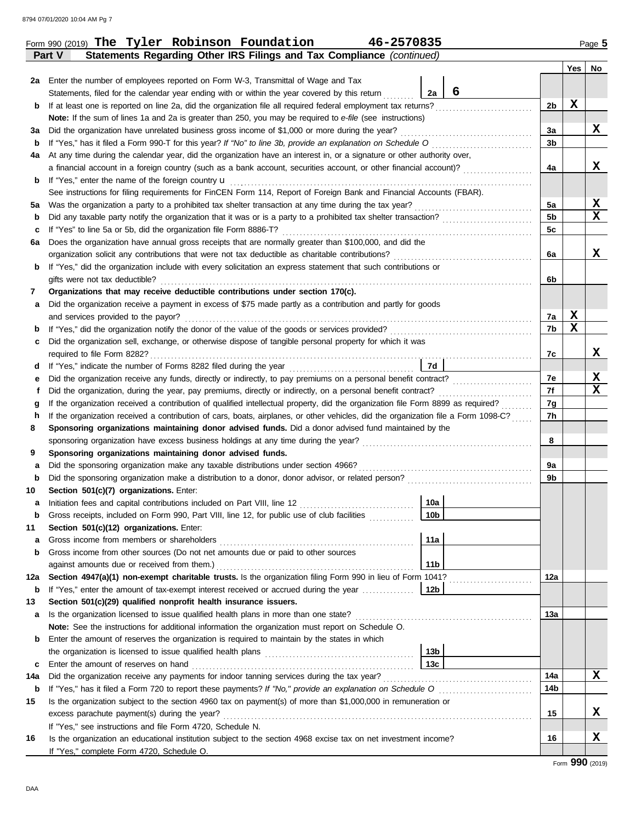|         |                                                                                                                                                                                 |                        |   |                | Yes | No              |  |  |  |  |  |  |
|---------|---------------------------------------------------------------------------------------------------------------------------------------------------------------------------------|------------------------|---|----------------|-----|-----------------|--|--|--|--|--|--|
|         | 2a Enter the number of employees reported on Form W-3, Transmittal of Wage and Tax                                                                                              |                        |   |                |     |                 |  |  |  |  |  |  |
|         | Statements, filed for the calendar year ending with or within the year covered by this return                                                                                   | 2a                     | 6 |                |     |                 |  |  |  |  |  |  |
| b       | If at least one is reported on line 2a, did the organization file all required federal employment tax returns?                                                                  |                        |   | 2 <sub>b</sub> | х   |                 |  |  |  |  |  |  |
|         | Note: If the sum of lines 1a and 2a is greater than 250, you may be required to e-file (see instructions)                                                                       |                        |   |                |     |                 |  |  |  |  |  |  |
| За      | Did the organization have unrelated business gross income of \$1,000 or more during the year?                                                                                   |                        |   | За             |     | x               |  |  |  |  |  |  |
| b       | If "Yes," has it filed a Form 990-T for this year? If "No" to line 3b, provide an explanation on Schedule O                                                                     |                        |   | 3b             |     |                 |  |  |  |  |  |  |
| 4a      | At any time during the calendar year, did the organization have an interest in, or a signature or other authority over,                                                         |                        |   |                |     |                 |  |  |  |  |  |  |
|         | a financial account in a foreign country (such as a bank account, securities account, or other financial account)?                                                              |                        |   | 4a             |     | x               |  |  |  |  |  |  |
| b       | If "Yes," enter the name of the foreign country <b>u</b><br>See instructions for filing requirements for FinCEN Form 114, Report of Foreign Bank and Financial Accounts (FBAR). |                        |   |                |     |                 |  |  |  |  |  |  |
|         |                                                                                                                                                                                 |                        |   | 5a             |     | X               |  |  |  |  |  |  |
| 5a<br>b |                                                                                                                                                                                 |                        |   | 5 <sub>b</sub> |     | $\mathbf x$     |  |  |  |  |  |  |
| c       | If "Yes" to line 5a or 5b, did the organization file Form 8886-T?                                                                                                               |                        |   | 5c             |     |                 |  |  |  |  |  |  |
| 6a      | Does the organization have annual gross receipts that are normally greater than \$100,000, and did the                                                                          |                        |   |                |     |                 |  |  |  |  |  |  |
|         |                                                                                                                                                                                 |                        |   | 6a             |     | X               |  |  |  |  |  |  |
| b       | If "Yes," did the organization include with every solicitation an express statement that such contributions or                                                                  |                        |   |                |     |                 |  |  |  |  |  |  |
|         | gifts were not tax deductible?                                                                                                                                                  |                        |   | 6b             |     |                 |  |  |  |  |  |  |
| 7       | Organizations that may receive deductible contributions under section 170(c).                                                                                                   |                        |   |                |     |                 |  |  |  |  |  |  |
| а       | Did the organization receive a payment in excess of \$75 made partly as a contribution and partly for goods                                                                     |                        |   |                |     |                 |  |  |  |  |  |  |
|         | and services provided to the payor?                                                                                                                                             |                        |   | 7a             | х   |                 |  |  |  |  |  |  |
| b       |                                                                                                                                                                                 |                        |   | 7b             | X   |                 |  |  |  |  |  |  |
| c       | Did the organization sell, exchange, or otherwise dispose of tangible personal property for which it was                                                                        |                        |   |                |     |                 |  |  |  |  |  |  |
|         | required to file Form 8282?                                                                                                                                                     |                        |   | 7c             |     | x               |  |  |  |  |  |  |
| d       |                                                                                                                                                                                 | 7d                     |   |                |     |                 |  |  |  |  |  |  |
| е       |                                                                                                                                                                                 |                        |   | 7e             |     | X               |  |  |  |  |  |  |
|         |                                                                                                                                                                                 |                        |   | 7f             |     | $\mathbf x$     |  |  |  |  |  |  |
| g       | If the organization received a contribution of qualified intellectual property, did the organization file Form 8899 as required?                                                |                        |   |                |     |                 |  |  |  |  |  |  |
| h       | If the organization received a contribution of cars, boats, airplanes, or other vehicles, did the organization file a Form 1098-C?                                              |                        |   |                |     |                 |  |  |  |  |  |  |
| 8       | Sponsoring organizations maintaining donor advised funds. Did a donor advised fund maintained by the                                                                            |                        |   |                |     |                 |  |  |  |  |  |  |
|         |                                                                                                                                                                                 |                        |   |                |     |                 |  |  |  |  |  |  |
| 9       | Sponsoring organizations maintaining donor advised funds.                                                                                                                       |                        |   |                |     |                 |  |  |  |  |  |  |
| а       | Did the sponsoring organization make any taxable distributions under section 4966?                                                                                              |                        |   | 9a             |     |                 |  |  |  |  |  |  |
| b       |                                                                                                                                                                                 |                        |   | 9b             |     |                 |  |  |  |  |  |  |
| 10      | Section 501(c)(7) organizations. Enter:                                                                                                                                         |                        |   |                |     |                 |  |  |  |  |  |  |
| а       | Initiation fees and capital contributions included on Part VIII, line 12 [11][11][11][11][11][11][11][11][11][                                                                  | 10a<br>10 <sub>b</sub> |   |                |     |                 |  |  |  |  |  |  |
| b       | Gross receipts, included on Form 990, Part VIII, line 12, for public use of club facilities                                                                                     |                        |   |                |     |                 |  |  |  |  |  |  |
| 11      | Section 501(c)(12) organizations. Enter:                                                                                                                                        | 11a                    |   |                |     |                 |  |  |  |  |  |  |
| а<br>b  | Gross income from other sources (Do not net amounts due or paid to other sources                                                                                                |                        |   |                |     |                 |  |  |  |  |  |  |
|         |                                                                                                                                                                                 | 11 <sub>b</sub>        |   |                |     |                 |  |  |  |  |  |  |
| 12a     | Section 4947(a)(1) non-exempt charitable trusts. Is the organization filing Form 990 in lieu of Form 1041?                                                                      |                        |   | 12a            |     |                 |  |  |  |  |  |  |
| b       | If "Yes," enter the amount of tax-exempt interest received or accrued during the year <i>manumum</i>                                                                            | 12b                    |   |                |     |                 |  |  |  |  |  |  |
| 13      | Section 501(c)(29) qualified nonprofit health insurance issuers.                                                                                                                |                        |   |                |     |                 |  |  |  |  |  |  |
| а       | Is the organization licensed to issue qualified health plans in more than one state?                                                                                            |                        |   | 13а            |     |                 |  |  |  |  |  |  |
|         | Note: See the instructions for additional information the organization must report on Schedule O.                                                                               |                        |   |                |     |                 |  |  |  |  |  |  |
| b       | Enter the amount of reserves the organization is required to maintain by the states in which                                                                                    |                        |   |                |     |                 |  |  |  |  |  |  |
|         |                                                                                                                                                                                 | 13b                    |   |                |     |                 |  |  |  |  |  |  |
| c       |                                                                                                                                                                                 | 13 <sub>c</sub>        |   |                |     |                 |  |  |  |  |  |  |
| 14a     |                                                                                                                                                                                 |                        |   | 14a            |     | X               |  |  |  |  |  |  |
| b       |                                                                                                                                                                                 |                        |   | 14b            |     |                 |  |  |  |  |  |  |
| 15      | Is the organization subject to the section 4960 tax on payment(s) of more than \$1,000,000 in remuneration or                                                                   |                        |   |                |     |                 |  |  |  |  |  |  |
|         | excess parachute payment(s) during the year?                                                                                                                                    |                        |   | 15             |     | x               |  |  |  |  |  |  |
|         | If "Yes," see instructions and file Form 4720, Schedule N.                                                                                                                      |                        |   |                |     |                 |  |  |  |  |  |  |
| 16      | Is the organization an educational institution subject to the section 4968 excise tax on net investment income?                                                                 |                        |   | 16             |     | x               |  |  |  |  |  |  |
|         | If "Yes," complete Form 4720, Schedule O.                                                                                                                                       |                        |   |                |     |                 |  |  |  |  |  |  |
|         |                                                                                                                                                                                 |                        |   |                |     | Form 990 (2019) |  |  |  |  |  |  |

Form 990 (2019) Page **5 The Tyler Robinson Foundation 46-2570835**

**Part V Statements Regarding Other IRS Filings and Tax Compliance** *(continued)*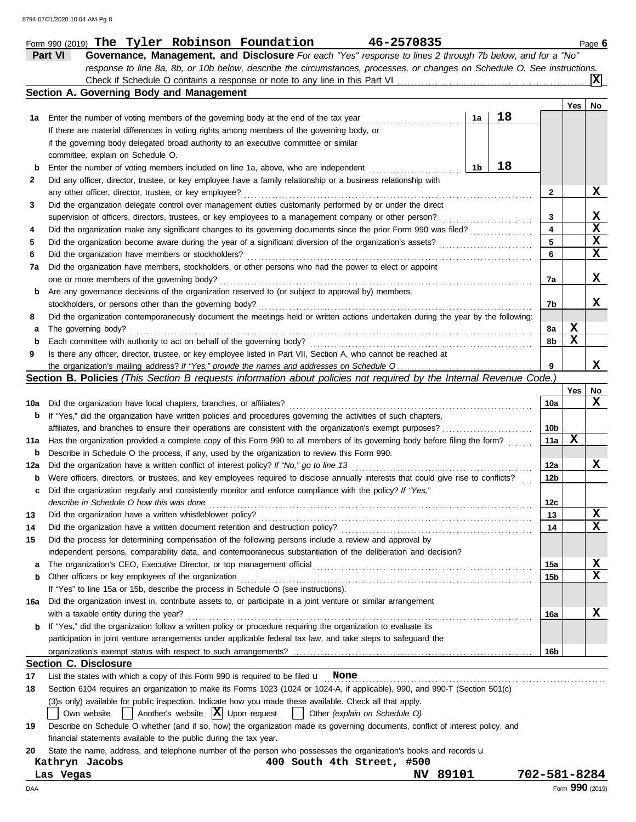|        | Part VI<br>Governance, Management, and Disclosure For each "Yes" response to lines 2 through 7b below, and for a "No"<br>response to line 8a, 8b, or 10b below, describe the circumstances, processes, or changes on Schedule O. See instructions. |    |    |                 |            |                  |
|--------|----------------------------------------------------------------------------------------------------------------------------------------------------------------------------------------------------------------------------------------------------|----|----|-----------------|------------|------------------|
|        | Section A. Governing Body and Management                                                                                                                                                                                                           |    |    |                 |            | ΙXΙ              |
|        |                                                                                                                                                                                                                                                    |    |    |                 | <b>Yes</b> | No               |
| 1a     | Enter the number of voting members of the governing body at the end of the tax year                                                                                                                                                                | 1a | 18 |                 |            |                  |
|        | If there are material differences in voting rights among members of the governing body, or                                                                                                                                                         |    |    |                 |            |                  |
|        | if the governing body delegated broad authority to an executive committee or similar                                                                                                                                                               |    |    |                 |            |                  |
|        | committee, explain on Schedule O.                                                                                                                                                                                                                  |    |    |                 |            |                  |
| b      | Enter the number of voting members included on line 1a, above, who are independent                                                                                                                                                                 | 1b | 18 |                 |            |                  |
| 2      | Did any officer, director, trustee, or key employee have a family relationship or a business relationship with                                                                                                                                     |    |    |                 |            |                  |
|        | any other officer, director, trustee, or key employee?                                                                                                                                                                                             |    |    | 2               |            | X                |
| 3      | Did the organization delegate control over management duties customarily performed by or under the direct                                                                                                                                          |    |    |                 |            |                  |
|        | supervision of officers, directors, trustees, or key employees to a management company or other person?                                                                                                                                            |    |    | 3               |            | X<br>$\mathbf x$ |
| 4      | Did the organization make any significant changes to its governing documents since the prior Form 990 was filed?                                                                                                                                   |    |    | 4<br>5          |            | X                |
| 5<br>6 | Did the organization become aware during the year of a significant diversion of the organization's assets?<br>Did the organization have members or stockholders?                                                                                   |    |    | 6               |            | X                |
| 7a     | Did the organization have members, stockholders, or other persons who had the power to elect or appoint                                                                                                                                            |    |    |                 |            |                  |
|        | one or more members of the governing body?                                                                                                                                                                                                         |    |    | 7a              |            | X                |
| b      | Are any governance decisions of the organization reserved to (or subject to approval by) members,                                                                                                                                                  |    |    |                 |            |                  |
|        | stockholders, or persons other than the governing body?                                                                                                                                                                                            |    |    | 7b              |            | x                |
| 8      | Did the organization contemporaneously document the meetings held or written actions undertaken during the year by the following:                                                                                                                  |    |    |                 |            |                  |
| а      | The governing body?                                                                                                                                                                                                                                |    |    | 8а              | X          |                  |
| b      | Each committee with authority to act on behalf of the governing body?                                                                                                                                                                              |    |    | 8b              | X          |                  |
| 9      | Is there any officer, director, trustee, or key employee listed in Part VII, Section A, who cannot be reached at                                                                                                                                   |    |    |                 |            |                  |
|        | the organization's mailing address? If "Yes," provide the names and addresses on Schedule O                                                                                                                                                        |    |    | 9               |            | x                |
|        | Section B. Policies (This Section B requests information about policies not required by the Internal Revenue Code.)                                                                                                                                |    |    |                 |            |                  |
|        |                                                                                                                                                                                                                                                    |    |    |                 | <b>Yes</b> | No               |
| 10a    | Did the organization have local chapters, branches, or affiliates?                                                                                                                                                                                 |    |    | 10a             |            | x                |
| b      | If "Yes," did the organization have written policies and procedures governing the activities of such chapters,                                                                                                                                     |    |    |                 |            |                  |
|        | affiliates, and branches to ensure their operations are consistent with the organization's exempt purposes?                                                                                                                                        |    |    | 10b             |            |                  |
| 11a    | Has the organization provided a complete copy of this Form 990 to all members of its governing body before filing the form?                                                                                                                        |    |    | 11a             | X          |                  |
| b      | Describe in Schedule O the process, if any, used by the organization to review this Form 990.                                                                                                                                                      |    |    |                 |            |                  |
| 12a    | Did the organization have a written conflict of interest policy? If "No," go to line 13                                                                                                                                                            |    |    | 12a             |            | x                |
| b      | Were officers, directors, or trustees, and key employees required to disclose annually interests that could give rise to conflicts?                                                                                                                |    |    | 12b             |            |                  |
| c      | Did the organization regularly and consistently monitor and enforce compliance with the policy? If "Yes,"                                                                                                                                          |    |    |                 |            |                  |
|        | describe in Schedule O how this was done                                                                                                                                                                                                           |    |    | 12c             |            |                  |
| 13     | Did the organization have a written whistleblower policy?                                                                                                                                                                                          |    |    | 13              |            | X<br>X           |
| 14     | Did the organization have a written document retention and destruction policy?                                                                                                                                                                     |    |    | 14              |            |                  |
| 15     | Did the process for determining compensation of the following persons include a review and approval by<br>independent persons, comparability data, and contemporaneous substantiation of the deliberation and decision?                            |    |    |                 |            |                  |
| a      |                                                                                                                                                                                                                                                    |    |    | 15a             |            | X                |
| b      | Other officers or key employees of the organization                                                                                                                                                                                                |    |    | 15b             |            | X                |
|        | If "Yes" to line 15a or 15b, describe the process in Schedule O (see instructions).                                                                                                                                                                |    |    |                 |            |                  |
| 16a    | Did the organization invest in, contribute assets to, or participate in a joint venture or similar arrangement                                                                                                                                     |    |    |                 |            |                  |
|        | with a taxable entity during the year?                                                                                                                                                                                                             |    |    | 16a             |            | X                |
| b      | If "Yes," did the organization follow a written policy or procedure requiring the organization to evaluate its                                                                                                                                     |    |    |                 |            |                  |
|        | participation in joint venture arrangements under applicable federal tax law, and take steps to safeguard the                                                                                                                                      |    |    |                 |            |                  |
|        |                                                                                                                                                                                                                                                    |    |    | 16 <sub>b</sub> |            |                  |
|        | <b>Section C. Disclosure</b>                                                                                                                                                                                                                       |    |    |                 |            |                  |
| 17     | List the states with which a copy of this Form 990 is required to be filed $\mathsf{u}$ None                                                                                                                                                       |    |    |                 |            |                  |
| 18     | Section 6104 requires an organization to make its Forms 1023 (1024 or 1024-A, if applicable), 990, and 990-T (Section 501(c)                                                                                                                       |    |    |                 |            |                  |
|        | (3)s only) available for public inspection. Indicate how you made these available. Check all that apply.                                                                                                                                           |    |    |                 |            |                  |
|        | Another's website $ \mathbf{X} $ Upon request<br>Other (explain on Schedule O)<br>Own website<br>$\mathbf{L}$                                                                                                                                      |    |    |                 |            |                  |
| 19     | Describe on Schedule O whether (and if so, how) the organization made its governing documents, conflict of interest policy, and                                                                                                                    |    |    |                 |            |                  |
|        | financial statements available to the public during the tax year.                                                                                                                                                                                  |    |    |                 |            |                  |
| 20     | State the name, address, and telephone number of the person who possesses the organization's books and records u                                                                                                                                   |    |    |                 |            |                  |
|        | 400 South 4th Street, #500<br>Kathryn Jacobs                                                                                                                                                                                                       |    |    |                 |            |                  |
|        | NV 89101<br>Las Vegas                                                                                                                                                                                                                              |    |    | 702-581-8284    |            |                  |
| DAA    |                                                                                                                                                                                                                                                    |    |    |                 |            | Form 990 (2019)  |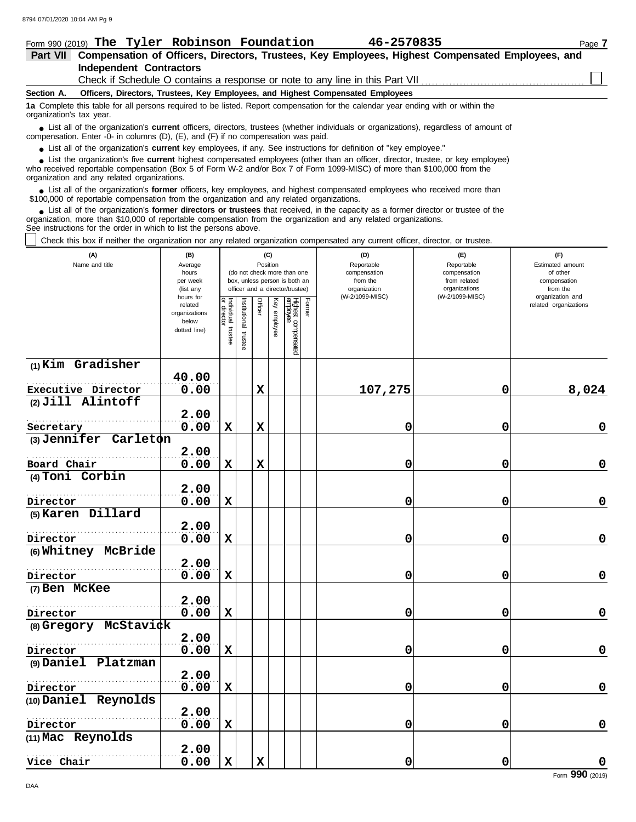| Form 990 (2019) The Tyler Robinson Foundation                                                                                                                                                                                                                                                                               |              |                                                                                                  | 46-2570835 |            | Page 7     |  |  |  |  |  |
|-----------------------------------------------------------------------------------------------------------------------------------------------------------------------------------------------------------------------------------------------------------------------------------------------------------------------------|--------------|--------------------------------------------------------------------------------------------------|------------|------------|------------|--|--|--|--|--|
| <b>Part VII</b>                                                                                                                                                                                                                                                                                                             |              | Compensation of Officers, Directors, Trustees, Key Employees, Highest Compensated Employees, and |            |            |            |  |  |  |  |  |
| <b>Independent Contractors</b>                                                                                                                                                                                                                                                                                              |              |                                                                                                  |            |            |            |  |  |  |  |  |
|                                                                                                                                                                                                                                                                                                                             |              |                                                                                                  |            |            |            |  |  |  |  |  |
| Section A.                                                                                                                                                                                                                                                                                                                  |              | Officers, Directors, Trustees, Key Employees, and Highest Compensated Employees                  |            |            |            |  |  |  |  |  |
| 1a Complete this table for all persons required to be listed. Report compensation for the calendar year ending with or within the<br>organization's tax year.                                                                                                                                                               |              |                                                                                                  |            |            |            |  |  |  |  |  |
| • List all of the organization's <b>current</b> officers, directors, trustees (whether individuals or organizations), regardless of amount of<br>compensation. Enter -0- in columns (D), (E), and (F) if no compensation was paid.                                                                                          |              |                                                                                                  |            |            |            |  |  |  |  |  |
| • List all of the organization's <b>current</b> key employees, if any. See instructions for definition of "key employee."                                                                                                                                                                                                   |              |                                                                                                  |            |            |            |  |  |  |  |  |
| List the organization's five current highest compensated employees (other than an officer, director, trustee, or key employee)<br>who received reportable compensation (Box 5 of Form W-2 and/or Box 7 of Form 1099-MISC) of more than \$100,000 from the<br>organization and any related organizations.                    |              |                                                                                                  |            |            |            |  |  |  |  |  |
| • List all of the organization's former officers, key employees, and highest compensated employees who received more than<br>\$100,000 of reportable compensation from the organization and any related organizations.                                                                                                      |              |                                                                                                  |            |            |            |  |  |  |  |  |
| List all of the organization's former directors or trustees that received, in the capacity as a former director or trustee of the<br>organization, more than \$10,000 of reportable compensation from the organization and any related organizations.<br>See instructions for the order in which to list the persons above. |              |                                                                                                  |            |            |            |  |  |  |  |  |
| Check this box if neither the organization nor any related organization compensated any current officer, director, or trustee.                                                                                                                                                                                              |              |                                                                                                  |            |            |            |  |  |  |  |  |
| $\lambda$                                                                                                                                                                                                                                                                                                                   | $\mathbf{D}$ | $\sim$                                                                                           | $\sqrt{2}$ | $\sqrt{2}$ | $\sqrt{2}$ |  |  |  |  |  |

| (A)<br>Name and title            | (B)<br>Average<br>hours<br>per week<br>(list any<br>hours for |                                   | (C)<br>Position<br>(do not check more than one<br>box, unless person is both an<br>officer and a director/trustee) |             |              |                                 |        | (D)<br>Reportable<br>compensation<br>from the<br>organization<br>(W-2/1099-MISC) | (E)<br>Reportable<br>compensation<br>from related<br>organizations<br>(W-2/1099-MISC) | (F)<br>Estimated amount<br>of other<br>compensation<br>from the<br>organization and |
|----------------------------------|---------------------------------------------------------------|-----------------------------------|--------------------------------------------------------------------------------------------------------------------|-------------|--------------|---------------------------------|--------|----------------------------------------------------------------------------------|---------------------------------------------------------------------------------------|-------------------------------------------------------------------------------------|
|                                  | related<br>organizations<br>below<br>dotted line)             | Individual trustee<br>or director | nstitutional trustee                                                                                               | Officer     | Key employee | Highest compensated<br>employee | Former |                                                                                  |                                                                                       | related organizations                                                               |
| $(1)$ Kim Gradisher              |                                                               |                                   |                                                                                                                    |             |              |                                 |        |                                                                                  |                                                                                       |                                                                                     |
| Executive Director               | 40.00<br>0.00                                                 |                                   |                                                                                                                    | $\mathbf x$ |              |                                 |        | 107,275                                                                          | 0                                                                                     | 8,024                                                                               |
| $(2)$ Jill Alintoff              |                                                               |                                   |                                                                                                                    |             |              |                                 |        |                                                                                  |                                                                                       |                                                                                     |
|                                  | 2.00                                                          |                                   |                                                                                                                    |             |              |                                 |        |                                                                                  |                                                                                       |                                                                                     |
| Secretary                        | 0.00                                                          | $\mathbf x$                       |                                                                                                                    | $\mathbf x$ |              |                                 |        | 0                                                                                | 0                                                                                     | 0                                                                                   |
| (3) Jennifer Carleton            |                                                               |                                   |                                                                                                                    |             |              |                                 |        |                                                                                  |                                                                                       |                                                                                     |
|                                  | 2.00                                                          |                                   |                                                                                                                    |             |              |                                 |        |                                                                                  |                                                                                       |                                                                                     |
| Board Chair                      | 0.00                                                          | $\mathbf x$                       |                                                                                                                    | $\mathbf x$ |              |                                 |        | 0                                                                                | 0                                                                                     | $\mathbf 0$                                                                         |
| (4) Toni Corbin                  |                                                               |                                   |                                                                                                                    |             |              |                                 |        |                                                                                  |                                                                                       |                                                                                     |
|                                  | 2.00                                                          |                                   |                                                                                                                    |             |              |                                 |        |                                                                                  |                                                                                       |                                                                                     |
| Director<br>(5) Karen Dillard    | 0.00                                                          | $\mathbf x$                       |                                                                                                                    |             |              |                                 |        | 0                                                                                | 0                                                                                     | $\mathbf 0$                                                                         |
|                                  | 2.00                                                          |                                   |                                                                                                                    |             |              |                                 |        |                                                                                  |                                                                                       |                                                                                     |
| Director                         | 0.00                                                          | $\mathbf x$                       |                                                                                                                    |             |              |                                 |        | 0                                                                                | 0                                                                                     | $\mathbf 0$                                                                         |
| (6) Whitney McBride              |                                                               |                                   |                                                                                                                    |             |              |                                 |        |                                                                                  |                                                                                       |                                                                                     |
|                                  | 2.00                                                          |                                   |                                                                                                                    |             |              |                                 |        |                                                                                  |                                                                                       |                                                                                     |
| Director                         | 0.00                                                          | $\mathbf x$                       |                                                                                                                    |             |              |                                 |        | 0                                                                                | 0                                                                                     | 0                                                                                   |
| (7) Ben McKee                    |                                                               |                                   |                                                                                                                    |             |              |                                 |        |                                                                                  |                                                                                       |                                                                                     |
|                                  | 2.00                                                          |                                   |                                                                                                                    |             |              |                                 |        |                                                                                  |                                                                                       |                                                                                     |
| Director                         | 0.00                                                          | $\mathbf x$                       |                                                                                                                    |             |              |                                 |        | 0                                                                                | 0                                                                                     | $\mathbf 0$                                                                         |
| (8) Gregory McStavick            |                                                               |                                   |                                                                                                                    |             |              |                                 |        |                                                                                  |                                                                                       |                                                                                     |
|                                  | 2.00                                                          |                                   |                                                                                                                    |             |              |                                 |        |                                                                                  |                                                                                       |                                                                                     |
| Director                         | 0.00                                                          | $\mathbf x$                       |                                                                                                                    |             |              |                                 |        | 0                                                                                | 0                                                                                     | $\mathbf 0$                                                                         |
| (9) Daniel Platzman              |                                                               |                                   |                                                                                                                    |             |              |                                 |        |                                                                                  |                                                                                       |                                                                                     |
|                                  | 2.00                                                          |                                   |                                                                                                                    |             |              |                                 |        |                                                                                  |                                                                                       |                                                                                     |
| Director<br>(10) Daniel Reynolds | 0.00                                                          | $\mathbf x$                       |                                                                                                                    |             |              |                                 |        | 0                                                                                | 0                                                                                     | $\pmb{0}$                                                                           |
|                                  | 2.00                                                          |                                   |                                                                                                                    |             |              |                                 |        |                                                                                  |                                                                                       |                                                                                     |
| Director                         | 0.00                                                          | $\mathbf x$                       |                                                                                                                    |             |              |                                 |        | 0                                                                                | 0                                                                                     | $\mathbf 0$                                                                         |
| (11) Mac Reynolds                |                                                               |                                   |                                                                                                                    |             |              |                                 |        |                                                                                  |                                                                                       |                                                                                     |
|                                  | 2.00                                                          |                                   |                                                                                                                    |             |              |                                 |        |                                                                                  |                                                                                       |                                                                                     |
| Vice Chair                       | 0.00                                                          | $\mathbf x$                       |                                                                                                                    | $\mathbf x$ |              |                                 |        | 0                                                                                | 0                                                                                     | $\mathbf 0$                                                                         |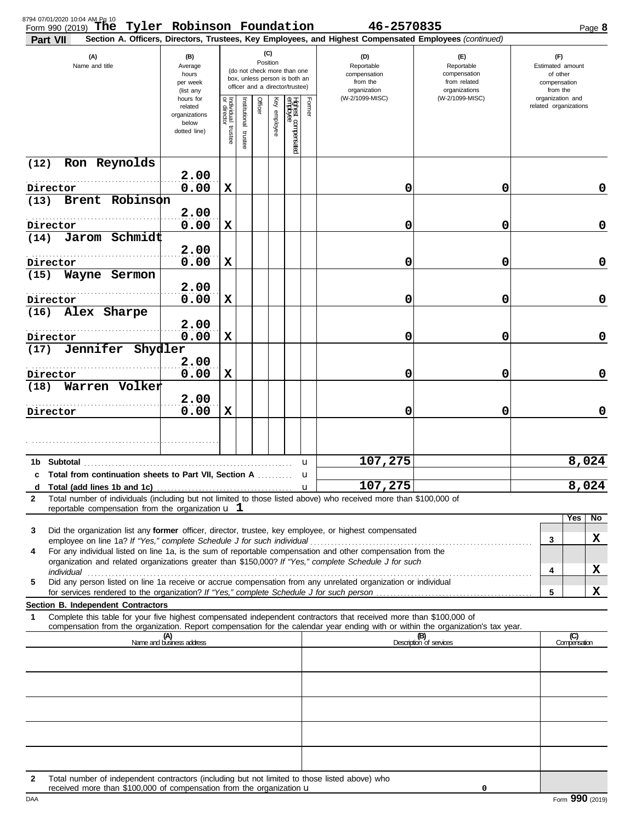| Form 990 (2019) The Tyler Robinson Foundation<br>Part VII                                                                                                                                                                                                   |                                                                                                                                                                        |                                      |                      |         |              |                                 |        | 46-2570835<br>Section A. Officers, Directors, Trustees, Key Employees, and Highest Compensated Employees (continued) |                                                                    |  |                                                                 | Page 8              |
|-------------------------------------------------------------------------------------------------------------------------------------------------------------------------------------------------------------------------------------------------------------|------------------------------------------------------------------------------------------------------------------------------------------------------------------------|--------------------------------------|----------------------|---------|--------------|---------------------------------|--------|----------------------------------------------------------------------------------------------------------------------|--------------------------------------------------------------------|--|-----------------------------------------------------------------|---------------------|
| (A)<br>Name and title                                                                                                                                                                                                                                       | (C)<br>(B)<br>Position<br>Average<br>(do not check more than one<br>hours<br>box, unless person is both an<br>per week<br>officer and a director/trustee)<br>(list any |                                      |                      |         |              |                                 |        | (D)<br>Reportable<br>compensation<br>from the<br>organization                                                        | (F)<br>Reportable<br>compensation<br>from related<br>organizations |  | (F)<br>Estimated amount<br>of other<br>compensation<br>from the |                     |
|                                                                                                                                                                                                                                                             | hours for<br>related<br>organizations<br>below<br>dotted line)                                                                                                         | Individual<br>or director<br>trustee | nstitutional trustee | Officer | Key employee | Highest compensated<br>employee | Former | (W-2/1099-MISC)                                                                                                      | (W-2/1099-MISC)                                                    |  | organization and<br>related organizations                       |                     |
| Ron Reynolds<br>(12)                                                                                                                                                                                                                                        |                                                                                                                                                                        |                                      |                      |         |              |                                 |        |                                                                                                                      |                                                                    |  |                                                                 |                     |
| Director                                                                                                                                                                                                                                                    | 2.00<br>0.00                                                                                                                                                           | X                                    |                      |         |              |                                 |        | 0                                                                                                                    | 0                                                                  |  |                                                                 | 0                   |
| Brent Robinson<br>(13)                                                                                                                                                                                                                                      | 2.00                                                                                                                                                                   |                                      |                      |         |              |                                 |        |                                                                                                                      |                                                                    |  |                                                                 |                     |
| Director<br>Jarom Schmidt<br>(14)                                                                                                                                                                                                                           | 0.00                                                                                                                                                                   | X                                    |                      |         |              |                                 |        | 0                                                                                                                    | 0                                                                  |  |                                                                 | $\mathbf 0$         |
| Director                                                                                                                                                                                                                                                    | 2.00<br>0.00                                                                                                                                                           | $\mathbf x$                          |                      |         |              |                                 |        | 0                                                                                                                    | 0                                                                  |  |                                                                 | $\mathbf 0$         |
| (15)<br>Wayne Sermon                                                                                                                                                                                                                                        | 2.00                                                                                                                                                                   |                                      |                      |         |              |                                 |        |                                                                                                                      |                                                                    |  |                                                                 |                     |
| Director<br>Alex Sharpe<br>(16)                                                                                                                                                                                                                             | 0.00                                                                                                                                                                   | X                                    |                      |         |              |                                 |        | 0                                                                                                                    | 0                                                                  |  |                                                                 | $\mathbf 0$         |
| Director                                                                                                                                                                                                                                                    | 2.00<br>0.00                                                                                                                                                           | $\mathbf x$                          |                      |         |              |                                 |        | 0                                                                                                                    | 0                                                                  |  |                                                                 | $\mathbf 0$         |
| Jennifer Shydler<br>(17)                                                                                                                                                                                                                                    | 2.00                                                                                                                                                                   |                                      |                      |         |              |                                 |        |                                                                                                                      |                                                                    |  |                                                                 |                     |
| Director<br>Warren Volker<br>(18)                                                                                                                                                                                                                           | 0.00                                                                                                                                                                   | $\mathbf x$                          |                      |         |              |                                 |        | 0                                                                                                                    | 0                                                                  |  |                                                                 | $\mathbf 0$         |
| Director                                                                                                                                                                                                                                                    | 2.00<br>0.00                                                                                                                                                           | X                                    |                      |         |              |                                 |        | 0                                                                                                                    | 0                                                                  |  |                                                                 | $\mathbf 0$         |
|                                                                                                                                                                                                                                                             |                                                                                                                                                                        |                                      |                      |         |              |                                 |        |                                                                                                                      |                                                                    |  |                                                                 |                     |
|                                                                                                                                                                                                                                                             |                                                                                                                                                                        |                                      |                      |         |              |                                 |        | 107,275                                                                                                              |                                                                    |  |                                                                 | 8,024               |
| 1b.<br><b>c</b> Total from continuation sheets to Part VII, Section A                                                                                                                                                                                       |                                                                                                                                                                        |                                      |                      |         |              |                                 | u<br>u |                                                                                                                      |                                                                    |  |                                                                 |                     |
| Total (add lines 1b and 1c)<br>d<br>Total number of individuals (including but not limited to those listed above) who received more than \$100,000 of<br>$\mathbf{2}$                                                                                       |                                                                                                                                                                        |                                      |                      |         |              |                                 | u      | 107,275                                                                                                              |                                                                    |  |                                                                 | 8,024               |
| reportable compensation from the organization $\mathbf u$ 1                                                                                                                                                                                                 |                                                                                                                                                                        |                                      |                      |         |              |                                 |        |                                                                                                                      |                                                                    |  |                                                                 | Yes<br>No           |
| Did the organization list any former officer, director, trustee, key employee, or highest compensated<br>3                                                                                                                                                  |                                                                                                                                                                        |                                      |                      |         |              |                                 |        |                                                                                                                      |                                                                    |  | 3                                                               | X                   |
| For any individual listed on line 1a, is the sum of reportable compensation and other compensation from the<br>4<br>organization and related organizations greater than \$150,000? If "Yes," complete Schedule J for such                                   |                                                                                                                                                                        |                                      |                      |         |              |                                 |        |                                                                                                                      |                                                                    |  | 4                                                               | X                   |
| individual<br>Did any person listed on line 1a receive or accrue compensation from any unrelated organization or individual<br>5                                                                                                                            |                                                                                                                                                                        |                                      |                      |         |              |                                 |        |                                                                                                                      |                                                                    |  | 5                                                               | x                   |
| Section B. Independent Contractors                                                                                                                                                                                                                          |                                                                                                                                                                        |                                      |                      |         |              |                                 |        |                                                                                                                      |                                                                    |  |                                                                 |                     |
| Complete this table for your five highest compensated independent contractors that received more than \$100,000 of<br>1<br>compensation from the organization. Report compensation for the calendar year ending with or within the organization's tax year. |                                                                                                                                                                        |                                      |                      |         |              |                                 |        |                                                                                                                      |                                                                    |  |                                                                 |                     |
|                                                                                                                                                                                                                                                             | (A)<br>Name and business address                                                                                                                                       |                                      |                      |         |              |                                 |        |                                                                                                                      | (B)<br>Description of services                                     |  |                                                                 | (C)<br>Compensation |
|                                                                                                                                                                                                                                                             |                                                                                                                                                                        |                                      |                      |         |              |                                 |        |                                                                                                                      |                                                                    |  |                                                                 |                     |
|                                                                                                                                                                                                                                                             |                                                                                                                                                                        |                                      |                      |         |              |                                 |        |                                                                                                                      |                                                                    |  |                                                                 |                     |
|                                                                                                                                                                                                                                                             |                                                                                                                                                                        |                                      |                      |         |              |                                 |        |                                                                                                                      |                                                                    |  |                                                                 |                     |
|                                                                                                                                                                                                                                                             |                                                                                                                                                                        |                                      |                      |         |              |                                 |        |                                                                                                                      |                                                                    |  |                                                                 |                     |
| Total number of independent contractors (including but not limited to those listed above) who<br>2                                                                                                                                                          |                                                                                                                                                                        |                                      |                      |         |              |                                 |        |                                                                                                                      |                                                                    |  |                                                                 |                     |
| received more than \$100,000 of compensation from the organization u                                                                                                                                                                                        |                                                                                                                                                                        |                                      |                      |         |              |                                 |        |                                                                                                                      | 0                                                                  |  |                                                                 |                     |

DAA Form **990** (2019)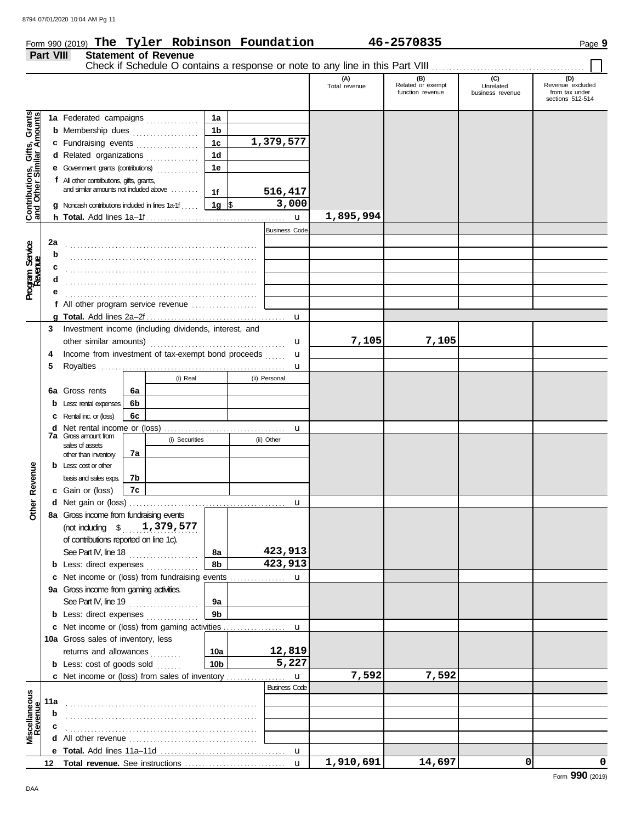**Part VIII Statement of Revenue**

|                                                                  |             |                                                                                                               |    |                |                |   |                      | (A)<br>Total revenue | (B)<br>Related or exempt<br>function revenue | (C)<br>Unrelated<br>business revenue | (D)<br>Revenue excluded<br>from tax under<br>sections 512-514 |
|------------------------------------------------------------------|-------------|---------------------------------------------------------------------------------------------------------------|----|----------------|----------------|---|----------------------|----------------------|----------------------------------------------|--------------------------------------|---------------------------------------------------------------|
|                                                                  |             |                                                                                                               |    |                | 1a             |   |                      |                      |                                              |                                      |                                                               |
| <b>Contributions, Gifts, Grants</b><br>and Other Similar Amounts |             | 1a Federated campaigns<br>1 <sub>b</sub><br><b>b</b> Membership dues                                          |    |                |                |   |                      |                      |                                              |                                      |                                                               |
|                                                                  |             | c Fundraising events<br>d Related organizations                                                               |    |                | 1 <sub>c</sub> |   | 1,379,577            |                      |                                              |                                      |                                                               |
|                                                                  |             |                                                                                                               |    |                | 1d             |   |                      |                      |                                              |                                      |                                                               |
|                                                                  |             | e Government grants (contributions)<br>                                                                       |    |                | 1e             |   |                      |                      |                                              |                                      |                                                               |
|                                                                  |             | f All other contributions, gifts, grants,                                                                     |    |                |                |   |                      |                      |                                              |                                      |                                                               |
|                                                                  |             | and similar amounts not induded above                                                                         |    |                | 1f             |   | 516,417              |                      |                                              |                                      |                                                               |
|                                                                  |             | $g$ Noncash contributions included in lines 1a-1f $\ldots$                                                    |    |                | 1g $\vert$ \$  |   | 3,000                |                      |                                              |                                      |                                                               |
|                                                                  |             |                                                                                                               |    |                |                |   | $\mathbf{u}$         | 1,895,994            |                                              |                                      |                                                               |
|                                                                  |             |                                                                                                               |    |                |                |   | <b>Business Code</b> |                      |                                              |                                      |                                                               |
|                                                                  | 2a          |                                                                                                               |    |                |                |   |                      |                      |                                              |                                      |                                                               |
|                                                                  | $\mathbf b$ |                                                                                                               |    |                |                |   |                      |                      |                                              |                                      |                                                               |
| Program Service<br>Revenue                                       |             | c                                                                                                             |    |                |                |   |                      |                      |                                              |                                      |                                                               |
|                                                                  | d           |                                                                                                               |    |                |                |   |                      |                      |                                              |                                      |                                                               |
|                                                                  |             |                                                                                                               |    |                |                |   |                      |                      |                                              |                                      |                                                               |
|                                                                  |             | f All other program service revenue                                                                           |    |                |                |   |                      |                      |                                              |                                      |                                                               |
|                                                                  |             | u                                                                                                             |    |                |                |   |                      |                      |                                              |                                      |                                                               |
|                                                                  |             |                                                                                                               |    |                |                |   |                      |                      |                                              |                                      |                                                               |
|                                                                  |             |                                                                                                               |    |                |                |   | u                    | 7,105                | 7,105                                        |                                      |                                                               |
|                                                                  | 4           | 3 Investment income (including dividends, interest, and<br>Income from investment of tax-exempt bond proceeds |    |                |                | u |                      |                      |                                              |                                      |                                                               |
|                                                                  | 5           |                                                                                                               |    |                |                |   | u                    |                      |                                              |                                      |                                                               |
|                                                                  |             |                                                                                                               |    | (i) Real       |                |   | (ii) Personal        |                      |                                              |                                      |                                                               |
|                                                                  |             | <b>6a</b> Gross rents                                                                                         | 6a |                |                |   |                      |                      |                                              |                                      |                                                               |
|                                                                  |             | <b>b</b> Less: rental expenses                                                                                | 6b |                |                |   |                      |                      |                                              |                                      |                                                               |
|                                                                  |             | <b>c</b> Rental inc. or (loss)                                                                                | 6с |                |                |   |                      |                      |                                              |                                      |                                                               |
|                                                                  |             |                                                                                                               |    |                |                |   | u                    |                      |                                              |                                      |                                                               |
|                                                                  |             | <b>7a</b> Gross amount from                                                                                   |    | (i) Securities |                |   | (ii) Other           |                      |                                              |                                      |                                                               |
|                                                                  |             | sales of assets<br>other than inventory                                                                       | 7а |                |                |   |                      |                      |                                              |                                      |                                                               |
|                                                                  |             | $b$ Less: $\cos$ or other                                                                                     |    |                |                |   |                      |                      |                                              |                                      |                                                               |
| Revenue                                                          |             | basis and sales exps.                                                                                         | 7b |                |                |   |                      |                      |                                              |                                      |                                                               |
|                                                                  |             | c Gain or (loss)                                                                                              | 7c |                |                |   |                      |                      |                                              |                                      |                                                               |
|                                                                  |             |                                                                                                               |    |                |                |   | u                    |                      |                                              |                                      |                                                               |
| <b>Other</b>                                                     |             | 8a Gross income from fundraising events                                                                       |    |                |                |   |                      |                      |                                              |                                      |                                                               |
|                                                                  |             | (not including \$1,379,577                                                                                    |    |                |                |   |                      |                      |                                              |                                      |                                                               |
|                                                                  |             | of contributions reported on line 1c).                                                                        |    |                |                |   |                      |                      |                                              |                                      |                                                               |
|                                                                  |             | See Part IV, line 18                                                                                          |    | .              | 8а             |   | 423,913              |                      |                                              |                                      |                                                               |
|                                                                  |             | <b>b</b> Less: direct expenses <i>minimum</i>                                                                 |    |                | 8b             |   | 423,913              |                      |                                              |                                      |                                                               |
|                                                                  |             |                                                                                                               |    |                |                |   | u                    |                      |                                              |                                      |                                                               |
|                                                                  |             | 9a Gross income from gaming activities.                                                                       |    |                |                |   |                      |                      |                                              |                                      |                                                               |
|                                                                  |             | See Part IV, line 19 $\ldots$                                                                                 |    |                | 9a             |   |                      |                      |                                              |                                      |                                                               |
|                                                                  |             | <b>b</b> Less: direct expenses <i>minimum</i>                                                                 |    |                | 9 <sub>b</sub> |   |                      |                      |                                              |                                      |                                                               |
|                                                                  |             | c Net income or (loss) from gaming activities                                                                 |    |                |                |   | u                    |                      |                                              |                                      |                                                               |
|                                                                  |             | 10a Gross sales of inventory, less                                                                            |    |                |                |   |                      |                      |                                              |                                      |                                                               |
|                                                                  |             | returns and allowances                                                                                        |    |                | 10a            |   | 12,819               |                      |                                              |                                      |                                                               |
|                                                                  |             | <b>b</b> Less: cost of goods sold                                                                             |    |                | 10b            |   | 5,227                |                      |                                              |                                      |                                                               |
|                                                                  |             | <b>c</b> Net income or (loss) from sales of inventory                                                         |    |                |                |   | u                    | 7,592                | 7,592                                        |                                      |                                                               |
|                                                                  |             |                                                                                                               |    |                |                |   | <b>Business Code</b> |                      |                                              |                                      |                                                               |
|                                                                  | 11a         |                                                                                                               |    |                |                |   |                      |                      |                                              |                                      |                                                               |
|                                                                  | b           |                                                                                                               |    |                |                |   |                      |                      |                                              |                                      |                                                               |
| Miscellaneous<br>Revenue                                         |             |                                                                                                               |    |                |                |   |                      |                      |                                              |                                      |                                                               |
|                                                                  |             |                                                                                                               |    |                |                |   |                      |                      |                                              |                                      |                                                               |
|                                                                  |             |                                                                                                               |    |                |                |   | $\mathbf{u}$         |                      |                                              |                                      |                                                               |

<u>u l</u>

**1,910,691 14,697 0 0**

**Total revenue.** See instructions . . . . . . . . . . . . . . . . . . . . . . . . . . . . . **12**

Form 990 (2019) Page **9 The Tyler Robinson Foundation 46-2570835**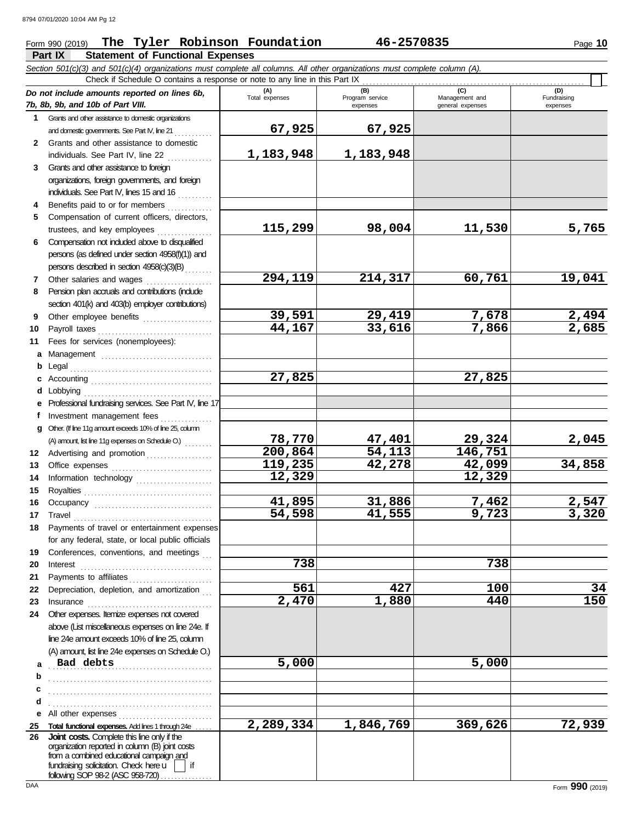### Form 990 (2019) Page **10 The Tyler Robinson Foundation 46-2570835**

**Part IX Statement of Functional Expenses** *Section 501(c)(3) and 501(c)(4) organizations must complete all columns. All other organizations must complete column (A).*

|              | Check if Schedule O contains a response or note to any line in this Part IX                               |                       |                                    |                                           |                                |
|--------------|-----------------------------------------------------------------------------------------------------------|-----------------------|------------------------------------|-------------------------------------------|--------------------------------|
|              | Do not include amounts reported on lines 6b,<br>7b, 8b, 9b, and 10b of Part VIII.                         | (A)<br>Total expenses | (B)<br>Program service<br>expenses | (C)<br>Management and<br>general expenses | (D)<br>Fundraising<br>expenses |
| 1            | Grants and other assistance to domestic organizations                                                     |                       |                                    |                                           |                                |
|              | and domestic governments. See Part IV, line 21                                                            | 67,925                | 67,925                             |                                           |                                |
| $\mathbf{2}$ | Grants and other assistance to domestic                                                                   |                       |                                    |                                           |                                |
|              | individuals. See Part IV, line 22                                                                         | 1,183,948             | 1,183,948                          |                                           |                                |
| 3            | Grants and other assistance to foreign                                                                    |                       |                                    |                                           |                                |
|              | organizations, foreign governments, and foreign                                                           |                       |                                    |                                           |                                |
|              | individuals. See Part IV, lines 15 and 16                                                                 |                       |                                    |                                           |                                |
| 4            | Benefits paid to or for members                                                                           |                       |                                    |                                           |                                |
| 5            | Compensation of current officers, directors,                                                              |                       |                                    |                                           |                                |
|              | trustees, and key employees                                                                               | 115,299               | 98,004                             | 11,530                                    | 5,765                          |
| 6            | Compensation not included above to disqualified                                                           |                       |                                    |                                           |                                |
|              | persons (as defined under section 4958(f)(1)) and                                                         |                       |                                    |                                           |                                |
|              | persons described in section 4958(c)(3)(B)                                                                |                       |                                    |                                           |                                |
| 7            | Other salaries and wages                                                                                  | 294,119               | 214,317                            | 60,761                                    | 19,041                         |
| 8            | Pension plan accruals and contributions (include                                                          |                       |                                    |                                           |                                |
|              | section 401(k) and 403(b) employer contributions)                                                         |                       |                                    |                                           |                                |
| 9            | Other employee benefits                                                                                   | 39,591                | 29,419                             | 7,678                                     | 2,494                          |
| 10           | Payroll taxes                                                                                             | 44,167                | 33,616                             | 7,866                                     | 2,685                          |
| 11           | Fees for services (nonemployees):                                                                         |                       |                                    |                                           |                                |
| а            |                                                                                                           |                       |                                    |                                           |                                |
| b            |                                                                                                           | 27,825                |                                    | 27,825                                    |                                |
| c<br>d       | Lobbying                                                                                                  |                       |                                    |                                           |                                |
| е            | Professional fundraising services. See Part IV, line 17                                                   |                       |                                    |                                           |                                |
| f            | Investment management fees                                                                                |                       |                                    |                                           |                                |
| a            | Other. (If line 11g amount exceeds 10% of line 25, column                                                 |                       |                                    |                                           |                                |
|              |                                                                                                           | 78,770                | 47,401                             | 29,324                                    | 2,045                          |
| 12           | Advertising and promotion                                                                                 | 200,864               | 54, 113                            | 146,751                                   |                                |
| 13           |                                                                                                           | 119,235               | 42,278                             | 42,099                                    | 34,858                         |
| 14           | Information technology                                                                                    | 12,329                |                                    | 12,329                                    |                                |
| 15           |                                                                                                           |                       |                                    |                                           |                                |
| 16           |                                                                                                           | 41,895                | 31,886                             | 7,462                                     | 2,547                          |
| 17           | Travel <b>Travel Travel Travel Travel Travel Travel Travel Travel Travel Travel Travel Travel Travel </b> | 54,598                | 41,555                             | 9,723                                     | 3,320                          |
| 18           | Payments of travel or entertainment expenses                                                              |                       |                                    |                                           |                                |
|              | for any federal, state, or local public officials                                                         |                       |                                    |                                           |                                |
| 19           | Conferences, conventions, and meetings                                                                    |                       |                                    |                                           |                                |
| 20           | $Interest$                                                                                                | 738                   |                                    | 738                                       |                                |
| 21           |                                                                                                           |                       |                                    |                                           |                                |
| 22           | Depreciation, depletion, and amortization                                                                 | 561                   | 427                                | 100                                       | 34                             |
| 23           |                                                                                                           | 2,470                 | 1,880                              | 440                                       | 150                            |
| 24           | Other expenses. Itemize expenses not covered                                                              |                       |                                    |                                           |                                |
|              | above (List miscellaneous expenses on line 24e. If                                                        |                       |                                    |                                           |                                |
|              | line 24e amount exceeds 10% of line 25, column                                                            |                       |                                    |                                           |                                |
|              | (A) amount, list line 24e expenses on Schedule O.)                                                        |                       |                                    |                                           |                                |
| a            | Bad debts                                                                                                 | 5,000                 |                                    | 5,000                                     |                                |
| b            |                                                                                                           |                       |                                    |                                           |                                |
| c            |                                                                                                           |                       |                                    |                                           |                                |
| d            |                                                                                                           |                       |                                    |                                           |                                |
| е            | Total functional expenses. Add lines 1 through 24e                                                        | 2,289,334             | 1,846,769                          | 369,626                                   | 72,939                         |
| 25<br>26     | <b>Joint costs.</b> Complete this line only if the                                                        |                       |                                    |                                           |                                |
|              | organization reported in column (B) joint costs                                                           |                       |                                    |                                           |                                |
|              | from a combined educational campaign and                                                                  |                       |                                    |                                           |                                |
|              | fundraising solicitation. Check here u<br>if<br>following SOP 98-2 (ASC 958-720)                          |                       |                                    |                                           |                                |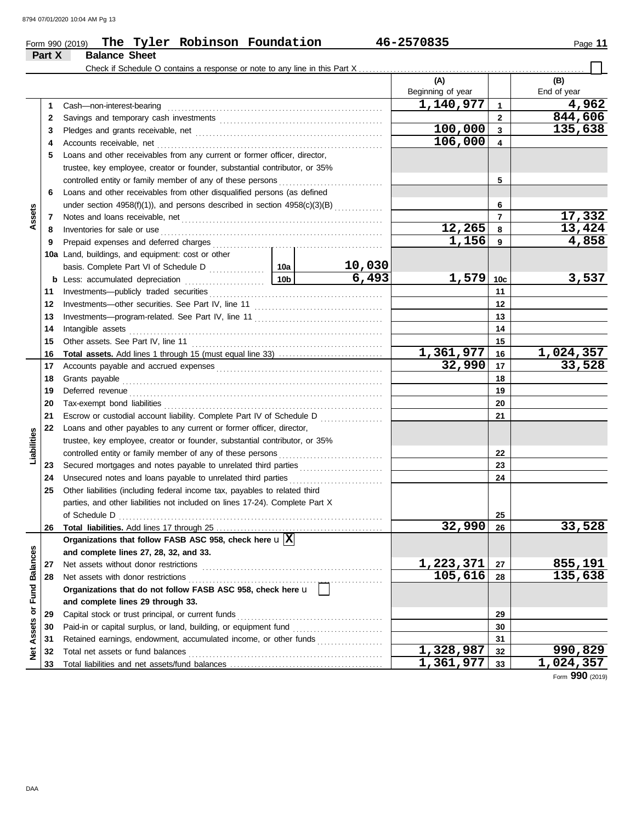|  | Form 990 (2019) |  |  |  | The Tyler Robinson Foundation | 46-2570835 | Page 11 |
|--|-----------------|--|--|--|-------------------------------|------------|---------|
|--|-----------------|--|--|--|-------------------------------|------------|---------|

#### **Part X Balance Sheet** Check if Schedule O contains a response or note to any line in this Part X **(A) (B)** Beginning of year | | End of year **1,140,977 4,962** Cash—non-interest-bearing . . . . . . . . . . . . . . . . . . . . . . . . . . . . . . . . . . . . . . . . . . . . . . . . . . . . . . . . . . . . . . **1 1 844,606 2 2** Savings and temporary cash investments . . . . . . . . . . . . . . . . . . . . . . . . . . . . . . . . . . . . . . . . . . . . . . . **100,000 135,638 3 3** Pledges and grants receivable, net **change in the construction** contains and state in the construction of the construction of the construction of the construction of the construction of the construction of the construc **106,000 4 4** Accounts receivable, net . . . . . . . . . . . . . . . . . . . . . . . . . . . . . . . . . . . . . . . . . . . . . . . . . . . . . . . . . . . . . . . . . **5** Loans and other receivables from any current or former officer, director, trustee, key employee, creator or founder, substantial contributor, or 35% controlled entity or family member of any of these persons . . . . . . . . . . . . . . . . . . . . . . . . . . . . . . **5 6** Loans and other receivables from other disqualified persons (as defined **6** under section  $4958(f)(1)$ , and persons described in section  $4958(c)(3)(B)$  ............. **Assets 7 17,332 7** Notes and loans receivable, net . . . . . . . . . . . . . . . . . . . . . . . . . . . . . . . . . . . . . . . . . . . . . . . . . . . . . . . . . . **12,265 a 13,424**<br>**1,156 a 1,68 8 8** Inventories for sale or use . . . . . . . . . . . . . . . . . . . . . . . . . . . . . . . . . . . . . . . . . . . . . . . . . . . . . . . . . . . . . . . . **1,156** Prepaid expenses and deferred charges . . . . . . . . . . . . . . . . . . . . . . . . . . . . . . . . . . . . . . . . . . . . . . . . . **9 9 10a** Land, buildings, and equipment: cost or other **10,030** basis. Complete Part VI of Schedule D . . . . . . . . . . . . . . . . **10a 6,493 1,579 3,537 10c b** Less: accumulated depreciation . . . . . . . . . . . . . . . . . . 10b Investments—publicly traded securities . . . . . . . . . . . . . . . . . . . . . . . . . . . . . . . . . . . . . . . . . . . . . . . . . . **11 11 12 12** Investments—other securities. See Part IV, line 11 . . . . . . . . . . . . . . . . . . . . . . . . . . . . . . . . . . . . . **13** Investments—program-related. See Part IV, line 11 . . . . . . . . . . . . . . . . . . . . . . . . . . . . . . . . . . . . . **13** 14 Intangible assets Intangible assets . . . . . . . . . . . . . . . . . . . . . . . . . . . . . . . . . . . . . . . . . . . . . . . . . . . . . . . . . . . . . . . . . . . . . . . . . **14 15 15** Other assets. See Part IV, line 11 . . . . . . . . . . . . . . . . . . . . . . . . . . . . . . . . . . . . . . . . . . . . . . . . . . . . . . . **1,361,977 1,024,357 Total assets.** Add lines 1 through 15 (must equal line 33) . . . . . . . . . . . . . . . . . . . . . . . . . . . . . . **16 16 32,990 33,528 17** Accounts payable and accrued expenses . . . . . . . . . . . . . . . . . . . . . . . . . . . . . . . . . . . . . . . . . . . . . . . . **17** Grants payable . . . . . . . . . . . . . . . . . . . . . . . . . . . . . . . . . . . . . . . . . . . . . . . . . . . . . . . . . . . . . . . . . . . . . . . . . . . **18 18 19 19** Deferred revenue . . . . . . . . . . . . . . . . . . . . . . . . . . . . . . . . . . . . . . . . . . . . . . . . . . . . . . . . . . . . . . . . . . . . . . . . . **20 20** Tax-exempt bond liabilities . . . . . . . . . . . . . . . . . . . . . . . . . . . . . . . . . . . . . . . . . . . . . . . . . . . . . . . . . . . . . . . **21** Escrow or custodial account liability. Complete Part IV of Schedule D . . . . . . . . . . . . . . . . . . **21 22** Loans and other payables to any current or former officer, director, **Liabilities** trustee, key employee, creator or founder, substantial contributor, or 35% controlled entity or family member of any of these persons **22** Secured mortgages and notes payable to unrelated third parties ....................... **23 23 24** Unsecured notes and loans payable to unrelated third parties . . . . . . . . . . . . . . . . . . . . . . . . . . . **24 25** Other liabilities (including federal income tax, payables to related third parties, and other liabilities not included on lines 17-24). Complete Part X of Schedule D . . . . . . . . . . . . . . . . . . . . . . . . . . . . . . . . . . . . . . . . . . . . . . . . . . . . . . . . . . . . . . . . . . . . . . . . . . . . **25 32,990 33,528 26 Total liabilities.** Add lines 17 through 25 .... **26 Organizations that follow FASB ASC 958, check here** u **X** Net Assets or Fund Balances **Net Assets or Fund Balances and complete lines 27, 28, 32, and 33.** Net assets without donor restrictions . . . . . . . . . . . . . . . . . . . . . . . . . . . . . . . . . . . . . . . . . . . . . . . . . . . . **1,223,371 855,191 27 27 28** Net assets with donor restrictions **105,616 135,638 28 Organizations that do not follow FASB ASC 958, check here** u **and complete lines 29 through 33.** Capital stock or trust principal, or current funds . . . . . . . . . . . . . . . . . . . . . . . . . . . . . . . . . . . . . . . . . . **29 29** Paid-in or capital surplus, or land, building, or equipment fund . . . . . . . . . . . . . . . . . . . . . . . . . . **30 30 31** Retained earnings, endowment, accumulated income, or other funds . . . . . . . . . . . . . . . . . . . **31 1,328,987** 32 990,829<br>1,361,977 33 1,024,357 Total net assets or fund balances . . . . . . . . . . . . . . . . . . . . . . . . . . . . . . . . . . . . . . . . . . . . . . . . . . . . . . . . **32 32 1,361,977 1,024,357** Total liabilities and net assets/fund balances . . . . . . . . . . . . . . . . . . . . . . . . . . . . . . . . . . . . . . . . . . . . **33 33**

Form **990** (2019)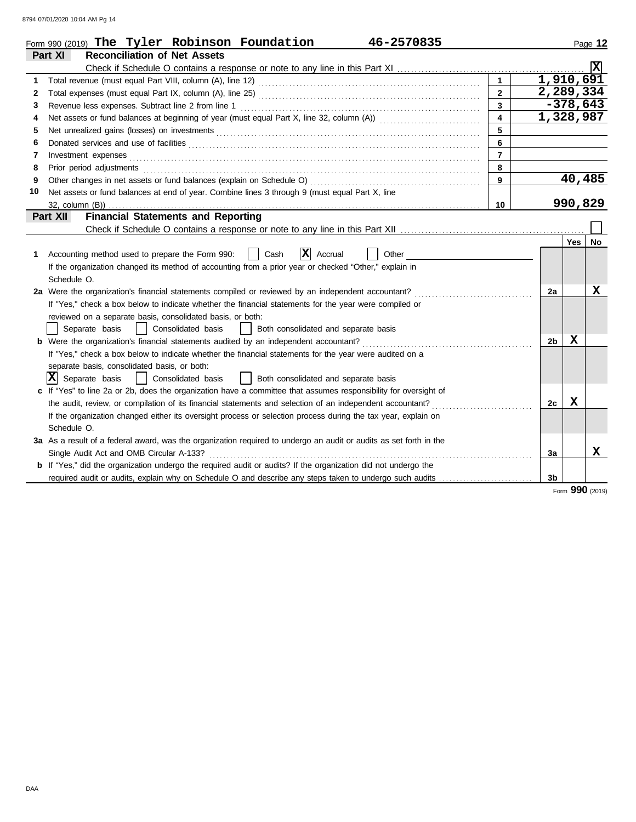|    | Form 990 (2019) The Tyler Robinson Foundation<br>46-2570835                                                                                                                                                                    |                |           |            | Page 12 |  |  |
|----|--------------------------------------------------------------------------------------------------------------------------------------------------------------------------------------------------------------------------------|----------------|-----------|------------|---------|--|--|
|    | <b>Reconciliation of Net Assets</b><br>Part XI                                                                                                                                                                                 |                |           |            |         |  |  |
|    |                                                                                                                                                                                                                                |                |           |            |         |  |  |
| 1  |                                                                                                                                                                                                                                | $\mathbf{1}$   | 1,910,691 |            |         |  |  |
| 2  |                                                                                                                                                                                                                                | $2^{\circ}$    | 2,289,334 |            |         |  |  |
| 3  | Revenue less expenses. Subtract line 2 from line 1                                                                                                                                                                             | $\mathbf{3}$   |           | $-378,643$ |         |  |  |
| 4  |                                                                                                                                                                                                                                | $\overline{4}$ | 1,328,987 |            |         |  |  |
| 5  | Net unrealized gains (losses) on investments [11] results and the unrealized gains (losses) on investments [11] $\sim$                                                                                                         | 5              |           |            |         |  |  |
| 6  |                                                                                                                                                                                                                                | 6              |           |            |         |  |  |
| 7  |                                                                                                                                                                                                                                | $\overline{7}$ |           |            |         |  |  |
| 8  | Prior period adjustments entertainments and adjustments of the contract of the contract of the contract of the contract of the contract of the contract of the contract of the contract of the contract of the contract of the | 8              |           |            |         |  |  |
| 9  |                                                                                                                                                                                                                                | 9              |           | 40,485     |         |  |  |
| 10 | Net assets or fund balances at end of year. Combine lines 3 through 9 (must equal Part X, line                                                                                                                                 |                |           |            |         |  |  |
|    |                                                                                                                                                                                                                                | 10             |           | 990,829    |         |  |  |
|    | <b>Financial Statements and Reporting</b><br>Part XII                                                                                                                                                                          |                |           |            |         |  |  |
|    |                                                                                                                                                                                                                                |                |           |            |         |  |  |
|    |                                                                                                                                                                                                                                |                |           | <b>Yes</b> | No.     |  |  |
| 1. | $X$ Accrual<br>Cash<br>Accounting method used to prepare the Form 990:<br>Other                                                                                                                                                |                |           |            |         |  |  |
|    | If the organization changed its method of accounting from a prior year or checked "Other," explain in                                                                                                                          |                |           |            |         |  |  |
|    | Schedule O.                                                                                                                                                                                                                    |                |           |            |         |  |  |
|    | 2a Were the organization's financial statements compiled or reviewed by an independent accountant?                                                                                                                             |                | 2a        |            | х       |  |  |
|    | If "Yes," check a box below to indicate whether the financial statements for the year were compiled or                                                                                                                         |                |           |            |         |  |  |
|    | reviewed on a separate basis, consolidated basis, or both:                                                                                                                                                                     |                |           |            |         |  |  |
|    | Consolidated basis<br>Both consolidated and separate basis<br>Separate basis<br>$\perp$                                                                                                                                        |                |           |            |         |  |  |
|    | <b>b</b> Were the organization's financial statements audited by an independent accountant?                                                                                                                                    |                | 2b        | X          |         |  |  |
|    | If "Yes," check a box below to indicate whether the financial statements for the year were audited on a                                                                                                                        |                |           |            |         |  |  |
|    | separate basis, consolidated basis, or both:                                                                                                                                                                                   |                |           |            |         |  |  |
|    | $ \mathbf{X} $ Separate basis<br>  Consolidated basis<br>  Both consolidated and separate basis                                                                                                                                |                |           |            |         |  |  |
|    | c If "Yes" to line 2a or 2b, does the organization have a committee that assumes responsibility for oversight of                                                                                                               |                |           |            |         |  |  |
|    | the audit, review, or compilation of its financial statements and selection of an independent accountant?                                                                                                                      |                | 2c        | X          |         |  |  |
|    | If the organization changed either its oversight process or selection process during the tax year, explain on                                                                                                                  |                |           |            |         |  |  |
|    | Schedule O.                                                                                                                                                                                                                    |                |           |            |         |  |  |
|    | 3a As a result of a federal award, was the organization required to undergo an audit or audits as set forth in the                                                                                                             |                |           |            |         |  |  |
|    | Single Audit Act and OMB Circular A-133?                                                                                                                                                                                       |                | 3a        |            | X       |  |  |
|    | b If "Yes," did the organization undergo the required audit or audits? If the organization did not undergo the                                                                                                                 |                |           |            |         |  |  |
|    | required audit or audits, explain why on Schedule O and describe any steps taken to undergo such audits                                                                                                                        |                | 3b        |            |         |  |  |
|    |                                                                                                                                                                                                                                |                |           |            |         |  |  |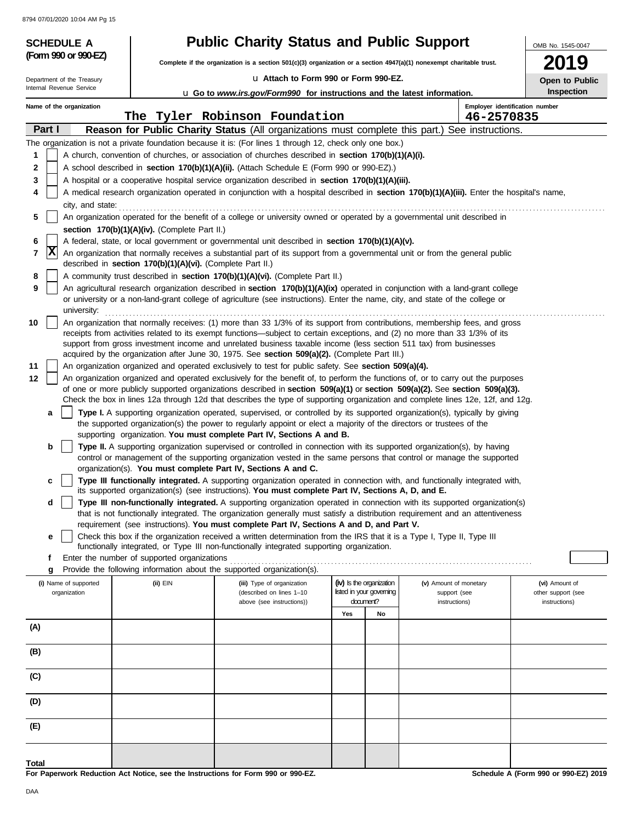**(Form 990 or 990-EZ)**

# **SCHEDULE A Public Charity Status and Public Support**

| (Form 990 or 990-EZ)<br>Complete if the organization is a section 501(c)(3) organization or a section 4947(a)(1) nonexempt charitable trust. |                                                                                                                                                                                                                                                                |                                             |                                                                                                                                                                                                                      |                          |                          | 2019                                                                                                                                       |                       |  |  |
|----------------------------------------------------------------------------------------------------------------------------------------------|----------------------------------------------------------------------------------------------------------------------------------------------------------------------------------------------------------------------------------------------------------------|---------------------------------------------|----------------------------------------------------------------------------------------------------------------------------------------------------------------------------------------------------------------------|--------------------------|--------------------------|--------------------------------------------------------------------------------------------------------------------------------------------|-----------------------|--|--|
|                                                                                                                                              | Department of the Treasury                                                                                                                                                                                                                                     |                                             | La Attach to Form 990 or Form 990-EZ.                                                                                                                                                                                |                          |                          |                                                                                                                                            | <b>Open to Public</b> |  |  |
|                                                                                                                                              | Internal Revenue Service                                                                                                                                                                                                                                       |                                             | <b>u Go to www.irs.gov/Form990 for instructions and the latest information.</b>                                                                                                                                      |                          |                          |                                                                                                                                            | <b>Inspection</b>     |  |  |
|                                                                                                                                              | Name of the organization                                                                                                                                                                                                                                       |                                             |                                                                                                                                                                                                                      |                          |                          | Employer identification number                                                                                                             |                       |  |  |
|                                                                                                                                              |                                                                                                                                                                                                                                                                |                                             | The Tyler Robinson Foundation                                                                                                                                                                                        |                          |                          | 46-2570835                                                                                                                                 |                       |  |  |
| Part I                                                                                                                                       |                                                                                                                                                                                                                                                                |                                             |                                                                                                                                                                                                                      |                          |                          | <b>Reason for Public Charity Status</b> (All organizations must complete this part.) See instructions.                                     |                       |  |  |
|                                                                                                                                              |                                                                                                                                                                                                                                                                |                                             | The organization is not a private foundation because it is: (For lines 1 through 12, check only one box.)                                                                                                            |                          |                          |                                                                                                                                            |                       |  |  |
| 1                                                                                                                                            |                                                                                                                                                                                                                                                                |                                             | A church, convention of churches, or association of churches described in section 170(b)(1)(A)(i).                                                                                                                   |                          |                          |                                                                                                                                            |                       |  |  |
| 2                                                                                                                                            |                                                                                                                                                                                                                                                                |                                             | A school described in section 170(b)(1)(A)(ii). (Attach Schedule E (Form 990 or 990-EZ).)                                                                                                                            |                          |                          |                                                                                                                                            |                       |  |  |
| 3                                                                                                                                            |                                                                                                                                                                                                                                                                |                                             | A hospital or a cooperative hospital service organization described in section 170(b)(1)(A)(iii).                                                                                                                    |                          |                          |                                                                                                                                            |                       |  |  |
|                                                                                                                                              |                                                                                                                                                                                                                                                                |                                             |                                                                                                                                                                                                                      |                          |                          | A medical research organization operated in conjunction with a hospital described in section 170(b)(1)(A)(iii). Enter the hospital's name, |                       |  |  |
|                                                                                                                                              | city, and state:                                                                                                                                                                                                                                               |                                             |                                                                                                                                                                                                                      |                          |                          |                                                                                                                                            |                       |  |  |
| 5                                                                                                                                            |                                                                                                                                                                                                                                                                |                                             | An organization operated for the benefit of a college or university owned or operated by a governmental unit described in                                                                                            |                          |                          |                                                                                                                                            |                       |  |  |
|                                                                                                                                              | section 170(b)(1)(A)(iv). (Complete Part II.)                                                                                                                                                                                                                  |                                             |                                                                                                                                                                                                                      |                          |                          |                                                                                                                                            |                       |  |  |
| 6                                                                                                                                            | A federal, state, or local government or governmental unit described in section 170(b)(1)(A)(v).                                                                                                                                                               |                                             |                                                                                                                                                                                                                      |                          |                          |                                                                                                                                            |                       |  |  |
| 7                                                                                                                                            | ΙX<br>An organization that normally receives a substantial part of its support from a governmental unit or from the general public                                                                                                                             |                                             |                                                                                                                                                                                                                      |                          |                          |                                                                                                                                            |                       |  |  |
|                                                                                                                                              | described in section 170(b)(1)(A)(vi). (Complete Part II.)                                                                                                                                                                                                     |                                             |                                                                                                                                                                                                                      |                          |                          |                                                                                                                                            |                       |  |  |
| 8                                                                                                                                            |                                                                                                                                                                                                                                                                |                                             | A community trust described in section 170(b)(1)(A)(vi). (Complete Part II.)                                                                                                                                         |                          |                          |                                                                                                                                            |                       |  |  |
| 9                                                                                                                                            |                                                                                                                                                                                                                                                                |                                             |                                                                                                                                                                                                                      |                          |                          | An agricultural research organization described in section 170(b)(1)(A)(ix) operated in conjunction with a land-grant college              |                       |  |  |
|                                                                                                                                              | university:                                                                                                                                                                                                                                                    |                                             | or university or a non-land-grant college of agriculture (see instructions). Enter the name, city, and state of the college or                                                                                       |                          |                          |                                                                                                                                            |                       |  |  |
| 10                                                                                                                                           |                                                                                                                                                                                                                                                                |                                             |                                                                                                                                                                                                                      |                          |                          | An organization that normally receives: (1) more than 33 1/3% of its support from contributions, membership fees, and gross                |                       |  |  |
|                                                                                                                                              |                                                                                                                                                                                                                                                                |                                             | receipts from activities related to its exempt functions—subject to certain exceptions, and (2) no more than 33 1/3% of its                                                                                          |                          |                          |                                                                                                                                            |                       |  |  |
|                                                                                                                                              |                                                                                                                                                                                                                                                                |                                             | support from gross investment income and unrelated business taxable income (less section 511 tax) from businesses                                                                                                    |                          |                          |                                                                                                                                            |                       |  |  |
|                                                                                                                                              |                                                                                                                                                                                                                                                                |                                             | acquired by the organization after June 30, 1975. See section 509(a)(2). (Complete Part III.)                                                                                                                        |                          |                          |                                                                                                                                            |                       |  |  |
| 11                                                                                                                                           |                                                                                                                                                                                                                                                                |                                             | An organization organized and operated exclusively to test for public safety. See section 509(a)(4).                                                                                                                 |                          |                          |                                                                                                                                            |                       |  |  |
| 12                                                                                                                                           |                                                                                                                                                                                                                                                                |                                             |                                                                                                                                                                                                                      |                          |                          | An organization organized and operated exclusively for the benefit of, to perform the functions of, or to carry out the purposes           |                       |  |  |
|                                                                                                                                              | of one or more publicly supported organizations described in section 509(a)(1) or section 509(a)(2). See section 509(a)(3).<br>Check the box in lines 12a through 12d that describes the type of supporting organization and complete lines 12e, 12f, and 12g. |                                             |                                                                                                                                                                                                                      |                          |                          |                                                                                                                                            |                       |  |  |
|                                                                                                                                              |                                                                                                                                                                                                                                                                |                                             |                                                                                                                                                                                                                      |                          |                          |                                                                                                                                            |                       |  |  |
| a                                                                                                                                            |                                                                                                                                                                                                                                                                |                                             |                                                                                                                                                                                                                      |                          |                          | Type I. A supporting organization operated, supervised, or controlled by its supported organization(s), typically by giving                |                       |  |  |
|                                                                                                                                              |                                                                                                                                                                                                                                                                |                                             | the supported organization(s) the power to regularly appoint or elect a majority of the directors or trustees of the<br>supporting organization. You must complete Part IV, Sections A and B.                        |                          |                          |                                                                                                                                            |                       |  |  |
| b                                                                                                                                            |                                                                                                                                                                                                                                                                |                                             | Type II. A supporting organization supervised or controlled in connection with its supported organization(s), by having                                                                                              |                          |                          |                                                                                                                                            |                       |  |  |
|                                                                                                                                              |                                                                                                                                                                                                                                                                |                                             |                                                                                                                                                                                                                      |                          |                          | control or management of the supporting organization vested in the same persons that control or manage the supported                       |                       |  |  |
|                                                                                                                                              |                                                                                                                                                                                                                                                                |                                             | organization(s). You must complete Part IV, Sections A and C.                                                                                                                                                        |                          |                          |                                                                                                                                            |                       |  |  |
| c                                                                                                                                            |                                                                                                                                                                                                                                                                |                                             |                                                                                                                                                                                                                      |                          |                          | Type III functionally integrated. A supporting organization operated in connection with, and functionally integrated with,                 |                       |  |  |
|                                                                                                                                              |                                                                                                                                                                                                                                                                |                                             | its supported organization(s) (see instructions). You must complete Part IV, Sections A, D, and E.                                                                                                                   |                          |                          |                                                                                                                                            |                       |  |  |
| d                                                                                                                                            |                                                                                                                                                                                                                                                                |                                             |                                                                                                                                                                                                                      |                          |                          | Type III non-functionally integrated. A supporting organization operated in connection with its supported organization(s)                  |                       |  |  |
|                                                                                                                                              |                                                                                                                                                                                                                                                                |                                             |                                                                                                                                                                                                                      |                          |                          | that is not functionally integrated. The organization generally must satisfy a distribution requirement and an attentiveness               |                       |  |  |
|                                                                                                                                              |                                                                                                                                                                                                                                                                |                                             | requirement (see instructions). You must complete Part IV, Sections A and D, and Part V.                                                                                                                             |                          |                          |                                                                                                                                            |                       |  |  |
| е                                                                                                                                            |                                                                                                                                                                                                                                                                |                                             | Check this box if the organization received a written determination from the IRS that it is a Type I, Type II, Type III<br>functionally integrated, or Type III non-functionally integrated supporting organization. |                          |                          |                                                                                                                                            |                       |  |  |
| f                                                                                                                                            |                                                                                                                                                                                                                                                                | Enter the number of supported organizations |                                                                                                                                                                                                                      |                          |                          |                                                                                                                                            |                       |  |  |
| g                                                                                                                                            |                                                                                                                                                                                                                                                                |                                             | Provide the following information about the supported organization(s).                                                                                                                                               |                          |                          |                                                                                                                                            |                       |  |  |
|                                                                                                                                              | (i) Name of supported                                                                                                                                                                                                                                          | (ii) EIN                                    | (iii) Type of organization                                                                                                                                                                                           | (iv) Is the organization |                          | (v) Amount of monetary                                                                                                                     | (vi) Amount of        |  |  |
|                                                                                                                                              | organization                                                                                                                                                                                                                                                   |                                             | (described on lines 1-10                                                                                                                                                                                             | document?                | listed in your governing | support (see                                                                                                                               | other support (see    |  |  |
|                                                                                                                                              |                                                                                                                                                                                                                                                                |                                             | above (see instructions))                                                                                                                                                                                            | Yes                      | No                       | instructions)                                                                                                                              | instructions)         |  |  |
|                                                                                                                                              |                                                                                                                                                                                                                                                                |                                             |                                                                                                                                                                                                                      |                          |                          |                                                                                                                                            |                       |  |  |
| (A)                                                                                                                                          |                                                                                                                                                                                                                                                                |                                             |                                                                                                                                                                                                                      |                          |                          |                                                                                                                                            |                       |  |  |
| (B)                                                                                                                                          |                                                                                                                                                                                                                                                                |                                             |                                                                                                                                                                                                                      |                          |                          |                                                                                                                                            |                       |  |  |
|                                                                                                                                              |                                                                                                                                                                                                                                                                |                                             |                                                                                                                                                                                                                      |                          |                          |                                                                                                                                            |                       |  |  |
| (C)                                                                                                                                          |                                                                                                                                                                                                                                                                |                                             |                                                                                                                                                                                                                      |                          |                          |                                                                                                                                            |                       |  |  |
|                                                                                                                                              |                                                                                                                                                                                                                                                                |                                             |                                                                                                                                                                                                                      |                          |                          |                                                                                                                                            |                       |  |  |
| (D)                                                                                                                                          |                                                                                                                                                                                                                                                                |                                             |                                                                                                                                                                                                                      |                          |                          |                                                                                                                                            |                       |  |  |
|                                                                                                                                              |                                                                                                                                                                                                                                                                |                                             |                                                                                                                                                                                                                      |                          |                          |                                                                                                                                            |                       |  |  |
| (E)                                                                                                                                          |                                                                                                                                                                                                                                                                |                                             |                                                                                                                                                                                                                      |                          |                          |                                                                                                                                            |                       |  |  |

**For Paperwork Reduction Act Notice, see the Instructions for Form 990 or 990-EZ.**

**Schedule A (Form 990 or 990-EZ) 2019**

 $\Box$ 

OMB No. 1545-0047

**Total**

**(E)**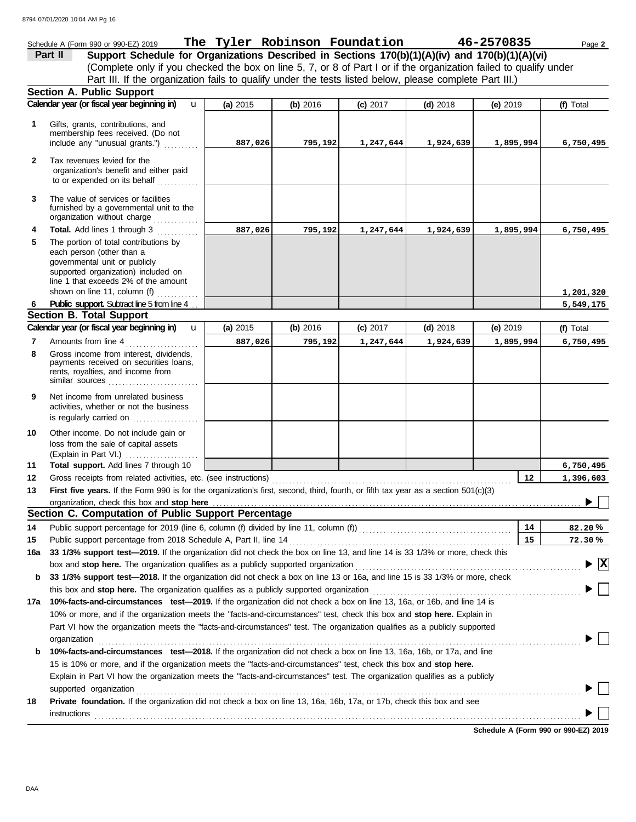|                                   | Schedule A (Form 990 or 990-EZ) 2019                                                                                                                                                                                           | The Tyler Robinson Foundation |          |            |            | 46-2570835 |                                    |
|-----------------------------------|--------------------------------------------------------------------------------------------------------------------------------------------------------------------------------------------------------------------------------|-------------------------------|----------|------------|------------|------------|------------------------------------|
|                                   | Part II<br>Support Schedule for Organizations Described in Sections 170(b)(1)(A)(iv) and 170(b)(1)(A)(vi)                                                                                                                      |                               |          |            |            |            | Page 2                             |
|                                   | (Complete only if you checked the box on line 5, 7, or 8 of Part I or if the organization failed to qualify under                                                                                                              |                               |          |            |            |            |                                    |
|                                   | Part III. If the organization fails to qualify under the tests listed below, please complete Part III.)                                                                                                                        |                               |          |            |            |            |                                    |
|                                   | <b>Section A. Public Support</b>                                                                                                                                                                                               |                               |          |            |            |            |                                    |
|                                   | Calendar year (or fiscal year beginning in)<br>u                                                                                                                                                                               | (a) $2015$                    | (b) 2016 | $(c)$ 2017 | $(d)$ 2018 | (e) $2019$ | (f) Total                          |
|                                   |                                                                                                                                                                                                                                |                               |          |            |            |            |                                    |
| 1                                 | Gifts, grants, contributions, and<br>membership fees received. (Do not                                                                                                                                                         |                               |          |            |            |            |                                    |
|                                   | include any "unusual grants.")                                                                                                                                                                                                 | 887,026                       | 795,192  | 1,247,644  | 1,924,639  | 1,895,994  | 6,750,495                          |
| $\mathbf{2}$                      | Tax revenues levied for the                                                                                                                                                                                                    |                               |          |            |            |            |                                    |
|                                   | organization's benefit and either paid                                                                                                                                                                                         |                               |          |            |            |            |                                    |
|                                   | to or expended on its behalf                                                                                                                                                                                                   |                               |          |            |            |            |                                    |
| 3                                 | The value of services or facilities                                                                                                                                                                                            |                               |          |            |            |            |                                    |
|                                   | furnished by a governmental unit to the                                                                                                                                                                                        |                               |          |            |            |            |                                    |
|                                   | organization without charge                                                                                                                                                                                                    |                               |          |            |            |            |                                    |
| 4<br>5                            | Total. Add lines 1 through 3<br>The portion of total contributions by                                                                                                                                                          | 887,026                       | 795,192  | 1,247,644  | 1,924,639  | 1,895,994  | 6,750,495                          |
|                                   | each person (other than a                                                                                                                                                                                                      |                               |          |            |            |            |                                    |
|                                   | governmental unit or publicly                                                                                                                                                                                                  |                               |          |            |            |            |                                    |
|                                   | supported organization) included on<br>line 1 that exceeds 2% of the amount                                                                                                                                                    |                               |          |            |            |            |                                    |
|                                   | shown on line 11, column (f) $\ldots$                                                                                                                                                                                          |                               |          |            |            |            | 1,201,320                          |
| 6                                 | <b>Public support.</b> Subtract line 5 from line 4                                                                                                                                                                             |                               |          |            |            |            | 5,549,175                          |
|                                   | <b>Section B. Total Support</b>                                                                                                                                                                                                |                               |          |            |            |            |                                    |
|                                   | Calendar year (or fiscal year beginning in)<br>$\mathbf{u}$                                                                                                                                                                    | (a) 2015                      | (b) 2016 | $(c)$ 2017 | $(d)$ 2018 | (e) $2019$ | (f) Total                          |
| 7                                 | Amounts from line 4<br>887,026<br>795,192<br>1,895,994<br>6,750,495<br>1,247,644<br>1,924,639                                                                                                                                  |                               |          |            |            |            |                                    |
| 8                                 | Gross income from interest, dividends,<br>payments received on securities loans,                                                                                                                                               |                               |          |            |            |            |                                    |
| rents, royalties, and income from |                                                                                                                                                                                                                                |                               |          |            |            |            |                                    |
|                                   |                                                                                                                                                                                                                                |                               |          |            |            |            |                                    |
| 9                                 | Net income from unrelated business                                                                                                                                                                                             |                               |          |            |            |            |                                    |
|                                   | activities, whether or not the business                                                                                                                                                                                        |                               |          |            |            |            |                                    |
|                                   | is regularly carried on                                                                                                                                                                                                        |                               |          |            |            |            |                                    |
| 10                                | Other income. Do not include gain or                                                                                                                                                                                           |                               |          |            |            |            |                                    |
|                                   | loss from the sale of capital assets<br>(Explain in Part VI.)                                                                                                                                                                  |                               |          |            |            |            |                                    |
| 11                                | Total support. Add lines 7 through 10                                                                                                                                                                                          |                               |          |            |            |            | 6,750,495                          |
| 12                                | Gross receipts from related activities, etc. (see instructions)                                                                                                                                                                |                               |          |            |            | 12         | 1,396,603                          |
| 13                                | First five years. If the Form 990 is for the organization's first, second, third, fourth, or fifth tax year as a section 501(c)(3)                                                                                             |                               |          |            |            |            |                                    |
|                                   | organization, check this box and stop here                                                                                                                                                                                     |                               |          |            |            |            |                                    |
|                                   | Section C. Computation of Public Support Percentage                                                                                                                                                                            |                               |          |            |            |            |                                    |
| 14                                | Public support percentage for 2019 (line 6, column (f) divided by line 11, column (f)) [[[[[[[[[[[[[[[[[[[[[[                                                                                                                  |                               |          |            |            | 14         | 82.20%                             |
| 15                                | Public support percentage from 2018 Schedule A, Part II, line 14                                                                                                                                                               |                               |          |            |            | 15         | 72.30%                             |
| 16a                               | 33 1/3% support test-2019. If the organization did not check the box on line 13, and line 14 is 33 1/3% or more, check this                                                                                                    |                               |          |            |            |            |                                    |
|                                   | box and stop here. The organization qualifies as a publicly supported organization [11] containd the subsequence or the container the state of the state or the state or the state or the state or the state or the state or t |                               |          |            |            |            | $\blacktriangleright \overline{X}$ |
| b                                 | 33 1/3% support test-2018. If the organization did not check a box on line 13 or 16a, and line 15 is 33 1/3% or more, check<br>this box and stop here. The organization qualifies as a publicly supported organization         |                               |          |            |            |            |                                    |
| 17a                               | 10%-facts-and-circumstances test-2019. If the organization did not check a box on line 13, 16a, or 16b, and line 14 is                                                                                                         |                               |          |            |            |            |                                    |
|                                   | 10% or more, and if the organization meets the "facts-and-circumstances" test, check this box and stop here. Explain in                                                                                                        |                               |          |            |            |            |                                    |
|                                   | Part VI how the organization meets the "facts-and-circumstances" test. The organization qualifies as a publicly supported                                                                                                      |                               |          |            |            |            |                                    |
|                                   | organization                                                                                                                                                                                                                   |                               |          |            |            |            |                                    |
| b                                 | 10%-facts-and-circumstances test-2018. If the organization did not check a box on line 13, 16a, 16b, or 17a, and line                                                                                                          |                               |          |            |            |            |                                    |
|                                   | 15 is 10% or more, and if the organization meets the "facts-and-circumstances" test, check this box and stop here.                                                                                                             |                               |          |            |            |            |                                    |
|                                   | Explain in Part VI how the organization meets the "facts-and-circumstances" test. The organization qualifies as a publicly                                                                                                     |                               |          |            |            |            |                                    |
|                                   | supported organization                                                                                                                                                                                                         |                               |          |            |            |            |                                    |
| 18                                | Private foundation. If the organization did not check a box on line 13, 16a, 16b, 17a, or 17b, check this box and see                                                                                                          |                               |          |            |            |            |                                    |

**Schedule A (Form 990 or 990-EZ) 2019** instructions . . . . . . . . . . . . . . . . . . . . . . . . . . . . . . . . . . . . . . . . . . . . . . . . . . . . . . . . . . . . . . . . . . . . . . . . . . . . . . . . . . . . . . . . . . . . . . . . . . . . . . . . . . . . . . . . . . . . . . . . . . . . . . . . . . . . . . . . . . . .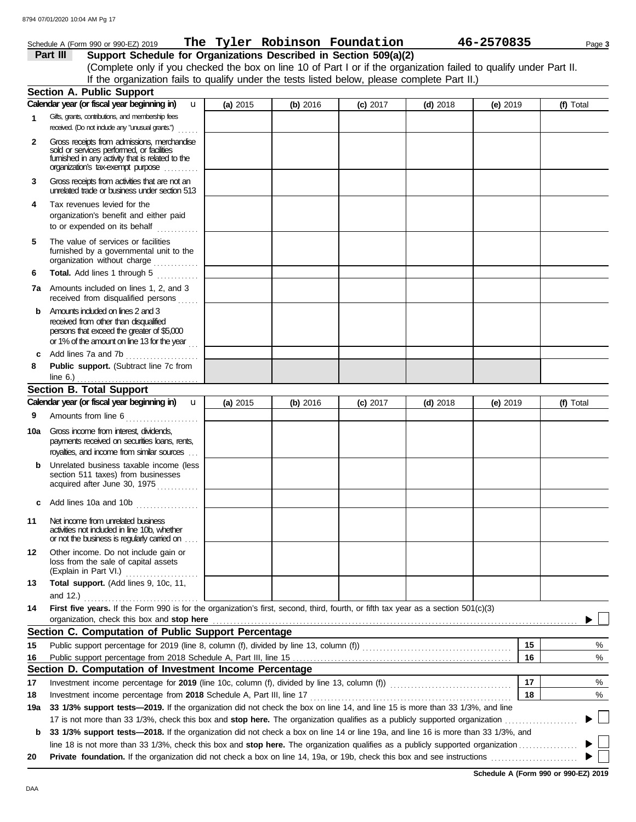|              | Schedule A (Form 990 or 990-EZ) 2019                                                                                                                                              |          |          | The Tyler Robinson Foundation |            | 46-2570835 | Page 3    |
|--------------|-----------------------------------------------------------------------------------------------------------------------------------------------------------------------------------|----------|----------|-------------------------------|------------|------------|-----------|
|              | Support Schedule for Organizations Described in Section 509(a)(2)<br>Part III                                                                                                     |          |          |                               |            |            |           |
|              | (Complete only if you checked the box on line 10 of Part I or if the organization failed to qualify under Part II.                                                                |          |          |                               |            |            |           |
|              | If the organization fails to qualify under the tests listed below, please complete Part II.)                                                                                      |          |          |                               |            |            |           |
|              | Section A. Public Support                                                                                                                                                         |          |          |                               |            |            |           |
|              | Calendar year (or fiscal year beginning in)<br>u                                                                                                                                  | (a) 2015 | (b) 2016 | $(c)$ 2017                    | $(d)$ 2018 | (e) 2019   | (f) Total |
| 1            | Gifts, grants, contributions, and membership fees<br>received. (Do not include any "unusual grants.")                                                                             |          |          |                               |            |            |           |
| $\mathbf{2}$ | Gross receipts from admissions, merchandise<br>sold or services performed, or facilities<br>furnished in any activity that is related to the<br>organization's tax-exempt purpose |          |          |                               |            |            |           |
| 3            | Gross receipts from activities that are not an<br>unrelated trade or business under section 513                                                                                   |          |          |                               |            |            |           |
| 4            | Tax revenues levied for the<br>organization's benefit and either paid<br>to or expended on its behalf                                                                             |          |          |                               |            |            |           |
| 5            | The value of services or facilities<br>furnished by a governmental unit to the<br>organization without charge                                                                     |          |          |                               |            |            |           |
| 6            | Total. Add lines 1 through 5                                                                                                                                                      |          |          |                               |            |            |           |
|              | 7a Amounts included on lines 1, 2, and 3<br>received from disqualified persons                                                                                                    |          |          |                               |            |            |           |
| b            | Amounts included on lines 2 and 3<br>received from other than disqualified<br>persons that exceed the greater of \$5,000<br>or 1% of the amount on line 13 for the year           |          |          |                               |            |            |           |
| c            | Add lines 7a and 7b                                                                                                                                                               |          |          |                               |            |            |           |
| 8            | Public support. (Subtract line 7c from<br>line 6.) $\ldots$                                                                                                                       |          |          |                               |            |            |           |
|              | <b>Section B. Total Support</b>                                                                                                                                                   |          |          |                               |            |            |           |
|              | Calendar year (or fiscal year beginning in)<br>$\mathbf{u}$                                                                                                                       | (a) 2015 | (b) 2016 | $(c)$ 2017                    | (d) $2018$ | (e) $2019$ | (f) Total |
| 9            | Amounts from line 6                                                                                                                                                               |          |          |                               |            |            |           |
| 10a          | Gross income from interest, dividends,<br>payments received on securities loans, rents,<br>royalties, and income from similar sources                                             |          |          |                               |            |            |           |
| b            | Unrelated business taxable income (less<br>section 511 taxes) from businesses<br>acquired after June 30, 1975                                                                     |          |          |                               |            |            |           |
|              | Add lines 10a and 10b                                                                                                                                                             |          |          |                               |            |            |           |
| 11           | Net income from unrelated business<br>activities not induded in line 10b, whether<br>or not the business is regularly carried on                                                  |          |          |                               |            |            |           |
| 12           | Other income. Do not include gain or<br>loss from the sale of capital assets<br>(Explain in Part VI.)                                                                             |          |          |                               |            |            |           |
| 13           | Total support. (Add lines 9, 10c, 11,<br>and 12.)                                                                                                                                 |          |          |                               |            |            |           |
| 14           | First five years. If the Form 990 is for the organization's first, second, third, fourth, or fifth tax year as a section 501(c)(3)<br>organization, check this box and stop here  |          |          |                               |            |            |           |
|              | Section C. Computation of Public Support Percentage                                                                                                                               |          |          |                               |            |            |           |
| 15           |                                                                                                                                                                                   |          |          |                               |            | 15         | %         |
| 16           |                                                                                                                                                                                   |          |          |                               |            | 16         | %         |
|              | Section D. Computation of Investment Income Percentage                                                                                                                            |          |          |                               |            |            |           |
| 17           | Investment income percentage for 2019 (line 10c, column (f), divided by line 13, column (f)) [[[[[[[[[[[[[[[[                                                                     |          |          |                               |            | 17         | %         |
| 18           | Investment income percentage from 2018 Schedule A, Part III, line 17                                                                                                              |          |          |                               |            | 18         | %         |
| 19a          | 33 1/3% support tests—2019. If the organization did not check the box on line 14, and line 15 is more than 33 1/3%, and line                                                      |          |          |                               |            |            |           |
|              | 17 is not more than 33 1/3%, check this box and stop here. The organization qualifies as a publicly supported organization                                                        |          |          |                               |            |            |           |
| b            | 33 1/3% support tests-2018. If the organization did not check a box on line 14 or line 19a, and line 16 is more than 33 1/3%, and                                                 |          |          |                               |            |            |           |
|              |                                                                                                                                                                                   |          |          |                               |            |            |           |
| 20           |                                                                                                                                                                                   |          |          |                               |            |            |           |

**Schedule A (Form 990 or 990-EZ) 2019**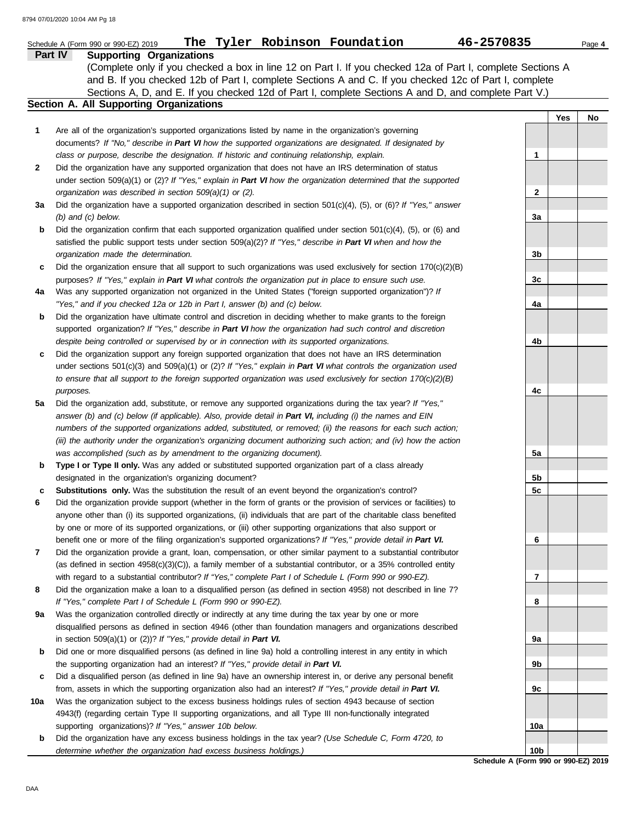|     | The Tyler Robinson Foundation<br>Schedule A (Form 990 or 990-EZ) 2019                                                                                                                                                 | 46-2570835 |     | Page 4 |
|-----|-----------------------------------------------------------------------------------------------------------------------------------------------------------------------------------------------------------------------|------------|-----|--------|
|     | Part IV<br><b>Supporting Organizations</b>                                                                                                                                                                            |            |     |        |
|     | (Complete only if you checked a box in line 12 on Part I. If you checked 12a of Part I, complete Sections A                                                                                                           |            |     |        |
|     | and B. If you checked 12b of Part I, complete Sections A and C. If you checked 12c of Part I, complete                                                                                                                |            |     |        |
|     | Sections A, D, and E. If you checked 12d of Part I, complete Sections A and D, and complete Part V.)                                                                                                                  |            |     |        |
|     | Section A. All Supporting Organizations                                                                                                                                                                               |            |     |        |
|     |                                                                                                                                                                                                                       |            | Yes | No     |
| 1   | Are all of the organization's supported organizations listed by name in the organization's governing                                                                                                                  |            |     |        |
|     | documents? If "No," describe in Part VI how the supported organizations are designated. If designated by                                                                                                              |            |     |        |
|     | class or purpose, describe the designation. If historic and continuing relationship, explain.<br>Did the organization have any supported organization that does not have an IRS determination of status               | 1          |     |        |
| 2   | under section 509(a)(1) or (2)? If "Yes," explain in Part VI how the organization determined that the supported                                                                                                       |            |     |        |
|     | organization was described in section 509(a)(1) or (2).                                                                                                                                                               | 2          |     |        |
| За  | Did the organization have a supported organization described in section $501(c)(4)$ , (5), or (6)? If "Yes," answer                                                                                                   |            |     |        |
|     | $(b)$ and $(c)$ below.                                                                                                                                                                                                | За         |     |        |
| b   | Did the organization confirm that each supported organization qualified under section $501(c)(4)$ , $(5)$ , or $(6)$ and                                                                                              |            |     |        |
|     | satisfied the public support tests under section 509(a)(2)? If "Yes," describe in Part VI when and how the                                                                                                            |            |     |        |
|     | organization made the determination.                                                                                                                                                                                  | 3b         |     |        |
| c   | Did the organization ensure that all support to such organizations was used exclusively for section $170(c)(2)(B)$                                                                                                    |            |     |        |
|     | purposes? If "Yes," explain in Part VI what controls the organization put in place to ensure such use.                                                                                                                | 3c         |     |        |
| 4a  | Was any supported organization not organized in the United States ("foreign supported organization")? If                                                                                                              |            |     |        |
|     | "Yes," and if you checked 12a or 12b in Part I, answer (b) and (c) below.                                                                                                                                             | 4a         |     |        |
| b   | Did the organization have ultimate control and discretion in deciding whether to make grants to the foreign                                                                                                           |            |     |        |
|     | supported organization? If "Yes," describe in Part VI how the organization had such control and discretion                                                                                                            |            |     |        |
|     | despite being controlled or supervised by or in connection with its supported organizations.                                                                                                                          | 4b         |     |        |
| c   | Did the organization support any foreign supported organization that does not have an IRS determination                                                                                                               |            |     |        |
|     | under sections $501(c)(3)$ and $509(a)(1)$ or (2)? If "Yes," explain in Part VI what controls the organization used                                                                                                   |            |     |        |
|     | to ensure that all support to the foreign supported organization was used exclusively for section $170(c)(2)(B)$                                                                                                      |            |     |        |
|     | purposes.                                                                                                                                                                                                             | 4c         |     |        |
| 5a  | Did the organization add, substitute, or remove any supported organizations during the tax year? If "Yes,"                                                                                                            |            |     |        |
|     | answer (b) and (c) below (if applicable). Also, provide detail in Part VI, including (i) the names and EIN                                                                                                            |            |     |        |
|     | numbers of the supported organizations added, substituted, or removed; (ii) the reasons for each such action;                                                                                                         |            |     |        |
|     | (iii) the authority under the organization's organizing document authorizing such action; and (iv) how the action                                                                                                     |            |     |        |
|     | was accomplished (such as by amendment to the organizing document).                                                                                                                                                   | 5a         |     |        |
| b   | Type I or Type II only. Was any added or substituted supported organization part of a class already                                                                                                                   |            |     |        |
|     | designated in the organization's organizing document?                                                                                                                                                                 | 5b         |     |        |
| c   | Substitutions only. Was the substitution the result of an event beyond the organization's control?                                                                                                                    | 5c         |     |        |
| 6   | Did the organization provide support (whether in the form of grants or the provision of services or facilities) to                                                                                                    |            |     |        |
|     | anyone other than (i) its supported organizations, (ii) individuals that are part of the charitable class benefited                                                                                                   |            |     |        |
|     | by one or more of its supported organizations, or (iii) other supporting organizations that also support or                                                                                                           |            |     |        |
|     | benefit one or more of the filing organization's supported organizations? If "Yes," provide detail in Part VI.                                                                                                        | 6          |     |        |
| 7   | Did the organization provide a grant, loan, compensation, or other similar payment to a substantial contributor                                                                                                       |            |     |        |
|     | (as defined in section $4958(c)(3)(C)$ ), a family member of a substantial contributor, or a 35% controlled entity                                                                                                    |            |     |        |
|     | with regard to a substantial contributor? If "Yes," complete Part I of Schedule L (Form 990 or 990-EZ).                                                                                                               | 7          |     |        |
| 8   | Did the organization make a loan to a disqualified person (as defined in section 4958) not described in line 7?                                                                                                       |            |     |        |
|     | If "Yes," complete Part I of Schedule L (Form 990 or 990-EZ).                                                                                                                                                         | 8          |     |        |
| 9a  | Was the organization controlled directly or indirectly at any time during the tax year by one or more                                                                                                                 |            |     |        |
|     | disqualified persons as defined in section 4946 (other than foundation managers and organizations described                                                                                                           |            |     |        |
|     | in section $509(a)(1)$ or (2))? If "Yes," provide detail in Part VI.                                                                                                                                                  | 9а         |     |        |
| b   | Did one or more disqualified persons (as defined in line 9a) hold a controlling interest in any entity in which                                                                                                       |            |     |        |
|     | the supporting organization had an interest? If "Yes," provide detail in Part VI.                                                                                                                                     | 9b         |     |        |
| c   | Did a disqualified person (as defined in line 9a) have an ownership interest in, or derive any personal benefit                                                                                                       | 9с         |     |        |
| 10a | from, assets in which the supporting organization also had an interest? If "Yes," provide detail in Part VI.<br>Was the organization subject to the excess business holdings rules of section 4943 because of section |            |     |        |
|     | 4943(f) (regarding certain Type II supporting organizations, and all Type III non-functionally integrated                                                                                                             |            |     |        |
|     | supporting organizations)? If "Yes," answer 10b below.                                                                                                                                                                | 10a        |     |        |
| b   | Did the organization have any excess business holdings in the tax year? (Use Schedule C, Form 4720, to                                                                                                                |            |     |        |
|     | determine whether the organization had excess business holdings.)                                                                                                                                                     | 10b        |     |        |
|     |                                                                                                                                                                                                                       |            |     |        |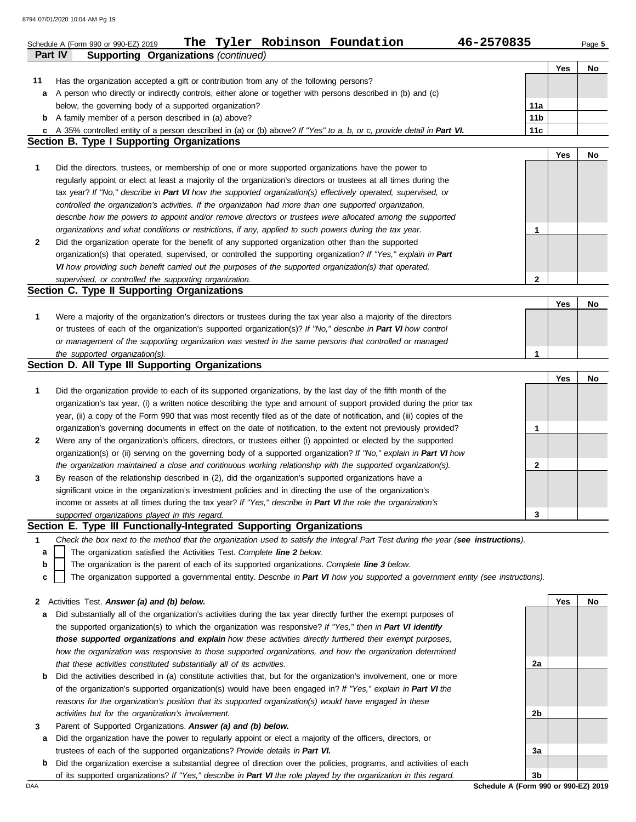|                | The Tyler Robinson Foundation<br>Schedule A (Form 990 or 990-EZ) 2019                                                                                                                                   | 46-2570835             |     | Page 5 |
|----------------|---------------------------------------------------------------------------------------------------------------------------------------------------------------------------------------------------------|------------------------|-----|--------|
| <b>Part IV</b> | <b>Supporting Organizations (continued)</b>                                                                                                                                                             |                        |     |        |
| 11             |                                                                                                                                                                                                         |                        | Yes | No     |
|                | Has the organization accepted a gift or contribution from any of the following persons?<br>A person who directly or indirectly controls, either alone or together with persons described in (b) and (c) |                        |     |        |
| а              |                                                                                                                                                                                                         |                        |     |        |
|                | below, the governing body of a supported organization?                                                                                                                                                  | 11a<br>11 <sub>b</sub> |     |        |
|                | <b>b</b> A family member of a person described in (a) above?                                                                                                                                            | 11c                    |     |        |
| c              | A 35% controlled entity of a person described in (a) or (b) above? If "Yes" to a, b, or c, provide detail in Part VI.<br><b>Section B. Type I Supporting Organizations</b>                              |                        |     |        |
|                |                                                                                                                                                                                                         |                        | Yes | No     |
| 1              | Did the directors, trustees, or membership of one or more supported organizations have the power to                                                                                                     |                        |     |        |
|                | regularly appoint or elect at least a majority of the organization's directors or trustees at all times during the                                                                                      |                        |     |        |
|                | tax year? If "No," describe in Part VI how the supported organization(s) effectively operated, supervised, or                                                                                           |                        |     |        |
|                | controlled the organization's activities. If the organization had more than one supported organization,                                                                                                 |                        |     |        |
|                | describe how the powers to appoint and/or remove directors or trustees were allocated among the supported                                                                                               |                        |     |        |
|                | organizations and what conditions or restrictions, if any, applied to such powers during the tax year.                                                                                                  | $\mathbf 1$            |     |        |
| 2              | Did the organization operate for the benefit of any supported organization other than the supported                                                                                                     |                        |     |        |
|                | organization(s) that operated, supervised, or controlled the supporting organization? If "Yes," explain in Part                                                                                         |                        |     |        |
|                | VI how providing such benefit carried out the purposes of the supported organization(s) that operated,                                                                                                  |                        |     |        |
|                | supervised, or controlled the supporting organization.                                                                                                                                                  | $\mathbf{2}$           |     |        |
|                | Section C. Type II Supporting Organizations                                                                                                                                                             |                        |     |        |
|                |                                                                                                                                                                                                         |                        | Yes | No     |
| 1              | Were a majority of the organization's directors or trustees during the tax year also a majority of the directors                                                                                        |                        |     |        |
|                | or trustees of each of the organization's supported organization(s)? If "No," describe in Part VI how control                                                                                           |                        |     |        |
|                | or management of the supporting organization was vested in the same persons that controlled or managed                                                                                                  |                        |     |        |
|                | the supported organization(s).                                                                                                                                                                          | 1                      |     |        |
|                | Section D. All Type III Supporting Organizations                                                                                                                                                        |                        |     |        |
|                |                                                                                                                                                                                                         |                        | Yes | No     |
| 1              | Did the organization provide to each of its supported organizations, by the last day of the fifth month of the                                                                                          |                        |     |        |
|                | organization's tax year, (i) a written notice describing the type and amount of support provided during the prior tax                                                                                   |                        |     |        |
|                | year, (ii) a copy of the Form 990 that was most recently filed as of the date of notification, and (iii) copies of the                                                                                  |                        |     |        |
|                | organization's governing documents in effect on the date of notification, to the extent not previously provided?                                                                                        | 1                      |     |        |
| 2              | Were any of the organization's officers, directors, or trustees either (i) appointed or elected by the supported                                                                                        |                        |     |        |
|                | organization(s) or (ii) serving on the governing body of a supported organization? If "No," explain in Part VI how                                                                                      |                        |     |        |
|                | the organization maintained a close and continuous working relationship with the supported organization(s).                                                                                             | $\mathbf{2}$           |     |        |
| 3              | By reason of the relationship described in (2), did the organization's supported organizations have a                                                                                                   |                        |     |        |
|                | significant voice in the organization's investment policies and in directing the use of the organization's                                                                                              |                        |     |        |
|                | income or assets at all times during the tax year? If "Yes," describe in Part VI the role the organization's                                                                                            |                        |     |        |
|                | supported organizations played in this regard.                                                                                                                                                          | 3                      |     |        |
|                | Section E. Type III Functionally-Integrated Supporting Organizations                                                                                                                                    |                        |     |        |
| 1              | Check the box next to the method that the organization used to satisfy the Integral Part Test during the year (see instructions).                                                                       |                        |     |        |
| a              | The organization satisfied the Activities Test. Complete line 2 below.                                                                                                                                  |                        |     |        |
| b              | The organization is the parent of each of its supported organizations. Complete line 3 below.                                                                                                           |                        |     |        |
| C              | The organization supported a governmental entity. Describe in Part VI how you supported a government entity (see instructions).                                                                         |                        |     |        |
|                |                                                                                                                                                                                                         |                        |     |        |
| 2              | Activities Test. Answer (a) and (b) below.                                                                                                                                                              |                        | Yes | No     |
| а              | Did substantially all of the organization's activities during the tax year directly further the exempt purposes of                                                                                      |                        |     |        |
|                | the supported organization(s) to which the organization was responsive? If "Yes," then in Part VI identify                                                                                              |                        |     |        |
|                | those supported organizations and explain how these activities directly furthered their exempt purposes,                                                                                                |                        |     |        |
|                | how the organization was responsive to those supported organizations, and how the organization determined                                                                                               |                        |     |        |
|                | that these activities constituted substantially all of its activities.                                                                                                                                  | 2a                     |     |        |
| b              | Did the activities described in (a) constitute activities that, but for the organization's involvement, one or more                                                                                     |                        |     |        |
|                | of the organization's supported organization(s) would have been engaged in? If "Yes," explain in Part VI the                                                                                            |                        |     |        |
|                | reasons for the organization's position that its supported organization(s) would have engaged in these                                                                                                  |                        |     |        |
|                | activities but for the organization's involvement.                                                                                                                                                      | 2b                     |     |        |
| 3              | Parent of Supported Organizations. Answer (a) and (b) below.                                                                                                                                            |                        |     |        |
| а              | Did the organization have the power to regularly appoint or elect a majority of the officers, directors, or                                                                                             |                        |     |        |
|                | trustees of each of the supported organizations? Provide details in Part VI.                                                                                                                            | За                     |     |        |
|                |                                                                                                                                                                                                         |                        |     |        |

**b** Did the organization exercise a substantial degree of direction over the policies, programs, and activities of each of its supported organizations? *If "Yes," describe in Part VI the role played by the organization in this regard.*

DAA **Schedule A (Form 990 or 990-EZ) 2019 3b**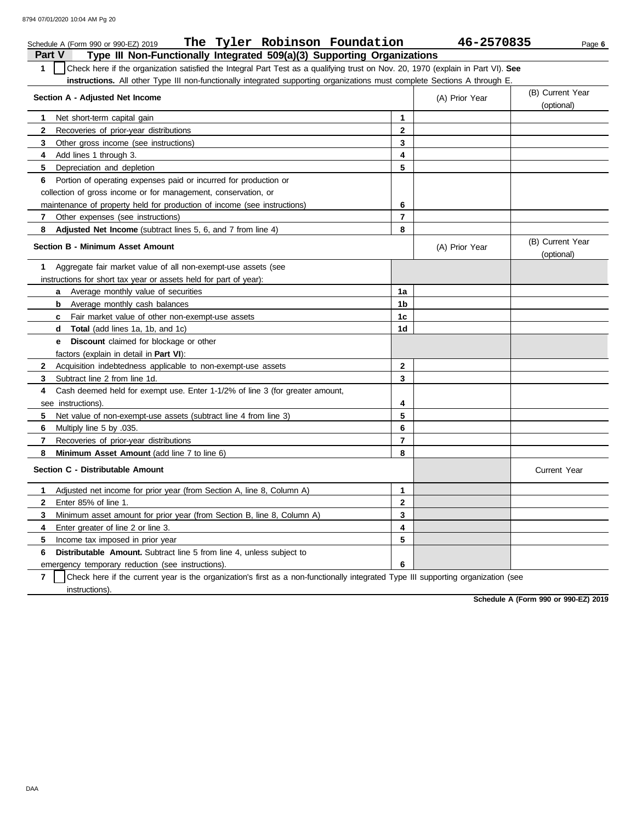|              | The Tyler Robinson Foundation<br>Schedule A (Form 990 or 990-EZ) 2019                                                            |                | 46-2570835     | Page 6                         |
|--------------|----------------------------------------------------------------------------------------------------------------------------------|----------------|----------------|--------------------------------|
| Part V       | Type III Non-Functionally Integrated 509(a)(3) Supporting Organizations                                                          |                |                |                                |
| $\mathbf{1}$ | Check here if the organization satisfied the Integral Part Test as a qualifying trust on Nov. 20, 1970 (explain in Part VI). See |                |                |                                |
|              | instructions. All other Type III non-functionally integrated supporting organizations must complete Sections A through E         |                |                |                                |
|              | Section A - Adjusted Net Income                                                                                                  |                | (A) Prior Year | (B) Current Year               |
|              |                                                                                                                                  |                |                | (optional)                     |
| 1            | Net short-term capital gain                                                                                                      | $\mathbf{1}$   |                |                                |
| 2            | Recoveries of prior-year distributions                                                                                           | $\mathbf{2}$   |                |                                |
| 3            | Other gross income (see instructions)                                                                                            | 3              |                |                                |
| 4            | Add lines 1 through 3.                                                                                                           | 4              |                |                                |
| 5            | Depreciation and depletion                                                                                                       | 5              |                |                                |
| 6            | Portion of operating expenses paid or incurred for production or                                                                 |                |                |                                |
|              | collection of gross income or for management, conservation, or                                                                   |                |                |                                |
|              | maintenance of property held for production of income (see instructions)                                                         | 6              |                |                                |
| 7            | Other expenses (see instructions)                                                                                                | $\overline{7}$ |                |                                |
| 8            | Adjusted Net Income (subtract lines 5, 6, and 7 from line 4)                                                                     | 8              |                |                                |
|              | Section B - Minimum Asset Amount                                                                                                 |                | (A) Prior Year | (B) Current Year<br>(optional) |
| 1            | Aggregate fair market value of all non-exempt-use assets (see                                                                    |                |                |                                |
|              | instructions for short tax year or assets held for part of year):                                                                |                |                |                                |
| a            | Average monthly value of securities                                                                                              | 1a             |                |                                |
| b            | Average monthly cash balances                                                                                                    | 1b             |                |                                |
| c            | Fair market value of other non-exempt-use assets                                                                                 | 1c             |                |                                |
| d            | <b>Total</b> (add lines 1a, 1b, and 1c)                                                                                          | 1d             |                |                                |
| е            | <b>Discount</b> claimed for blockage or other                                                                                    |                |                |                                |
|              | factors (explain in detail in Part VI):                                                                                          |                |                |                                |
| $\mathbf{2}$ | Acquisition indebtedness applicable to non-exempt-use assets                                                                     | $\mathbf{2}$   |                |                                |
| 3            | Subtract line 2 from line 1d.                                                                                                    | 3              |                |                                |
| 4            | Cash deemed held for exempt use. Enter 1-1/2% of line 3 (for greater amount,                                                     |                |                |                                |
|              | see instructions)                                                                                                                | 4              |                |                                |
| 5            | Net value of non-exempt-use assets (subtract line 4 from line 3)                                                                 | 5              |                |                                |
| 6            | Multiply line 5 by .035.                                                                                                         | 6              |                |                                |
| 7            | Recoveries of prior-year distributions                                                                                           | $\overline{7}$ |                |                                |
| 8            | <b>Minimum Asset Amount</b> (add line 7 to line 6)                                                                               | 8              |                |                                |
|              | Section C - Distributable Amount                                                                                                 |                |                | <b>Current Year</b>            |
| 1            | Adjusted net income for prior year (from Section A, line 8, Column A)                                                            | $\mathbf{1}$   |                |                                |
| 2            | Enter 85% of line 1.                                                                                                             | 2              |                |                                |
| 3            | Minimum asset amount for prior year (from Section B, line 8, Column A)                                                           | 3              |                |                                |
| 4            | Enter greater of line 2 or line 3.                                                                                               | 4              |                |                                |
| 5            | Income tax imposed in prior year                                                                                                 | 5              |                |                                |
| 6            | <b>Distributable Amount.</b> Subtract line 5 from line 4, unless subject to                                                      |                |                |                                |
|              | emergency temporary reduction (see instructions)                                                                                 | 6              |                |                                |

**7** | Check here if the current year is the organization's first as a non-functionally integrated Type III supporting organization (see instructions).

**Schedule A (Form 990 or 990-EZ) 2019**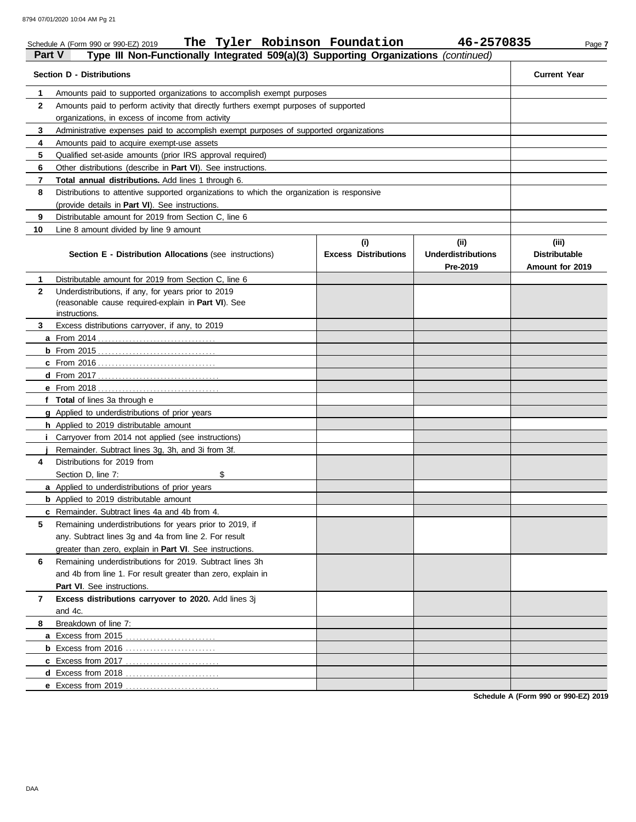|                | The Tyler Robinson Foundation<br>Schedule A (Form 990 or 990-EZ) 2019                                                       |                                    | 46-2570835                                    | Page 7                                           |  |  |  |  |  |
|----------------|-----------------------------------------------------------------------------------------------------------------------------|------------------------------------|-----------------------------------------------|--------------------------------------------------|--|--|--|--|--|
| <b>Part V</b>  | Type III Non-Functionally Integrated 509(a)(3) Supporting Organizations (continued)                                         |                                    |                                               |                                                  |  |  |  |  |  |
|                | <b>Section D - Distributions</b>                                                                                            |                                    |                                               | <b>Current Year</b>                              |  |  |  |  |  |
| 1              | Amounts paid to supported organizations to accomplish exempt purposes                                                       |                                    |                                               |                                                  |  |  |  |  |  |
| $\mathbf{2}$   | Amounts paid to perform activity that directly furthers exempt purposes of supported                                        |                                    |                                               |                                                  |  |  |  |  |  |
|                | organizations, in excess of income from activity                                                                            |                                    |                                               |                                                  |  |  |  |  |  |
| 3              | Administrative expenses paid to accomplish exempt purposes of supported organizations                                       |                                    |                                               |                                                  |  |  |  |  |  |
| 4              | Amounts paid to acquire exempt-use assets                                                                                   |                                    |                                               |                                                  |  |  |  |  |  |
| 5              | Qualified set-aside amounts (prior IRS approval required)                                                                   |                                    |                                               |                                                  |  |  |  |  |  |
| 6              | Other distributions (describe in Part VI). See instructions.                                                                |                                    |                                               |                                                  |  |  |  |  |  |
| $\overline{7}$ | Total annual distributions. Add lines 1 through 6.                                                                          |                                    |                                               |                                                  |  |  |  |  |  |
| 8              | Distributions to attentive supported organizations to which the organization is responsive                                  |                                    |                                               |                                                  |  |  |  |  |  |
|                | (provide details in Part VI). See instructions.                                                                             |                                    |                                               |                                                  |  |  |  |  |  |
| 9              | Distributable amount for 2019 from Section C, line 6                                                                        |                                    |                                               |                                                  |  |  |  |  |  |
| 10             | Line 8 amount divided by line 9 amount                                                                                      |                                    |                                               |                                                  |  |  |  |  |  |
|                | Section E - Distribution Allocations (see instructions)                                                                     | (i)<br><b>Excess Distributions</b> | (ii)<br><b>Underdistributions</b><br>Pre-2019 | (iii)<br><b>Distributable</b><br>Amount for 2019 |  |  |  |  |  |
| 1.             | Distributable amount for 2019 from Section C, line 6                                                                        |                                    |                                               |                                                  |  |  |  |  |  |
| $\mathbf{2}$   | Underdistributions, if any, for years prior to 2019<br>(reasonable cause required-explain in Part VI). See<br>instructions. |                                    |                                               |                                                  |  |  |  |  |  |
| 3              | Excess distributions carryover, if any, to 2019                                                                             |                                    |                                               |                                                  |  |  |  |  |  |
|                |                                                                                                                             |                                    |                                               |                                                  |  |  |  |  |  |
|                |                                                                                                                             |                                    |                                               |                                                  |  |  |  |  |  |
|                |                                                                                                                             |                                    |                                               |                                                  |  |  |  |  |  |
|                |                                                                                                                             |                                    |                                               |                                                  |  |  |  |  |  |
|                |                                                                                                                             |                                    |                                               |                                                  |  |  |  |  |  |
|                | f Total of lines 3a through e                                                                                               |                                    |                                               |                                                  |  |  |  |  |  |
|                | g Applied to underdistributions of prior years                                                                              |                                    |                                               |                                                  |  |  |  |  |  |
|                | <b>h</b> Applied to 2019 distributable amount                                                                               |                                    |                                               |                                                  |  |  |  |  |  |
|                | <i>i</i> Carryover from 2014 not applied (see instructions)                                                                 |                                    |                                               |                                                  |  |  |  |  |  |
|                | Remainder. Subtract lines 3g, 3h, and 3i from 3f.                                                                           |                                    |                                               |                                                  |  |  |  |  |  |
| 4              | Distributions for 2019 from                                                                                                 |                                    |                                               |                                                  |  |  |  |  |  |
|                | \$<br>Section D, line 7:                                                                                                    |                                    |                                               |                                                  |  |  |  |  |  |
|                | a Applied to underdistributions of prior years                                                                              |                                    |                                               |                                                  |  |  |  |  |  |
|                | <b>b</b> Applied to 2019 distributable amount                                                                               |                                    |                                               |                                                  |  |  |  |  |  |
|                | c Remainder. Subtract lines 4a and 4b from 4.                                                                               |                                    |                                               |                                                  |  |  |  |  |  |
| 5              | Remaining underdistributions for years prior to 2019, if                                                                    |                                    |                                               |                                                  |  |  |  |  |  |
|                | any. Subtract lines 3g and 4a from line 2. For result                                                                       |                                    |                                               |                                                  |  |  |  |  |  |
|                | greater than zero, explain in Part VI. See instructions.                                                                    |                                    |                                               |                                                  |  |  |  |  |  |
| 6              | Remaining underdistributions for 2019. Subtract lines 3h                                                                    |                                    |                                               |                                                  |  |  |  |  |  |
|                | and 4b from line 1. For result greater than zero, explain in                                                                |                                    |                                               |                                                  |  |  |  |  |  |
|                | Part VI. See instructions.                                                                                                  |                                    |                                               |                                                  |  |  |  |  |  |
| 7              | Excess distributions carryover to 2020. Add lines 3j<br>and 4c.                                                             |                                    |                                               |                                                  |  |  |  |  |  |
| 8              | Breakdown of line 7:                                                                                                        |                                    |                                               |                                                  |  |  |  |  |  |
|                |                                                                                                                             |                                    |                                               |                                                  |  |  |  |  |  |
|                |                                                                                                                             |                                    |                                               |                                                  |  |  |  |  |  |
|                |                                                                                                                             |                                    |                                               |                                                  |  |  |  |  |  |
|                | d Excess from 2018                                                                                                          |                                    |                                               |                                                  |  |  |  |  |  |
|                | e Excess from 2019<br>.                                                                                                     |                                    |                                               |                                                  |  |  |  |  |  |
|                |                                                                                                                             |                                    |                                               | Cahadula A (Farm 000 ar 000 EZ) 2040             |  |  |  |  |  |

**Schedule A (Form 990 or 990-EZ) 2019**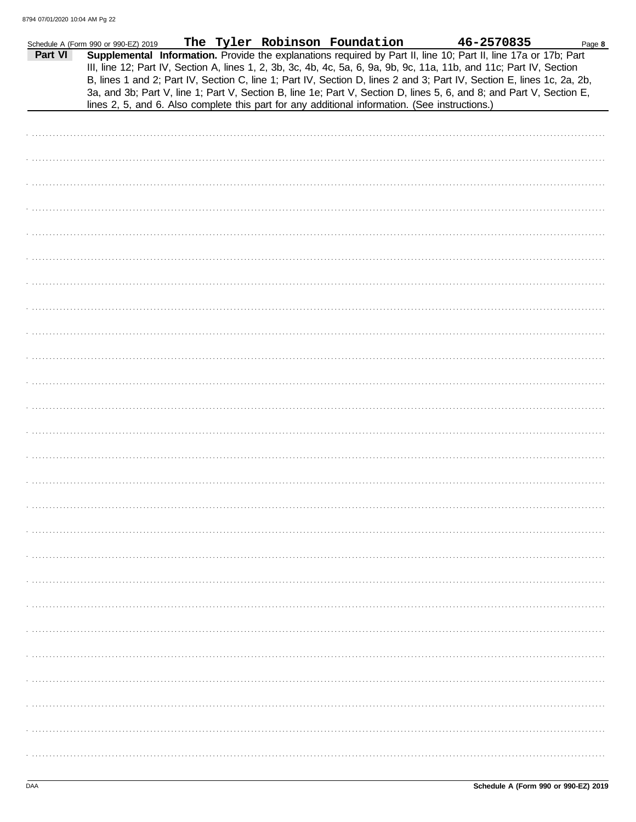|         | Schedule A (Form 990 or 990-EZ) 2019                                                           |  | The Tyler Robinson Foundation |  | 46-2570835                                                                                                                                                                                                                                                                                                                                                                                                                                                                                | Page 8 |
|---------|------------------------------------------------------------------------------------------------|--|-------------------------------|--|-------------------------------------------------------------------------------------------------------------------------------------------------------------------------------------------------------------------------------------------------------------------------------------------------------------------------------------------------------------------------------------------------------------------------------------------------------------------------------------------|--------|
| Part VI | lines 2, 5, and 6. Also complete this part for any additional information. (See instructions.) |  |                               |  | Supplemental Information. Provide the explanations required by Part II, line 10; Part II, line 17a or 17b; Part<br>III, line 12; Part IV, Section A, lines 1, 2, 3b, 3c, 4b, 4c, 5a, 6, 9a, 9b, 9c, 11a, 11b, and 11c; Part IV, Section<br>B, lines 1 and 2; Part IV, Section C, line 1; Part IV, Section D, lines 2 and 3; Part IV, Section E, lines 1c, 2a, 2b,<br>3a, and 3b; Part V, line 1; Part V, Section B, line 1e; Part V, Section D, lines 5, 6, and 8; and Part V, Section E, |        |
|         |                                                                                                |  |                               |  |                                                                                                                                                                                                                                                                                                                                                                                                                                                                                           |        |
|         |                                                                                                |  |                               |  |                                                                                                                                                                                                                                                                                                                                                                                                                                                                                           |        |
|         |                                                                                                |  |                               |  |                                                                                                                                                                                                                                                                                                                                                                                                                                                                                           |        |
|         |                                                                                                |  |                               |  |                                                                                                                                                                                                                                                                                                                                                                                                                                                                                           |        |
|         |                                                                                                |  |                               |  |                                                                                                                                                                                                                                                                                                                                                                                                                                                                                           |        |
|         |                                                                                                |  |                               |  |                                                                                                                                                                                                                                                                                                                                                                                                                                                                                           |        |
|         |                                                                                                |  |                               |  |                                                                                                                                                                                                                                                                                                                                                                                                                                                                                           |        |
|         |                                                                                                |  |                               |  |                                                                                                                                                                                                                                                                                                                                                                                                                                                                                           |        |
|         |                                                                                                |  |                               |  |                                                                                                                                                                                                                                                                                                                                                                                                                                                                                           |        |
|         |                                                                                                |  |                               |  |                                                                                                                                                                                                                                                                                                                                                                                                                                                                                           |        |
|         |                                                                                                |  |                               |  |                                                                                                                                                                                                                                                                                                                                                                                                                                                                                           |        |
|         |                                                                                                |  |                               |  |                                                                                                                                                                                                                                                                                                                                                                                                                                                                                           |        |
|         |                                                                                                |  |                               |  |                                                                                                                                                                                                                                                                                                                                                                                                                                                                                           |        |
|         |                                                                                                |  |                               |  |                                                                                                                                                                                                                                                                                                                                                                                                                                                                                           |        |
|         |                                                                                                |  |                               |  |                                                                                                                                                                                                                                                                                                                                                                                                                                                                                           |        |
|         |                                                                                                |  |                               |  |                                                                                                                                                                                                                                                                                                                                                                                                                                                                                           |        |
|         |                                                                                                |  |                               |  |                                                                                                                                                                                                                                                                                                                                                                                                                                                                                           |        |
|         |                                                                                                |  |                               |  |                                                                                                                                                                                                                                                                                                                                                                                                                                                                                           |        |
|         |                                                                                                |  |                               |  |                                                                                                                                                                                                                                                                                                                                                                                                                                                                                           |        |
|         |                                                                                                |  |                               |  |                                                                                                                                                                                                                                                                                                                                                                                                                                                                                           |        |
|         |                                                                                                |  |                               |  |                                                                                                                                                                                                                                                                                                                                                                                                                                                                                           |        |
|         |                                                                                                |  |                               |  |                                                                                                                                                                                                                                                                                                                                                                                                                                                                                           |        |
|         |                                                                                                |  |                               |  |                                                                                                                                                                                                                                                                                                                                                                                                                                                                                           |        |
|         |                                                                                                |  |                               |  |                                                                                                                                                                                                                                                                                                                                                                                                                                                                                           |        |
|         |                                                                                                |  |                               |  |                                                                                                                                                                                                                                                                                                                                                                                                                                                                                           |        |
|         |                                                                                                |  |                               |  |                                                                                                                                                                                                                                                                                                                                                                                                                                                                                           |        |
|         |                                                                                                |  |                               |  |                                                                                                                                                                                                                                                                                                                                                                                                                                                                                           |        |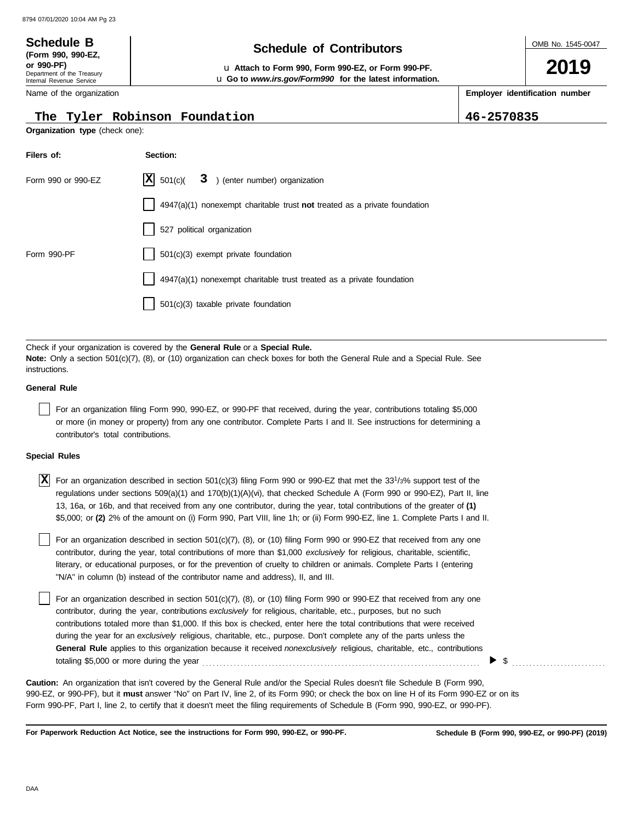Department of the Treasury Internal Revenue Service Name of the organization

**(Form 990, 990-EZ,**

## **Schedule of Contributors Schedule B**

OMB No. 1545-0047

**2019**

**or 990-PF)** u **Attach to Form 990, Form 990-EZ, or Form 990-PF.** u **Go to** *www.irs.gov/Form990* **for the latest information.**

**Employer identification number**

**The Tyler Robinson Foundation 46-2570835**

|  | THE TATEL RODINSON FOU         |  |
|--|--------------------------------|--|
|  | Organization type (check one): |  |

| Filers of:         | Section:                                                                    |
|--------------------|-----------------------------------------------------------------------------|
| Form 990 or 990-EZ | $ \mathbf{X} $ 501(c)(<br>3 ) (enter number) organization                   |
|                    | $4947(a)(1)$ nonexempt charitable trust not treated as a private foundation |
|                    | 527 political organization                                                  |
| Form 990-PF        | $501(c)(3)$ exempt private foundation                                       |
|                    | 4947(a)(1) nonexempt charitable trust treated as a private foundation       |
|                    | $501(c)(3)$ taxable private foundation                                      |

Check if your organization is covered by the **General Rule** or a **Special Rule. Note:** Only a section 501(c)(7), (8), or (10) organization can check boxes for both the General Rule and a Special Rule. See instructions.

#### **General Rule**

For an organization filing Form 990, 990-EZ, or 990-PF that received, during the year, contributions totaling \$5,000 or more (in money or property) from any one contributor. Complete Parts I and II. See instructions for determining a contributor's total contributions.

#### **Special Rules**

| $\overline{X}$ For an organization described in section 501(c)(3) filing Form 990 or 990-EZ that met the 33 <sup>1</sup> /3% support test of the |
|--------------------------------------------------------------------------------------------------------------------------------------------------|
| regulations under sections 509(a)(1) and 170(b)(1)(A)(vi), that checked Schedule A (Form 990 or 990-EZ), Part II, line                           |
| 13, 16a, or 16b, and that received from any one contributor, during the year, total contributions of the greater of (1)                          |
| \$5,000; or (2) 2% of the amount on (i) Form 990, Part VIII, line 1h; or (ii) Form 990-EZ, line 1. Complete Parts I and II.                      |

literary, or educational purposes, or for the prevention of cruelty to children or animals. Complete Parts I (entering For an organization described in section 501(c)(7), (8), or (10) filing Form 990 or 990-EZ that received from any one contributor, during the year, total contributions of more than \$1,000 *exclusively* for religious, charitable, scientific, "N/A" in column (b) instead of the contributor name and address), II, and III.

For an organization described in section 501(c)(7), (8), or (10) filing Form 990 or 990-EZ that received from any one contributor, during the year, contributions *exclusively* for religious, charitable, etc., purposes, but no such contributions totaled more than \$1,000. If this box is checked, enter here the total contributions that were received during the year for an *exclusively* religious, charitable, etc., purpose. Don't complete any of the parts unless the **General Rule** applies to this organization because it received *nonexclusively* religious, charitable, etc., contributions totaling \$5,000 or more during the year . . . . . . . . . . . . . . . . . . . . . . . . . . . . . . . . . . . . . . . . . . . . . . . . . . . . . . . . . . . . . . . . . . . . . . . . . . . . . . . .

990-EZ, or 990-PF), but it **must** answer "No" on Part IV, line 2, of its Form 990; or check the box on line H of its Form 990-EZ or on its Form 990-PF, Part I, line 2, to certify that it doesn't meet the filing requirements of Schedule B (Form 990, 990-EZ, or 990-PF). **Caution:** An organization that isn't covered by the General Rule and/or the Special Rules doesn't file Schedule B (Form 990,

**For Paperwork Reduction Act Notice, see the instructions for Form 990, 990-EZ, or 990-PF.**

\$ . . . . . . . . . . . . . . . . . . . . . . . . . . .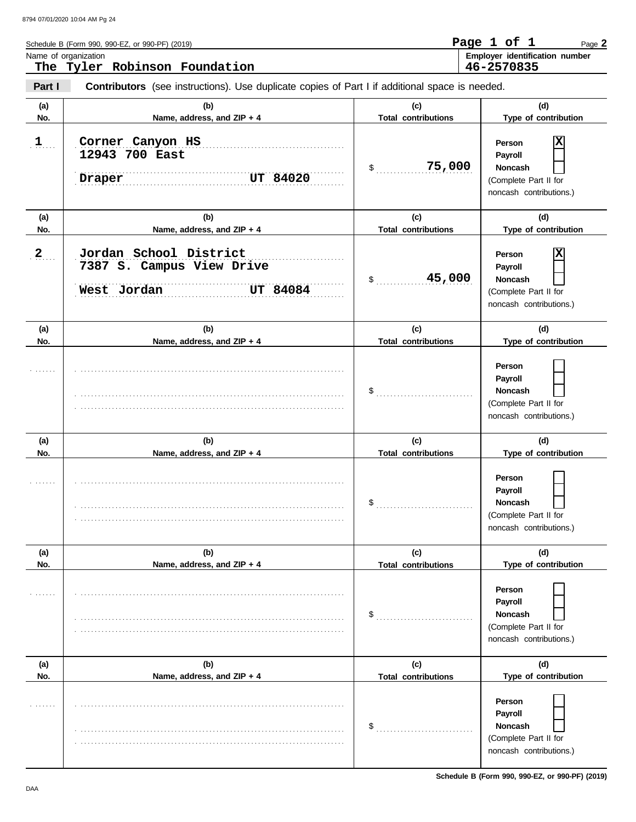|                | Schedule B (Form 990, 990-EZ, or 990-PF) (2019)                                                |                                   | Page 1 of 1<br>Page 2                                                                   |
|----------------|------------------------------------------------------------------------------------------------|-----------------------------------|-----------------------------------------------------------------------------------------|
|                | Name of organization<br>The Tyler Robinson Foundation                                          |                                   | Employer identification number<br>46-2570835                                            |
| Part I         | Contributors (see instructions). Use duplicate copies of Part I if additional space is needed. |                                   |                                                                                         |
| (a)<br>No.     | (b)<br>Name, address, and ZIP + 4                                                              | (c)<br><b>Total contributions</b> | (d)<br>Type of contribution                                                             |
| $\mathbf{1}$   | Corner Canyon HS<br>12943 700 East<br>UT 84020<br>Draper                                       | 75,000<br>$\mathfrak s$           | X<br>Person<br>Payroll<br>Noncash<br>(Complete Part II for<br>noncash contributions.)   |
| (a)            | (b)                                                                                            | (c)                               | (d)                                                                                     |
| No.            | Name, address, and ZIP + 4                                                                     | <b>Total contributions</b>        | Type of contribution                                                                    |
| 2 <sub>1</sub> | Jordan School District<br>7387 S. Campus View Drive<br>West Jordan<br>UT 84084                 | 45,000<br>$\mathsf{\$}$           | X<br>Person<br>Payroll<br>Noncash<br>(Complete Part II for<br>noncash contributions.)   |
| (a)            | (b)                                                                                            | (c)                               | (d)                                                                                     |
| No.            | Name, address, and ZIP + 4                                                                     | <b>Total contributions</b>        | Type of contribution                                                                    |
|                |                                                                                                | $\mathsf{S}$                      | Person<br>Payroll<br>Noncash<br>(Complete Part II for<br>noncash contributions.)        |
| (a)<br>No.     | (b)<br>Name, address, and ZIP + 4                                                              | (c)<br><b>Total contributions</b> | (d)<br>Type of contribution                                                             |
|                |                                                                                                | \$.                               | Person<br>Payroll<br>Noncash<br>(Complete Part II for<br>noncash contributions.)        |
| (a)            | (b)                                                                                            | (c)                               | (d)                                                                                     |
| No.            | Name, address, and ZIP + 4                                                                     | <b>Total contributions</b>        | Type of contribution                                                                    |
|                |                                                                                                | \$                                | Person<br>Payroll<br>Noncash<br>(Complete Part II for<br>noncash contributions.)        |
| (a)            | (b)                                                                                            | (c)                               | (d)                                                                                     |
| No.            | Name, address, and ZIP + 4                                                                     | <b>Total contributions</b>        | Type of contribution                                                                    |
|                |                                                                                                | \$                                | Person<br>Payroll<br><b>Noncash</b><br>(Complete Part II for<br>noncash contributions.) |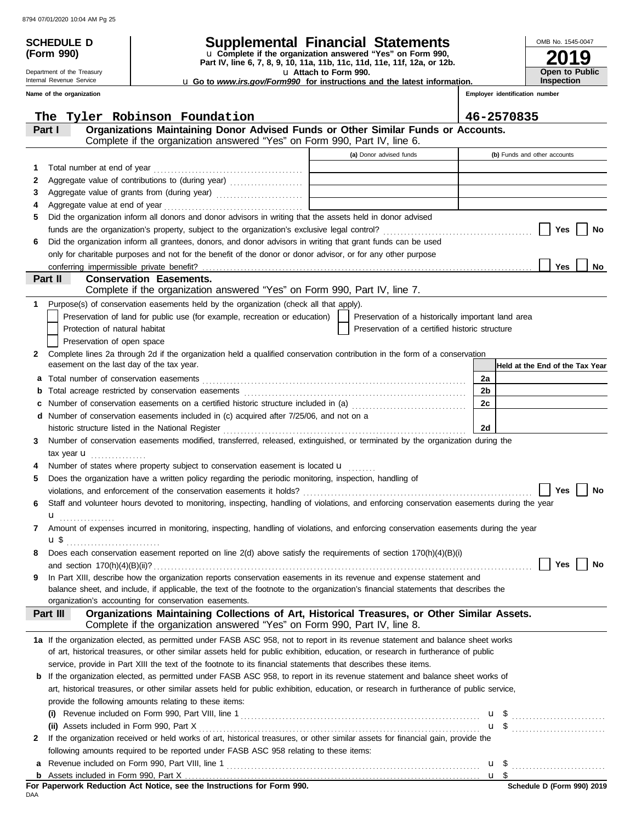**(Form 990)**

Department of the Treasury Internal Revenue Service

## **SCHEDULE D Supplemental Financial Statements**

**Part IV, line 6, 7, 8, 9, 10, 11a, 11b, 11c, 11d, 11e, 11f, 12a, or 12b.** u **Complete if the organization answered "Yes" on Form 990,**

u **Attach to Form 990.** 

u **Go to** *www.irs.gov/Form990* **for instructions and the latest information.**

|    | Name of the organization                                                                                                                                                                                                       |                                                    |    | Employer identification number  |
|----|--------------------------------------------------------------------------------------------------------------------------------------------------------------------------------------------------------------------------------|----------------------------------------------------|----|---------------------------------|
|    | Tyler Robinson Foundation<br>The                                                                                                                                                                                               |                                                    |    | 46-2570835                      |
|    | Organizations Maintaining Donor Advised Funds or Other Similar Funds or Accounts.<br>Part I<br>Complete if the organization answered "Yes" on Form 990, Part IV, line 6.                                                       |                                                    |    |                                 |
|    |                                                                                                                                                                                                                                | (a) Donor advised funds                            |    | (b) Funds and other accounts    |
| 1  | Total number at end of year                                                                                                                                                                                                    |                                                    |    |                                 |
| 2  | Aggregate value of contributions to (during year) [1] [1] [1] Aggregate value of contributions to (during year)                                                                                                                |                                                    |    |                                 |
| 3  | Aggregate value of grants from (during year)                                                                                                                                                                                   |                                                    |    |                                 |
| 4  |                                                                                                                                                                                                                                |                                                    |    |                                 |
| 5  | Did the organization inform all donors and donor advisors in writing that the assets held in donor advised                                                                                                                     |                                                    |    |                                 |
|    |                                                                                                                                                                                                                                |                                                    |    | Yes<br>No                       |
| 6  | Did the organization inform all grantees, donors, and donor advisors in writing that grant funds can be used                                                                                                                   |                                                    |    |                                 |
|    | only for charitable purposes and not for the benefit of the donor or donor advisor, or for any other purpose                                                                                                                   |                                                    |    |                                 |
|    | conferring impermissible private benefit?                                                                                                                                                                                      |                                                    |    | Yes<br>No                       |
|    | Part II<br><b>Conservation Easements.</b><br>Complete if the organization answered "Yes" on Form 990, Part IV, line 7.                                                                                                         |                                                    |    |                                 |
| 1. | Purpose(s) of conservation easements held by the organization (check all that apply).                                                                                                                                          |                                                    |    |                                 |
|    | Preservation of land for public use (for example, recreation or education)                                                                                                                                                     | Preservation of a historically important land area |    |                                 |
|    | Protection of natural habitat                                                                                                                                                                                                  | Preservation of a certified historic structure     |    |                                 |
|    | Preservation of open space                                                                                                                                                                                                     |                                                    |    |                                 |
| 2  | Complete lines 2a through 2d if the organization held a qualified conservation contribution in the form of a conservation                                                                                                      |                                                    |    |                                 |
|    | easement on the last day of the tax year.                                                                                                                                                                                      |                                                    |    | Held at the End of the Tax Year |
| а  |                                                                                                                                                                                                                                |                                                    | 2a |                                 |
| b  |                                                                                                                                                                                                                                |                                                    | 2b |                                 |
|    | Number of conservation easements on a certified historic structure included in (a) [[[[[[[[[[[[[[[[[[[[[[[[]]]]]]]                                                                                                             |                                                    | 2c |                                 |
| d  | Number of conservation easements included in (c) acquired after 7/25/06, and not on a                                                                                                                                          |                                                    |    |                                 |
|    | historic structure listed in the National Register [11, 12] And The Materian Material Anna Materia Materia Materia Materia Materia Materia Materia Materia Materia Materia Materia Materia Materia Materia Materia Materia Mat |                                                    | 2d |                                 |
| 3  | Number of conservation easements modified, transferred, released, extinguished, or terminated by the organization during the                                                                                                   |                                                    |    |                                 |
|    | tax year <b>u</b>                                                                                                                                                                                                              |                                                    |    |                                 |
| 4  | Number of states where property subject to conservation easement is located <b>u</b>                                                                                                                                           |                                                    |    |                                 |
| 5  | Does the organization have a written policy regarding the periodic monitoring, inspection, handling of                                                                                                                         |                                                    |    | Yes<br>No                       |
|    | Staff and volunteer hours devoted to monitoring, inspecting, handling of violations, and enforcing conservation easements during the year                                                                                      |                                                    |    |                                 |
| 6  | u                                                                                                                                                                                                                              |                                                    |    |                                 |
| 7  | Amount of expenses incurred in monitoring, inspecting, handling of violations, and enforcing conservation easements during the year                                                                                            |                                                    |    |                                 |
|    | u\$                                                                                                                                                                                                                            |                                                    |    |                                 |
|    | Does each conservation easement reported on line 2(d) above satisfy the requirements of section 170(h)(4)(B)(i)                                                                                                                |                                                    |    |                                 |
|    |                                                                                                                                                                                                                                |                                                    |    | Yes<br>No                       |
| 9  | In Part XIII, describe how the organization reports conservation easements in its revenue and expense statement and                                                                                                            |                                                    |    |                                 |
|    | balance sheet, and include, if applicable, the text of the footnote to the organization's financial statements that describes the                                                                                              |                                                    |    |                                 |
|    | organization's accounting for conservation easements.                                                                                                                                                                          |                                                    |    |                                 |
|    | Organizations Maintaining Collections of Art, Historical Treasures, or Other Similar Assets.<br>Part III<br>Complete if the organization answered "Yes" on Form 990, Part IV, line 8.                                          |                                                    |    |                                 |
|    | 1a If the organization elected, as permitted under FASB ASC 958, not to report in its revenue statement and balance sheet works                                                                                                |                                                    |    |                                 |
|    | of art, historical treasures, or other similar assets held for public exhibition, education, or research in furtherance of public                                                                                              |                                                    |    |                                 |
|    | service, provide in Part XIII the text of the footnote to its financial statements that describes these items.                                                                                                                 |                                                    |    |                                 |
|    | <b>b</b> If the organization elected, as permitted under FASB ASC 958, to report in its revenue statement and balance sheet works of                                                                                           |                                                    |    |                                 |
|    | art, historical treasures, or other similar assets held for public exhibition, education, or research in furtherance of public service,                                                                                        |                                                    |    |                                 |
|    | provide the following amounts relating to these items:                                                                                                                                                                         |                                                    |    |                                 |
|    |                                                                                                                                                                                                                                |                                                    |    | u \$                            |
|    |                                                                                                                                                                                                                                |                                                    |    | u <sub>s</sub>                  |
| 2  | If the organization received or held works of art, historical treasures, or other similar assets for financial gain, provide the                                                                                               |                                                    |    |                                 |
|    | following amounts required to be reported under FASB ASC 958 relating to these items:                                                                                                                                          |                                                    |    |                                 |
|    |                                                                                                                                                                                                                                |                                                    |    | u \$                            |
|    |                                                                                                                                                                                                                                |                                                    |    | u \$                            |

DAA **For Paperwork Reduction Act Notice, see the Instructions for Form 990.** **2019**

**Open to Public Inspection**

OMB No. 1545-0047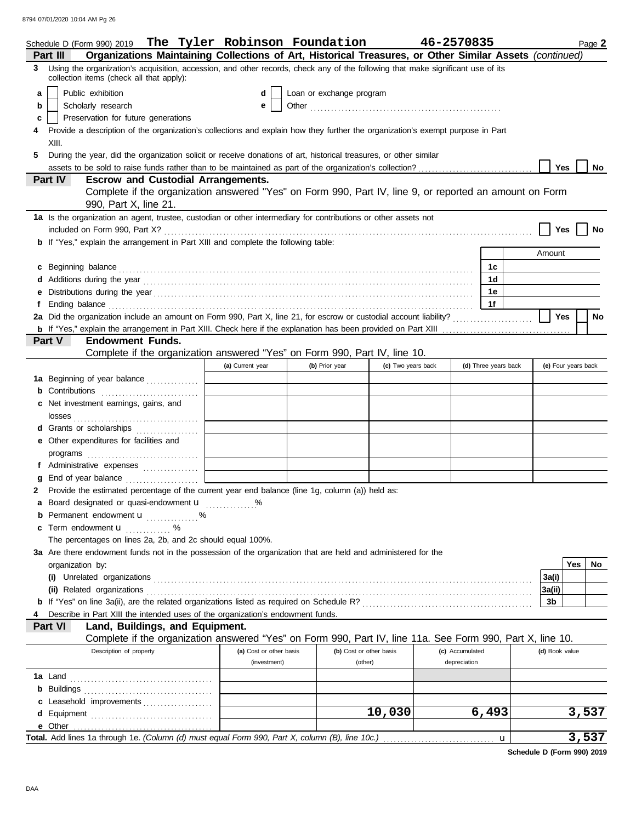|   | Schedule D (Form 990) 2019 The Tyler Robinson Foundation                                                                                                                    |                         |                          |                    | 46-2570835      |                      |   |                     |            | Page 2 |
|---|-----------------------------------------------------------------------------------------------------------------------------------------------------------------------------|-------------------------|--------------------------|--------------------|-----------------|----------------------|---|---------------------|------------|--------|
|   | Organizations Maintaining Collections of Art, Historical Treasures, or Other Similar Assets (continued)<br>Part III                                                         |                         |                          |                    |                 |                      |   |                     |            |        |
| 3 | Using the organization's acquisition, accession, and other records, check any of the following that make significant use of its<br>collection items (check all that apply): |                         |                          |                    |                 |                      |   |                     |            |        |
| a | Public exhibition                                                                                                                                                           | d                       | Loan or exchange program |                    |                 |                      |   |                     |            |        |
| b | Scholarly research                                                                                                                                                          | е                       |                          |                    |                 |                      |   |                     |            |        |
| c | Preservation for future generations                                                                                                                                         |                         |                          |                    |                 |                      |   |                     |            |        |
|   | Provide a description of the organization's collections and explain how they further the organization's exempt purpose in Part                                              |                         |                          |                    |                 |                      |   |                     |            |        |
|   | XIII.                                                                                                                                                                       |                         |                          |                    |                 |                      |   |                     |            |        |
| 5 | During the year, did the organization solicit or receive donations of art, historical treasures, or other similar                                                           |                         |                          |                    |                 |                      |   |                     |            |        |
|   |                                                                                                                                                                             |                         |                          |                    |                 |                      |   | Yes                 |            | No     |
|   | <b>Escrow and Custodial Arrangements.</b><br>Part IV                                                                                                                        |                         |                          |                    |                 |                      |   |                     |            |        |
|   | Complete if the organization answered "Yes" on Form 990, Part IV, line 9, or reported an amount on Form<br>990, Part X, line 21.                                            |                         |                          |                    |                 |                      |   |                     |            |        |
|   | 1a Is the organization an agent, trustee, custodian or other intermediary for contributions or other assets not                                                             |                         |                          |                    |                 |                      |   |                     |            |        |
|   |                                                                                                                                                                             |                         |                          |                    |                 |                      |   | Yes                 |            | No     |
|   | <b>b</b> If "Yes," explain the arrangement in Part XIII and complete the following table:                                                                                   |                         |                          |                    |                 |                      |   | Amount              |            |        |
|   |                                                                                                                                                                             |                         |                          |                    |                 |                      |   |                     |            |        |
| c |                                                                                                                                                                             |                         |                          |                    |                 | 1c                   |   |                     |            |        |
|   |                                                                                                                                                                             |                         |                          |                    |                 | 1 <sub>d</sub>       |   |                     |            |        |
|   |                                                                                                                                                                             |                         |                          |                    |                 | 1e<br>1f             |   |                     |            |        |
|   |                                                                                                                                                                             |                         |                          |                    |                 |                      |   | Yes                 |            |        |
|   |                                                                                                                                                                             |                         |                          |                    |                 |                      |   |                     |            | No     |
|   | Part V<br><b>Endowment Funds.</b>                                                                                                                                           |                         |                          |                    |                 |                      |   |                     |            |        |
|   | Complete if the organization answered "Yes" on Form 990, Part IV, line 10.                                                                                                  |                         |                          |                    |                 |                      |   |                     |            |        |
|   |                                                                                                                                                                             | (a) Current year        | (b) Prior year           | (c) Two years back |                 | (d) Three years back |   | (e) Four years back |            |        |
|   | 1a Beginning of year balance                                                                                                                                                |                         |                          |                    |                 |                      |   |                     |            |        |
|   | Contributions                                                                                                                                                               |                         |                          |                    |                 |                      |   |                     |            |        |
|   | Net investment earnings, gains, and                                                                                                                                         |                         |                          |                    |                 |                      |   |                     |            |        |
|   |                                                                                                                                                                             |                         |                          |                    |                 |                      |   |                     |            |        |
|   | Grants or scholarships<br>. <b>.</b> .                                                                                                                                      |                         |                          |                    |                 |                      |   |                     |            |        |
|   | Other expenditures for facilities and                                                                                                                                       |                         |                          |                    |                 |                      |   |                     |            |        |
|   |                                                                                                                                                                             |                         |                          |                    |                 |                      |   |                     |            |        |
|   |                                                                                                                                                                             |                         |                          |                    |                 |                      |   |                     |            |        |
|   | End of year balance <i>[[[[[[[[[[[[[[[[[[[[[[[[[[[[[[]]]</i> ]]]                                                                                                            |                         |                          |                    |                 |                      |   |                     |            |        |
|   | Provide the estimated percentage of the current year end balance (line 1g, column (a)) held as:                                                                             |                         |                          |                    |                 |                      |   |                     |            |        |
|   | Board designated or quasi-endowment u                                                                                                                                       |                         |                          |                    |                 |                      |   |                     |            |        |
|   | <b>b</b> Permanent endowment <b>u</b> %                                                                                                                                     |                         |                          |                    |                 |                      |   |                     |            |        |
| c | Term endowment <b>u</b>                                                                                                                                                     |                         |                          |                    |                 |                      |   |                     |            |        |
|   | The percentages on lines 2a, 2b, and 2c should equal 100%.                                                                                                                  |                         |                          |                    |                 |                      |   |                     |            |        |
|   | 3a Are there endowment funds not in the possession of the organization that are held and administered for the                                                               |                         |                          |                    |                 |                      |   |                     |            |        |
|   | organization by:                                                                                                                                                            |                         |                          |                    |                 |                      |   |                     | <b>Yes</b> | No.    |
|   |                                                                                                                                                                             |                         |                          |                    |                 |                      |   | 3a(i)               |            |        |
|   | (ii) Related organizations                                                                                                                                                  |                         |                          |                    |                 |                      |   | 3a(ii)              |            |        |
|   |                                                                                                                                                                             |                         |                          |                    |                 |                      |   | 3b                  |            |        |
|   | Describe in Part XIII the intended uses of the organization's endowment funds.                                                                                              |                         |                          |                    |                 |                      |   |                     |            |        |
|   | Part VI<br>Land, Buildings, and Equipment.                                                                                                                                  |                         |                          |                    |                 |                      |   |                     |            |        |
|   | Complete if the organization answered "Yes" on Form 990, Part IV, line 11a. See Form 990, Part X, line 10.                                                                  |                         |                          |                    |                 |                      |   |                     |            |        |
|   | Description of property                                                                                                                                                     | (a) Cost or other basis | (b) Cost or other basis  |                    | (c) Accumulated |                      |   | (d) Book value      |            |        |
|   |                                                                                                                                                                             | (investment)            | (other)                  |                    | depreciation    |                      |   |                     |            |        |
|   | 1a Land                                                                                                                                                                     |                         |                          |                    |                 |                      |   |                     |            |        |
|   | <b>b</b> Buildings                                                                                                                                                          |                         |                          |                    |                 |                      |   |                     |            |        |
|   | c Leasehold improvements                                                                                                                                                    |                         |                          |                    |                 |                      |   |                     |            |        |
|   |                                                                                                                                                                             |                         |                          | 10,030             |                 | 6,493                |   |                     |            | 3,537  |
|   |                                                                                                                                                                             |                         |                          |                    |                 |                      |   |                     |            |        |
|   | Total. Add lines 1a through 1e. (Column (d) must equal Form 990, Part X, column (B), line 10c.)                                                                             |                         |                          |                    |                 |                      | u |                     |            | 3,537  |

**Schedule D (Form 990) 2019**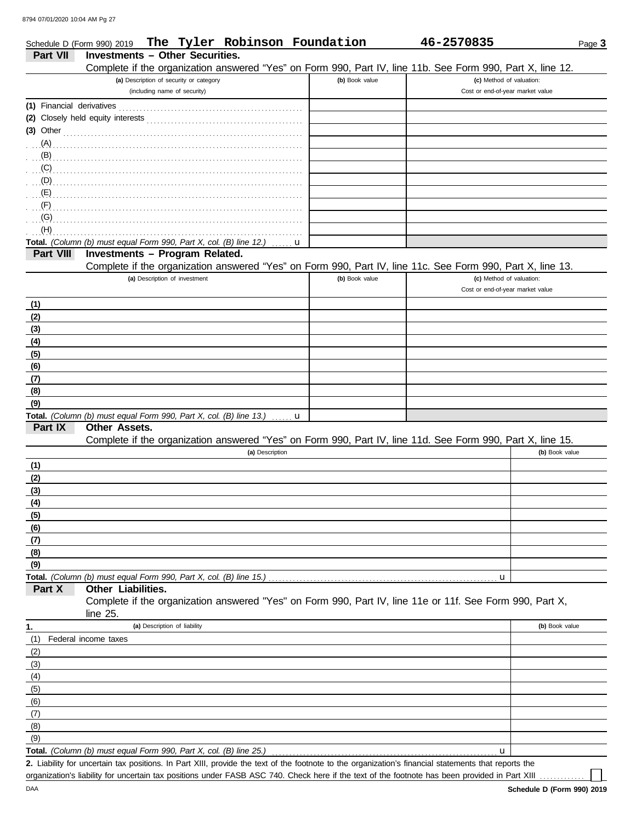DAA

|                           | The Tyler Robinson Foundation<br>Schedule D (Form 990) 2019                                                                                                                                                                                                                                  |                | 46-2570835                       | Page 3         |
|---------------------------|----------------------------------------------------------------------------------------------------------------------------------------------------------------------------------------------------------------------------------------------------------------------------------------------|----------------|----------------------------------|----------------|
| <b>Part VII</b>           | <b>Investments - Other Securities.</b>                                                                                                                                                                                                                                                       |                |                                  |                |
|                           | Complete if the organization answered "Yes" on Form 990, Part IV, line 11b. See Form 990, Part X, line 12.                                                                                                                                                                                   |                |                                  |                |
|                           | (a) Description of security or category                                                                                                                                                                                                                                                      | (b) Book value | (c) Method of valuation:         |                |
|                           | (including name of security)                                                                                                                                                                                                                                                                 |                | Cost or end-of-year market value |                |
| (1) Financial derivatives |                                                                                                                                                                                                                                                                                              |                |                                  |                |
|                           |                                                                                                                                                                                                                                                                                              |                |                                  |                |
|                           | (3) Other $\frac{1}{2}$ other $\frac{1}{2}$ or $\frac{1}{2}$ other $\frac{1}{2}$ or $\frac{1}{2}$ or $\frac{1}{2}$ or $\frac{1}{2}$ or $\frac{1}{2}$ or $\frac{1}{2}$ or $\frac{1}{2}$ or $\frac{1}{2}$ or $\frac{1}{2}$ or $\frac{1}{2}$ or $\frac{1}{2}$ or $\frac{1}{2}$ or $\frac{1}{2}$ |                |                                  |                |
|                           |                                                                                                                                                                                                                                                                                              |                |                                  |                |
|                           |                                                                                                                                                                                                                                                                                              |                |                                  |                |
|                           |                                                                                                                                                                                                                                                                                              |                |                                  |                |
| (D)                       |                                                                                                                                                                                                                                                                                              |                |                                  |                |
|                           |                                                                                                                                                                                                                                                                                              |                |                                  |                |
| (F)                       |                                                                                                                                                                                                                                                                                              |                |                                  |                |
| (G)                       |                                                                                                                                                                                                                                                                                              |                |                                  |                |
| (H)                       |                                                                                                                                                                                                                                                                                              |                |                                  |                |
|                           | Total. (Column (b) must equal Form 990, Part X, col. (B) line 12.)<br>u                                                                                                                                                                                                                      |                |                                  |                |
| Part VIII                 | Investments - Program Related.                                                                                                                                                                                                                                                               |                |                                  |                |
|                           | Complete if the organization answered "Yes" on Form 990, Part IV, line 11c. See Form 990, Part X, line 13.                                                                                                                                                                                   |                |                                  |                |
|                           | (a) Description of investment                                                                                                                                                                                                                                                                | (b) Book value | (c) Method of valuation:         |                |
|                           |                                                                                                                                                                                                                                                                                              |                | Cost or end-of-year market value |                |
| (1)                       |                                                                                                                                                                                                                                                                                              |                |                                  |                |
| (2)                       |                                                                                                                                                                                                                                                                                              |                |                                  |                |
| (3)                       |                                                                                                                                                                                                                                                                                              |                |                                  |                |
| (4)                       |                                                                                                                                                                                                                                                                                              |                |                                  |                |
| (5)                       |                                                                                                                                                                                                                                                                                              |                |                                  |                |
| (6)                       |                                                                                                                                                                                                                                                                                              |                |                                  |                |
| (7)                       |                                                                                                                                                                                                                                                                                              |                |                                  |                |
| (8)                       |                                                                                                                                                                                                                                                                                              |                |                                  |                |
| (9)                       |                                                                                                                                                                                                                                                                                              |                |                                  |                |
| Part IX                   | Total. (Column (b) must equal Form 990, Part X, col. (B) line 13.)<br>u<br><b>Other Assets.</b>                                                                                                                                                                                              |                |                                  |                |
|                           | Complete if the organization answered "Yes" on Form 990, Part IV, line 11d. See Form 990, Part X, line 15.                                                                                                                                                                                   |                |                                  |                |
|                           | (a) Description                                                                                                                                                                                                                                                                              |                |                                  | (b) Book value |
| (1)                       |                                                                                                                                                                                                                                                                                              |                |                                  |                |
| (2)                       |                                                                                                                                                                                                                                                                                              |                |                                  |                |
| (3)                       |                                                                                                                                                                                                                                                                                              |                |                                  |                |
| (4)                       |                                                                                                                                                                                                                                                                                              |                |                                  |                |
| (5)                       |                                                                                                                                                                                                                                                                                              |                |                                  |                |
| (6)                       |                                                                                                                                                                                                                                                                                              |                |                                  |                |
| (7)                       |                                                                                                                                                                                                                                                                                              |                |                                  |                |
| (8)                       |                                                                                                                                                                                                                                                                                              |                |                                  |                |
| (9)                       |                                                                                                                                                                                                                                                                                              |                |                                  |                |
|                           | Total. (Column (b) must equal Form 990, Part X, col. (B) line $15.$ )                                                                                                                                                                                                                        |                | u                                |                |
| Part X                    | Other Liabilities.                                                                                                                                                                                                                                                                           |                |                                  |                |
|                           | Complete if the organization answered "Yes" on Form 990, Part IV, line 11e or 11f. See Form 990, Part X,                                                                                                                                                                                     |                |                                  |                |
|                           | line 25.                                                                                                                                                                                                                                                                                     |                |                                  |                |
| 1.                        | (a) Description of liability                                                                                                                                                                                                                                                                 |                |                                  | (b) Book value |
| (1)                       | Federal income taxes                                                                                                                                                                                                                                                                         |                |                                  |                |
| (2)                       |                                                                                                                                                                                                                                                                                              |                |                                  |                |
| (3)                       |                                                                                                                                                                                                                                                                                              |                |                                  |                |
| (4)                       |                                                                                                                                                                                                                                                                                              |                |                                  |                |
| (5)                       |                                                                                                                                                                                                                                                                                              |                |                                  |                |
| (6)                       |                                                                                                                                                                                                                                                                                              |                |                                  |                |
| (7)                       |                                                                                                                                                                                                                                                                                              |                |                                  |                |
| (8)                       |                                                                                                                                                                                                                                                                                              |                |                                  |                |
| (9)                       |                                                                                                                                                                                                                                                                                              |                |                                  |                |
|                           | Total. (Column (b) must equal Form 990, Part X, col. (B) line 25.)                                                                                                                                                                                                                           |                | u                                |                |
|                           | 2. Liability for uncertain tax positions. In Part XIII, provide the text of the footnote to the organization's financial statements that reports the                                                                                                                                         |                |                                  |                |

organization's liability for uncertain tax positions under FASB ASC 740. Check here if the text of the footnote has been provided in Part XIII . . . . . . . . . . . . .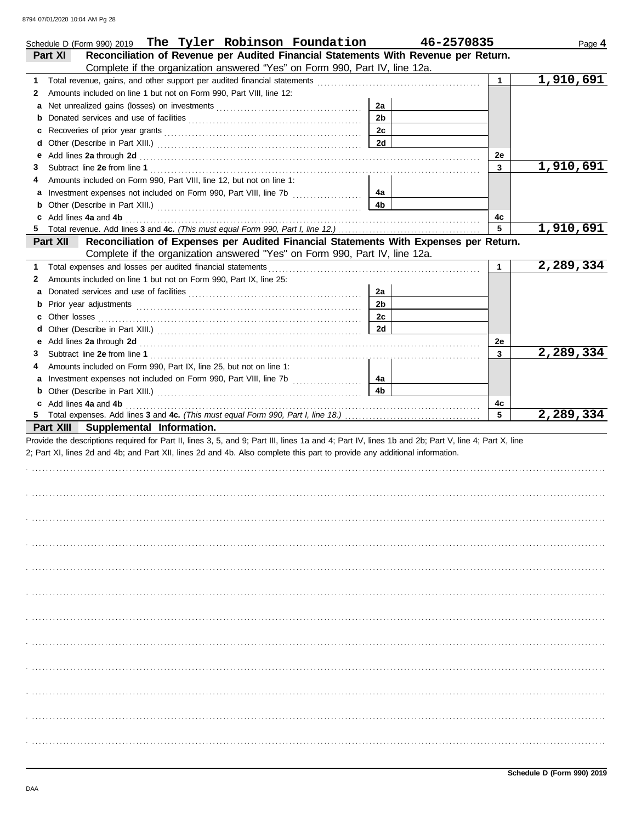|    | Schedule D (Form 990) 2019 The Tyler Robinson Foundation                                                                                                                                                                       | 46-2570835     |              | Page 4    |
|----|--------------------------------------------------------------------------------------------------------------------------------------------------------------------------------------------------------------------------------|----------------|--------------|-----------|
|    | Reconciliation of Revenue per Audited Financial Statements With Revenue per Return.<br>Part XI                                                                                                                                 |                |              |           |
|    | Complete if the organization answered "Yes" on Form 990, Part IV, line 12a.                                                                                                                                                    |                |              |           |
| 1  |                                                                                                                                                                                                                                |                | $\mathbf{1}$ | 1,910,691 |
| 2  | Amounts included on line 1 but not on Form 990, Part VIII, line 12:                                                                                                                                                            |                |              |           |
| a  |                                                                                                                                                                                                                                | 2a             |              |           |
| b  |                                                                                                                                                                                                                                | 2 <sub>b</sub> |              |           |
| c  |                                                                                                                                                                                                                                | 2c             |              |           |
| d  |                                                                                                                                                                                                                                | 2d             |              |           |
| е  | Add lines 2a through 2d [11] Additional Property and Property and Property and Property and Property and Property and Property and Property and Property and Property and Property and Property and Property and Property and  |                | 2e           | 1,910,691 |
| 3  |                                                                                                                                                                                                                                |                | $\mathbf{3}$ |           |
| 4  | Amounts included on Form 990, Part VIII, line 12, but not on line 1:                                                                                                                                                           |                |              |           |
|    | a Investment expenses not included on Form 990, Part VIII, line 7b [11, 11, 11, 11, 11]                                                                                                                                        | 4a<br>4b       |              |           |
|    |                                                                                                                                                                                                                                |                |              |           |
|    | c Add lines 4a and 4b                                                                                                                                                                                                          |                | 4c<br>5      | 1,910,691 |
| 5. | Reconciliation of Expenses per Audited Financial Statements With Expenses per Return.                                                                                                                                          |                |              |           |
|    | Part XII<br>Complete if the organization answered "Yes" on Form 990, Part IV, line 12a.                                                                                                                                        |                |              |           |
|    |                                                                                                                                                                                                                                |                |              | 2,289,334 |
| 1  | Amounts included on line 1 but not on Form 990, Part IX, line 25:                                                                                                                                                              |                | 1            |           |
| 2  |                                                                                                                                                                                                                                |                |              |           |
|    |                                                                                                                                                                                                                                | 2a             |              |           |
| b  |                                                                                                                                                                                                                                | 2 <sub>b</sub> |              |           |
|    |                                                                                                                                                                                                                                | 2c             |              |           |
| d  |                                                                                                                                                                                                                                | 2d             |              |           |
|    | e Add lines 2a through 2d (a) and the contract of the Add lines 2a through 2d (a) and the contract of the Add lines 2a through 2d (a) and the contract of the Add lines 2a through 2d (a) and the contract of the Adding of Ad |                | 2e           |           |
| 3  |                                                                                                                                                                                                                                |                | 3            | 2,289,334 |
| 4  | Amounts included on Form 990, Part IX, line 25, but not on line 1:                                                                                                                                                             |                |              |           |
|    |                                                                                                                                                                                                                                | 4a             |              |           |
|    |                                                                                                                                                                                                                                | 4b             |              |           |
|    |                                                                                                                                                                                                                                |                |              |           |
|    | c Add lines 4a and 4b                                                                                                                                                                                                          |                | 4c           |           |
| 5  |                                                                                                                                                                                                                                |                | 5            | 2,289,334 |
|    | Part XIII Supplemental Information.                                                                                                                                                                                            |                |              |           |
|    | Provide the descriptions required for Part II, lines 3, 5, and 9; Part III, lines 1a and 4; Part IV, lines 1b and 2b; Part V, line 4; Part X, line                                                                             |                |              |           |
|    | 2; Part XI, lines 2d and 4b; and Part XII, lines 2d and 4b. Also complete this part to provide any additional information.                                                                                                     |                |              |           |
|    |                                                                                                                                                                                                                                |                |              |           |
|    |                                                                                                                                                                                                                                |                |              |           |
|    |                                                                                                                                                                                                                                |                |              |           |
|    |                                                                                                                                                                                                                                |                |              |           |
|    |                                                                                                                                                                                                                                |                |              |           |
|    |                                                                                                                                                                                                                                |                |              |           |
|    |                                                                                                                                                                                                                                |                |              |           |
|    |                                                                                                                                                                                                                                |                |              |           |
|    |                                                                                                                                                                                                                                |                |              |           |
|    |                                                                                                                                                                                                                                |                |              |           |
|    |                                                                                                                                                                                                                                |                |              |           |
|    |                                                                                                                                                                                                                                |                |              |           |
|    |                                                                                                                                                                                                                                |                |              |           |
|    |                                                                                                                                                                                                                                |                |              |           |
|    |                                                                                                                                                                                                                                |                |              |           |
|    |                                                                                                                                                                                                                                |                |              |           |
|    |                                                                                                                                                                                                                                |                |              |           |
|    |                                                                                                                                                                                                                                |                |              |           |
|    |                                                                                                                                                                                                                                |                |              |           |
|    |                                                                                                                                                                                                                                |                |              |           |
|    |                                                                                                                                                                                                                                |                |              |           |
|    |                                                                                                                                                                                                                                |                |              |           |
|    |                                                                                                                                                                                                                                |                |              |           |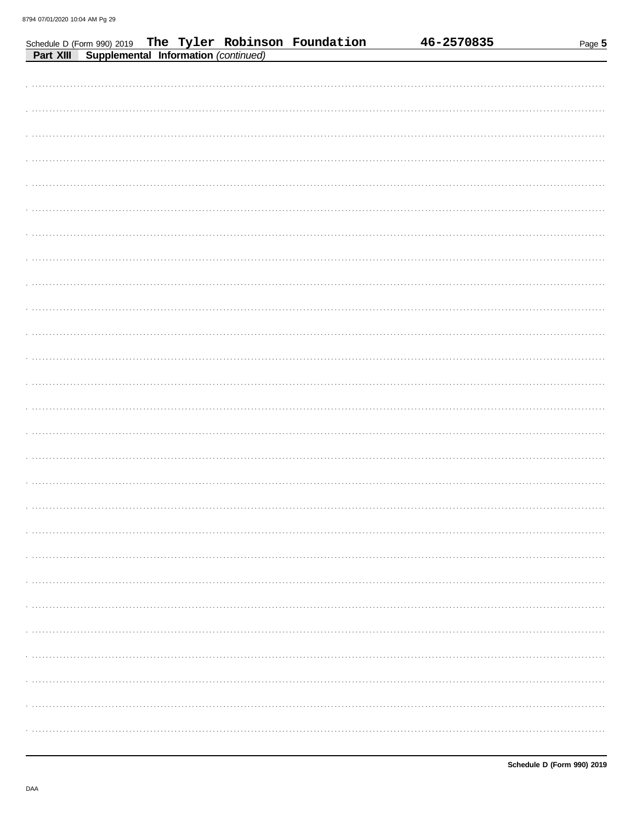|           |                                      | Schedule D (Form 990) 2019 The Tyler Robinson Foundation | 46-2570835 | Page 5 |
|-----------|--------------------------------------|----------------------------------------------------------|------------|--------|
| Part XIII | Supplemental Information (continued) |                                                          |            |        |
|           |                                      |                                                          |            |        |
|           |                                      |                                                          |            |        |
|           |                                      |                                                          |            |        |
|           |                                      |                                                          |            |        |
|           |                                      |                                                          |            |        |
|           |                                      |                                                          |            |        |
|           |                                      |                                                          |            |        |
|           |                                      |                                                          |            |        |
|           |                                      |                                                          |            |        |
|           |                                      |                                                          |            |        |
|           |                                      |                                                          |            |        |
|           |                                      |                                                          |            |        |
|           |                                      |                                                          |            |        |
|           |                                      |                                                          |            |        |
|           |                                      |                                                          |            |        |
|           |                                      |                                                          |            |        |
|           |                                      |                                                          |            |        |
|           |                                      |                                                          |            |        |
|           |                                      |                                                          |            |        |
|           |                                      |                                                          |            |        |
|           |                                      |                                                          |            |        |
|           |                                      |                                                          |            |        |
|           |                                      |                                                          |            |        |
|           |                                      |                                                          |            |        |
|           |                                      |                                                          |            |        |
|           |                                      |                                                          |            |        |
|           |                                      |                                                          |            |        |
|           |                                      |                                                          |            |        |
|           |                                      |                                                          |            |        |
|           |                                      |                                                          |            |        |
|           |                                      |                                                          |            |        |
|           |                                      |                                                          |            |        |
|           |                                      |                                                          |            |        |
|           |                                      |                                                          |            |        |
|           |                                      |                                                          |            |        |
|           |                                      |                                                          |            |        |
|           |                                      |                                                          |            |        |
|           |                                      |                                                          |            |        |
|           |                                      |                                                          |            |        |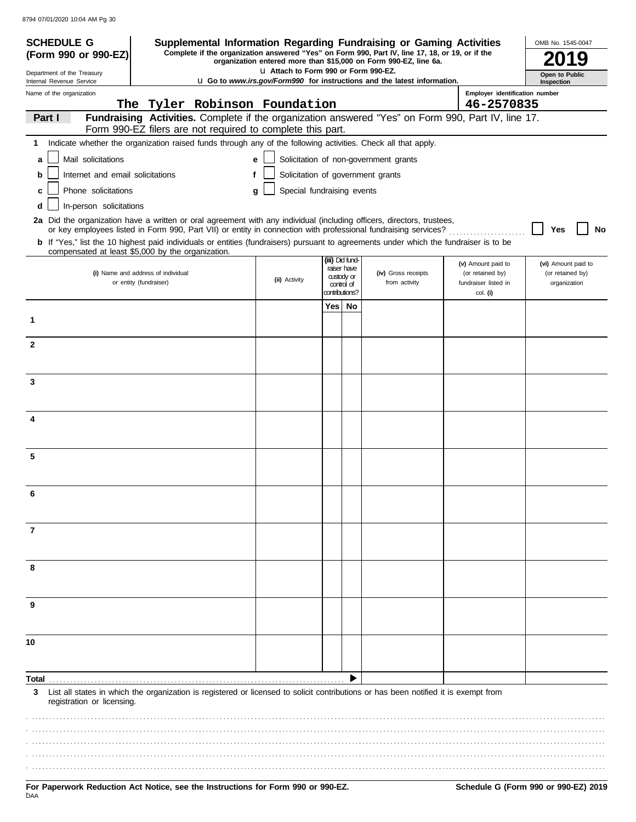| <b>SCHEDULE G</b>                                                                                                                                                                           | Supplemental Information Regarding Fundraising or Gaming Activities                                                                                                                                                                      |   |                                      |  |                                |                                                                          |                                          | OMB No. 1545-0047                |
|---------------------------------------------------------------------------------------------------------------------------------------------------------------------------------------------|------------------------------------------------------------------------------------------------------------------------------------------------------------------------------------------------------------------------------------------|---|--------------------------------------|--|--------------------------------|--------------------------------------------------------------------------|------------------------------------------|----------------------------------|
| Complete if the organization answered "Yes" on Form 990, Part IV, line 17, 18, or 19, or if the<br>(Form 990 or 990-EZ)<br>organization entered more than \$15,000 on Form 990-EZ, line 6a. |                                                                                                                                                                                                                                          |   |                                      |  |                                |                                                                          |                                          |                                  |
| Department of the Treasury<br>Internal Revenue Service                                                                                                                                      |                                                                                                                                                                                                                                          |   | U Attach to Form 990 or Form 990-EZ. |  |                                | U Go to www.irs.gov/Form990 for instructions and the latest information. |                                          | Open to Public<br>Inspection     |
| Name of the organization                                                                                                                                                                    |                                                                                                                                                                                                                                          |   |                                      |  |                                |                                                                          | Employer identification number           |                                  |
|                                                                                                                                                                                             | The Tyler Robinson Foundation                                                                                                                                                                                                            |   |                                      |  |                                |                                                                          | 46-2570835                               |                                  |
| Part I                                                                                                                                                                                      | Fundraising Activities. Complete if the organization answered "Yes" on Form 990, Part IV, line 17.<br>Form 990-EZ filers are not required to complete this part.                                                                         |   |                                      |  |                                |                                                                          |                                          |                                  |
| 1.                                                                                                                                                                                          | Indicate whether the organization raised funds through any of the following activities. Check all that apply.                                                                                                                            |   |                                      |  |                                |                                                                          |                                          |                                  |
| Mail solicitations<br>a                                                                                                                                                                     |                                                                                                                                                                                                                                          |   |                                      |  |                                | Solicitation of non-government grants                                    |                                          |                                  |
|                                                                                                                                                                                             |                                                                                                                                                                                                                                          | e |                                      |  |                                |                                                                          |                                          |                                  |
| Internet and email solicitations<br>b                                                                                                                                                       |                                                                                                                                                                                                                                          |   | Solicitation of government grants    |  |                                |                                                                          |                                          |                                  |
| Phone solicitations                                                                                                                                                                         |                                                                                                                                                                                                                                          | a | Special fundraising events           |  |                                |                                                                          |                                          |                                  |
| In-person solicitations<br>d                                                                                                                                                                |                                                                                                                                                                                                                                          |   |                                      |  |                                |                                                                          |                                          |                                  |
|                                                                                                                                                                                             | 2a Did the organization have a written or oral agreement with any individual (including officers, directors, trustees,<br>or key employees listed in Form 990, Part VII) or entity in connection with professional fundraising services? |   |                                      |  |                                |                                                                          |                                          | Yes<br>No                        |
|                                                                                                                                                                                             | b If "Yes," list the 10 highest paid individuals or entities (fundraisers) pursuant to agreements under which the fundraiser is to be<br>compensated at least \$5,000 by the organization.                                               |   |                                      |  |                                |                                                                          |                                          |                                  |
|                                                                                                                                                                                             |                                                                                                                                                                                                                                          |   |                                      |  | (iii) Did fund-<br>raiser have |                                                                          | (v) Amount paid to                       | (vi) Amount paid to              |
|                                                                                                                                                                                             | (i) Name and address of individual<br>or entity (fundraiser)                                                                                                                                                                             |   | (ii) Activity                        |  | custody or<br>control of       | (iv) Gross receipts<br>from activity                                     | (or retained by)<br>fundraiser listed in | (or retained by)<br>organization |
|                                                                                                                                                                                             |                                                                                                                                                                                                                                          |   |                                      |  | contributions?                 |                                                                          | col. (i)                                 |                                  |
|                                                                                                                                                                                             |                                                                                                                                                                                                                                          |   |                                      |  | Yes   No                       |                                                                          |                                          |                                  |
| 1                                                                                                                                                                                           |                                                                                                                                                                                                                                          |   |                                      |  |                                |                                                                          |                                          |                                  |
| $\mathbf{2}$                                                                                                                                                                                |                                                                                                                                                                                                                                          |   |                                      |  |                                |                                                                          |                                          |                                  |
|                                                                                                                                                                                             |                                                                                                                                                                                                                                          |   |                                      |  |                                |                                                                          |                                          |                                  |
| 3                                                                                                                                                                                           |                                                                                                                                                                                                                                          |   |                                      |  |                                |                                                                          |                                          |                                  |
|                                                                                                                                                                                             |                                                                                                                                                                                                                                          |   |                                      |  |                                |                                                                          |                                          |                                  |
| 4                                                                                                                                                                                           |                                                                                                                                                                                                                                          |   |                                      |  |                                |                                                                          |                                          |                                  |
|                                                                                                                                                                                             |                                                                                                                                                                                                                                          |   |                                      |  |                                |                                                                          |                                          |                                  |
| 5                                                                                                                                                                                           |                                                                                                                                                                                                                                          |   |                                      |  |                                |                                                                          |                                          |                                  |
|                                                                                                                                                                                             |                                                                                                                                                                                                                                          |   |                                      |  |                                |                                                                          |                                          |                                  |
|                                                                                                                                                                                             |                                                                                                                                                                                                                                          |   |                                      |  |                                |                                                                          |                                          |                                  |
|                                                                                                                                                                                             |                                                                                                                                                                                                                                          |   |                                      |  |                                |                                                                          |                                          |                                  |
| 7                                                                                                                                                                                           |                                                                                                                                                                                                                                          |   |                                      |  |                                |                                                                          |                                          |                                  |
|                                                                                                                                                                                             |                                                                                                                                                                                                                                          |   |                                      |  |                                |                                                                          |                                          |                                  |
| 8                                                                                                                                                                                           |                                                                                                                                                                                                                                          |   |                                      |  |                                |                                                                          |                                          |                                  |
|                                                                                                                                                                                             |                                                                                                                                                                                                                                          |   |                                      |  |                                |                                                                          |                                          |                                  |
| 9                                                                                                                                                                                           |                                                                                                                                                                                                                                          |   |                                      |  |                                |                                                                          |                                          |                                  |
|                                                                                                                                                                                             |                                                                                                                                                                                                                                          |   |                                      |  |                                |                                                                          |                                          |                                  |
| 10                                                                                                                                                                                          |                                                                                                                                                                                                                                          |   |                                      |  |                                |                                                                          |                                          |                                  |
|                                                                                                                                                                                             |                                                                                                                                                                                                                                          |   |                                      |  |                                |                                                                          |                                          |                                  |
| Total                                                                                                                                                                                       |                                                                                                                                                                                                                                          |   |                                      |  |                                |                                                                          |                                          |                                  |
| 3<br>registration or licensing.                                                                                                                                                             | List all states in which the organization is registered or licensed to solicit contributions or has been notified it is exempt from                                                                                                      |   |                                      |  |                                |                                                                          |                                          |                                  |
|                                                                                                                                                                                             |                                                                                                                                                                                                                                          |   |                                      |  |                                |                                                                          |                                          |                                  |
|                                                                                                                                                                                             |                                                                                                                                                                                                                                          |   |                                      |  |                                |                                                                          |                                          |                                  |
|                                                                                                                                                                                             |                                                                                                                                                                                                                                          |   |                                      |  |                                |                                                                          |                                          |                                  |
|                                                                                                                                                                                             |                                                                                                                                                                                                                                          |   |                                      |  |                                |                                                                          |                                          |                                  |
|                                                                                                                                                                                             |                                                                                                                                                                                                                                          |   |                                      |  |                                |                                                                          |                                          |                                  |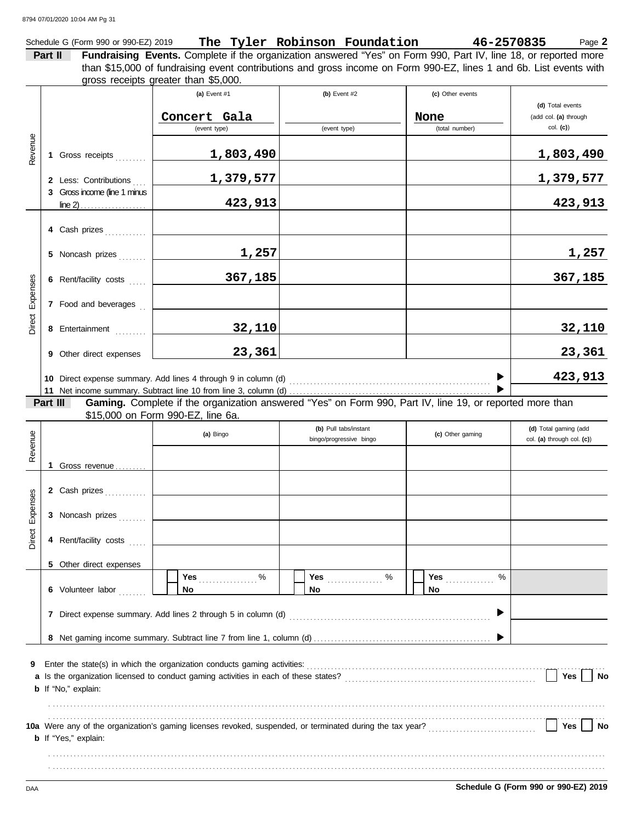|          |         | Schedule G (Form 990 or 990-EZ) 2019                  |                                                                                                                                                                                                                                       | The Tyler Robinson Foundation                    |                    | 46-2570835<br>Page 2                                |
|----------|---------|-------------------------------------------------------|---------------------------------------------------------------------------------------------------------------------------------------------------------------------------------------------------------------------------------------|--------------------------------------------------|--------------------|-----------------------------------------------------|
|          | Part II |                                                       | Fundraising Events. Complete if the organization answered "Yes" on Form 990, Part IV, line 18, or reported more<br>than \$15,000 of fundraising event contributions and gross income on Form 990-EZ, lines 1 and 6b. List events with |                                                  |                    |                                                     |
|          |         |                                                       | gross receipts greater than \$5,000.                                                                                                                                                                                                  |                                                  |                    |                                                     |
|          |         |                                                       | (a) Event #1                                                                                                                                                                                                                          | (b) Event #2                                     | (c) Other events   | (d) Total events                                    |
|          |         |                                                       | Concert Gala                                                                                                                                                                                                                          |                                                  | None               | (add col. (a) through<br>col. (c)                   |
|          |         |                                                       | (event type)                                                                                                                                                                                                                          | (event type)                                     | (total number)     |                                                     |
| Revenue  |         | 1 Gross receipts                                      | 1,803,490                                                                                                                                                                                                                             |                                                  |                    | <u>1,803,490</u>                                    |
|          |         | 2 Less: Contributions<br>3 Gross income (line 1 minus | 1,379,577                                                                                                                                                                                                                             |                                                  |                    | 1,379,577                                           |
|          |         |                                                       | 423,913                                                                                                                                                                                                                               |                                                  |                    | 423,913                                             |
|          |         |                                                       |                                                                                                                                                                                                                                       |                                                  |                    |                                                     |
|          |         | 4 Cash prizes                                         |                                                                                                                                                                                                                                       |                                                  |                    |                                                     |
|          |         | 5 Noncash prizes                                      | 1,257                                                                                                                                                                                                                                 |                                                  |                    | 1,257                                               |
| Expenses |         | 6 Rent/facility costs [11111]                         | 367,185                                                                                                                                                                                                                               |                                                  |                    | 367,185                                             |
|          |         | 7 Food and beverages                                  |                                                                                                                                                                                                                                       |                                                  |                    |                                                     |
| Direct   |         | 8 Entertainment                                       | 32,110                                                                                                                                                                                                                                |                                                  |                    | 32,110                                              |
|          |         | 9 Other direct expenses                               | 23,361                                                                                                                                                                                                                                |                                                  |                    | 23,361                                              |
|          |         |                                                       | 10 Direct expense summary. Add lines 4 through 9 in column (d)                                                                                                                                                                        |                                                  |                    | 423,913                                             |
|          |         |                                                       |                                                                                                                                                                                                                                       |                                                  |                    |                                                     |
|          |         | Part III                                              | Gaming. Complete if the organization answered "Yes" on Form 990, Part IV, line 19, or reported more than                                                                                                                              |                                                  |                    |                                                     |
|          |         |                                                       | \$15,000 on Form 990-EZ, line 6a.                                                                                                                                                                                                     |                                                  |                    |                                                     |
| Revenue  |         |                                                       | (a) Bingo                                                                                                                                                                                                                             | (b) Pull tabs/instant<br>bingo/progressive bingo | (c) Other gaming   | (d) Total gaming (add<br>col. (a) through col. (c)) |
|          |         |                                                       |                                                                                                                                                                                                                                       |                                                  |                    |                                                     |
|          | 1       | Gross revenue                                         |                                                                                                                                                                                                                                       |                                                  |                    |                                                     |
| ses      |         | 2 Cash prizes                                         |                                                                                                                                                                                                                                       |                                                  |                    |                                                     |
| Exper    |         | 3 Noncash prizes                                      |                                                                                                                                                                                                                                       |                                                  |                    |                                                     |
| Direct   |         | 4 Rent/facility costs                                 |                                                                                                                                                                                                                                       |                                                  |                    |                                                     |
|          |         | 5 Other direct expenses                               |                                                                                                                                                                                                                                       |                                                  |                    |                                                     |
|          |         |                                                       |                                                                                                                                                                                                                                       | Yes <u></u><br>%                                 | $\%$<br><b>Yes</b> |                                                     |
|          |         | 6 Volunteer labor                                     | No                                                                                                                                                                                                                                    | No                                               | No                 |                                                     |
|          |         |                                                       |                                                                                                                                                                                                                                       |                                                  |                    |                                                     |
|          |         |                                                       |                                                                                                                                                                                                                                       |                                                  |                    |                                                     |
|          |         |                                                       |                                                                                                                                                                                                                                       |                                                  |                    |                                                     |
| 9        |         | <b>b</b> If "No," explain:                            |                                                                                                                                                                                                                                       |                                                  |                    | Yes<br>No                                           |
|          |         |                                                       |                                                                                                                                                                                                                                       |                                                  |                    |                                                     |
|          |         |                                                       | 10a Were any of the organization's gaming licenses revoked, suspended, or terminated during the tax year?<br>10a Were any of the organization's gaming licenses revoked, suspended, or terminated during the tax year?                |                                                  |                    | Yes<br>No                                           |
|          |         | <b>b</b> If "Yes," explain:                           |                                                                                                                                                                                                                                       |                                                  |                    |                                                     |
|          |         |                                                       |                                                                                                                                                                                                                                       |                                                  |                    |                                                     |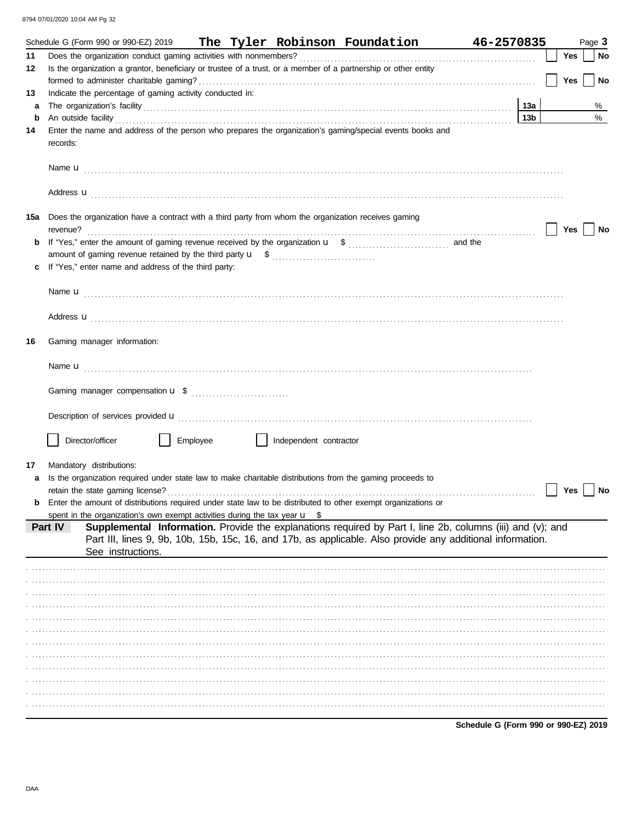|          | The Tyler Robinson Foundation<br>Schedule G (Form 990 or 990-EZ) 2019                                                                                                                                                                | 46-2570835      |            | Page 3 |
|----------|--------------------------------------------------------------------------------------------------------------------------------------------------------------------------------------------------------------------------------------|-----------------|------------|--------|
| 11<br>12 | Is the organization a grantor, beneficiary or trustee of a trust, or a member of a partnership or other entity                                                                                                                       |                 | Yes        | No     |
|          |                                                                                                                                                                                                                                      |                 | <b>Yes</b> | No     |
| 13       | Indicate the percentage of gaming activity conducted in:                                                                                                                                                                             |                 |            |        |
| a        |                                                                                                                                                                                                                                      | 13а             |            | %      |
| b        | An outside facility <b>contained a set of the container and a set of the container and a set of the container and set of the contact of the contact of the contact of the contact of the contact of the contact of the contact o</b> | 13 <sub>b</sub> |            | %      |
| 14       | Enter the name and address of the person who prepares the organization's gaming/special events books and<br>records:                                                                                                                 |                 |            |        |
|          | Name <b>u</b> example and the contract of the contract of the contract of the contract of the contract of the contract of the contract of the contract of the contract of the contract of the contract of the contract of the contr  |                 |            |        |
|          |                                                                                                                                                                                                                                      |                 |            |        |
| 15a      | Does the organization have a contract with a third party from whom the organization receives gaming<br>revenue?                                                                                                                      |                 | Yes        | No     |
| b        |                                                                                                                                                                                                                                      |                 |            |        |
|          |                                                                                                                                                                                                                                      |                 |            |        |
|          | If "Yes," enter name and address of the third party:                                                                                                                                                                                 |                 |            |        |
|          |                                                                                                                                                                                                                                      |                 |            |        |
|          |                                                                                                                                                                                                                                      |                 |            |        |
|          | Address <b>u</b>                                                                                                                                                                                                                     |                 |            |        |
| 16       | Gaming manager information:                                                                                                                                                                                                          |                 |            |        |
|          |                                                                                                                                                                                                                                      |                 |            |        |
|          |                                                                                                                                                                                                                                      |                 |            |        |
|          | Description of services provided <b>u</b> electron contract the contract of the contract of the contract of the contract of the contract of the contract of the contract of the contract of the contract of the contract of the con  |                 |            |        |
|          | Director/officer<br>Employee<br>Independent contractor                                                                                                                                                                               |                 |            |        |
| 17       | Mandatory distributions:                                                                                                                                                                                                             |                 |            |        |
| a        | Is the organization required under state law to make charitable distributions from the gaming proceeds to                                                                                                                            |                 |            |        |
|          |                                                                                                                                                                                                                                      |                 | Yes        | No     |
| b        | Enter the amount of distributions required under state law to be distributed to other exempt organizations or                                                                                                                        |                 |            |        |
|          | spent in the organization's own exempt activities during the tax year $\bigcup$ \$<br>Supplemental Information. Provide the explanations required by Part I, line 2b, columns (iii) and (v); and<br>Part IV                          |                 |            |        |
|          | Part III, lines 9, 9b, 10b, 15b, 15c, 16, and 17b, as applicable. Also provide any additional information.                                                                                                                           |                 |            |        |
|          | See instructions.                                                                                                                                                                                                                    |                 |            |        |
|          |                                                                                                                                                                                                                                      |                 |            |        |
|          |                                                                                                                                                                                                                                      |                 |            |        |
|          |                                                                                                                                                                                                                                      |                 |            |        |
|          |                                                                                                                                                                                                                                      |                 |            |        |
|          |                                                                                                                                                                                                                                      |                 |            |        |
|          |                                                                                                                                                                                                                                      |                 |            |        |
|          |                                                                                                                                                                                                                                      |                 |            |        |
|          |                                                                                                                                                                                                                                      |                 |            |        |
|          |                                                                                                                                                                                                                                      |                 |            |        |
|          |                                                                                                                                                                                                                                      |                 |            |        |
|          |                                                                                                                                                                                                                                      |                 |            |        |
|          |                                                                                                                                                                                                                                      |                 |            |        |

Schedule G (Form 990 or 990-EZ) 2019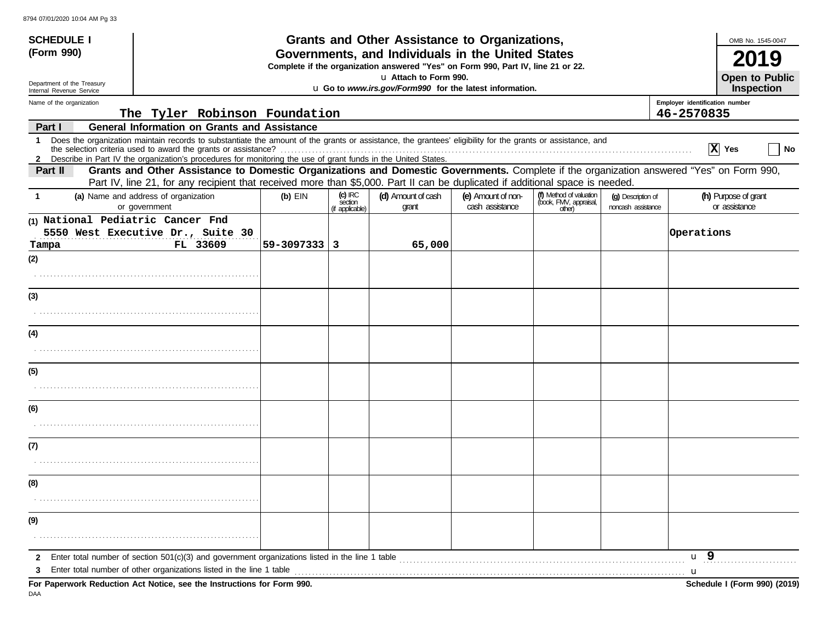| <b>SCHEDULE I</b>                                      |                                                                                                                                                                                                                                                                               |                    |                                         | Grants and Other Assistance to Organizations,                                                                                         |                                       |                                                             |                                          |                                              | OMB No. 1545-0047                          |
|--------------------------------------------------------|-------------------------------------------------------------------------------------------------------------------------------------------------------------------------------------------------------------------------------------------------------------------------------|--------------------|-----------------------------------------|---------------------------------------------------------------------------------------------------------------------------------------|---------------------------------------|-------------------------------------------------------------|------------------------------------------|----------------------------------------------|--------------------------------------------|
| (Form 990)                                             |                                                                                                                                                                                                                                                                               |                    |                                         | Governments, and Individuals in the United States<br>Complete if the organization answered "Yes" on Form 990, Part IV, line 21 or 22. |                                       |                                                             |                                          |                                              |                                            |
| Department of the Treasury<br>Internal Revenue Service |                                                                                                                                                                                                                                                                               |                    |                                         | U Attach to Form 990.<br>LI Go to www.irs.gov/Form990 for the latest information.                                                     |                                       |                                                             |                                          |                                              | <b>Open to Public</b><br><b>Inspection</b> |
| Name of the organization                               | The Tyler Robinson Foundation                                                                                                                                                                                                                                                 |                    |                                         |                                                                                                                                       |                                       |                                                             |                                          | Employer identification number<br>46-2570835 |                                            |
| Part I                                                 | <b>General Information on Grants and Assistance</b>                                                                                                                                                                                                                           |                    |                                         |                                                                                                                                       |                                       |                                                             |                                          |                                              |                                            |
| $\mathbf 1$                                            | Does the organization maintain records to substantiate the amount of the grants or assistance, the grantees' eligibility for the grants or assistance, and<br>2 Describe in Part IV the organization's procedures for monitoring the use of grant funds in the United States. |                    |                                         |                                                                                                                                       |                                       |                                                             |                                          |                                              | $ X $ Yes<br>No                            |
| Part II                                                | Grants and Other Assistance to Domestic Organizations and Domestic Governments. Complete if the organization answered "Yes" on Form 990,<br>Part IV, line 21, for any recipient that received more than \$5,000. Part II can be duplicated if additional space is needed.     |                    |                                         |                                                                                                                                       |                                       |                                                             |                                          |                                              |                                            |
|                                                        | (a) Name and address of organization<br>or government                                                                                                                                                                                                                         | $(b)$ EIN          | $(c)$ IRC<br>section<br>(if applicable) | (d) Amount of cash<br>grant                                                                                                           | (e) Amount of non-<br>cash assistance | (f) Method of valuation<br>(book, FMV, appraisal,<br>other) | (g) Description of<br>noncash assistance |                                              | (h) Purpose of grant<br>or assistance      |
| (1) National Pediatric Cancer Fnd<br>Tampa             | 5550 West Executive Dr., Suite 30<br>FL 33609                                                                                                                                                                                                                                 | $59 - 3097333   3$ |                                         | 65,000                                                                                                                                |                                       |                                                             |                                          | Operations                                   |                                            |
| (2)                                                    |                                                                                                                                                                                                                                                                               |                    |                                         |                                                                                                                                       |                                       |                                                             |                                          |                                              |                                            |
|                                                        |                                                                                                                                                                                                                                                                               |                    |                                         |                                                                                                                                       |                                       |                                                             |                                          |                                              |                                            |
| (3)                                                    |                                                                                                                                                                                                                                                                               |                    |                                         |                                                                                                                                       |                                       |                                                             |                                          |                                              |                                            |
|                                                        |                                                                                                                                                                                                                                                                               |                    |                                         |                                                                                                                                       |                                       |                                                             |                                          |                                              |                                            |
| (4)                                                    |                                                                                                                                                                                                                                                                               |                    |                                         |                                                                                                                                       |                                       |                                                             |                                          |                                              |                                            |
|                                                        |                                                                                                                                                                                                                                                                               |                    |                                         |                                                                                                                                       |                                       |                                                             |                                          |                                              |                                            |
| (5)                                                    |                                                                                                                                                                                                                                                                               |                    |                                         |                                                                                                                                       |                                       |                                                             |                                          |                                              |                                            |
|                                                        |                                                                                                                                                                                                                                                                               |                    |                                         |                                                                                                                                       |                                       |                                                             |                                          |                                              |                                            |
| (6)                                                    |                                                                                                                                                                                                                                                                               |                    |                                         |                                                                                                                                       |                                       |                                                             |                                          |                                              |                                            |
|                                                        |                                                                                                                                                                                                                                                                               |                    |                                         |                                                                                                                                       |                                       |                                                             |                                          |                                              |                                            |
| (7)                                                    |                                                                                                                                                                                                                                                                               |                    |                                         |                                                                                                                                       |                                       |                                                             |                                          |                                              |                                            |
|                                                        |                                                                                                                                                                                                                                                                               |                    |                                         |                                                                                                                                       |                                       |                                                             |                                          |                                              |                                            |
| (8)                                                    |                                                                                                                                                                                                                                                                               |                    |                                         |                                                                                                                                       |                                       |                                                             |                                          |                                              |                                            |
|                                                        |                                                                                                                                                                                                                                                                               |                    |                                         |                                                                                                                                       |                                       |                                                             |                                          |                                              |                                            |
| (9)                                                    |                                                                                                                                                                                                                                                                               |                    |                                         |                                                                                                                                       |                                       |                                                             |                                          |                                              |                                            |
| 2                                                      | Enter total number of section $501(c)(3)$ and government organizations listed in the line 1 table                                                                                                                                                                             |                    |                                         |                                                                                                                                       |                                       |                                                             |                                          | u 9                                          |                                            |
| 3                                                      | Enter total number of other organizations listed in the line 1 table<br>For Paperwork Reduction Act Notice, see the Instructions for Form 990.                                                                                                                                |                    |                                         |                                                                                                                                       |                                       |                                                             |                                          | u                                            | Schedule I (Form 990) (2019)               |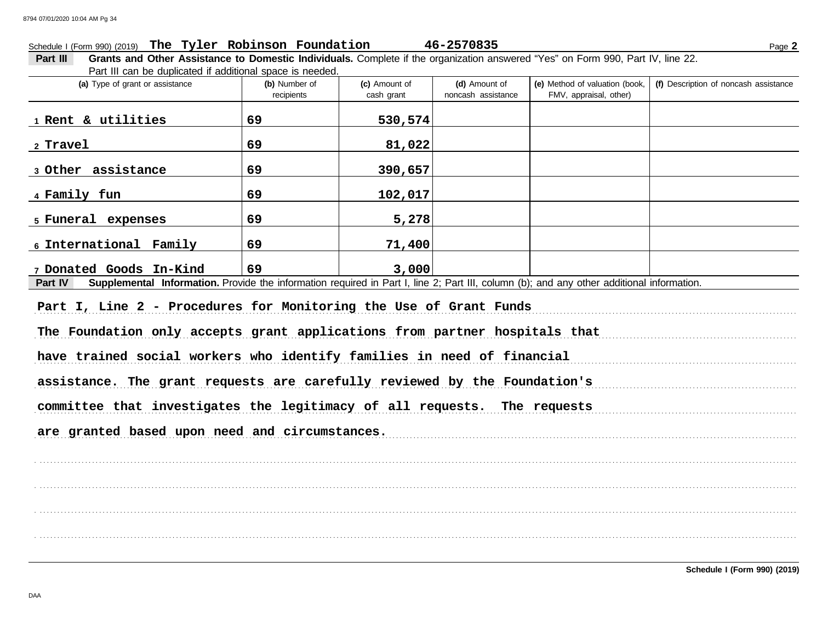## Schedule I (Form 990) (2019) Page **2 The Tyler Robinson Foundation 46-2570835**

**Part III Grants and Other Assistance to Domestic Individuals.** Complete if the organization answered "Yes" on Form 990, Part IV, line 22. Part III can be duplicated if additional space is needed.

| (b) Number of<br>recipients | (c) Amount of<br>cash grant | (d) Amount of<br>noncash assistance | (e) Method of valuation (book,<br>FMV, appraisal, other) | (f) Description of noncash assistance                                                                                                     |
|-----------------------------|-----------------------------|-------------------------------------|----------------------------------------------------------|-------------------------------------------------------------------------------------------------------------------------------------------|
| 69                          | 530,574                     |                                     |                                                          |                                                                                                                                           |
| 69                          | 81,022                      |                                     |                                                          |                                                                                                                                           |
| 69                          | 390,657                     |                                     |                                                          |                                                                                                                                           |
| 69                          | 102,017                     |                                     |                                                          |                                                                                                                                           |
| 69                          | 5,278                       |                                     |                                                          |                                                                                                                                           |
| 69                          | 71,400                      |                                     |                                                          |                                                                                                                                           |
| 69                          | 3,000                       |                                     |                                                          |                                                                                                                                           |
|                             |                             |                                     |                                                          |                                                                                                                                           |
|                             |                             |                                     |                                                          | Supplemental Information. Provide the information required in Part I, line 2; Part III, column (b); and any other additional information. |

Part I, Line 2 - Procedures for Monitoring the Use of Grant Funds

. . . . . . . . . . . . . . . . . . . . . . . . . . . . . . . . . . . . . . . . . . . . . . . . . . . . . . . . . . . . . . . . . . . . . . . . . . . . . . . . . . . . . . . . . . . . . . . . . . . . . . . . . . . . . . . . . . . . . . . . . . . . . . . . . . . . . . . . . . . . . . . . . . . . . . . . . . . . . . . . . . . . . . . . . . . . . . . . . . . . . . . . . . . . . . . . . . . . . . . . . . . . . . . . . . . . . . . . . .

. . . . . . . . . . . . . . . . . . . . . . . . . . . . . . . . . . . . . . . . . . . . . . . . . . . . . . . . . . . . . . . . . . . . . . . . . . . . . . . . . . . . . . . . . . . . . . . . . . . . . . . . . . . . . . . . . . . . . . . . . . . . . . . . . . . . . . . . . . . . . . . . . . . . . . . . . . . . . . . . . . . . . . . . . . . . . . . . . . . . . . . . . . . . . . . . . . . . . . . . . . . . . . . . . . . . . . . . . .

. . . . . . . . . . . . . . . . . . . . . . . . . . . . . . . . . . . . . . . . . . . . . . . . . . . . . . . . . . . . . . . . . . . . . . . . . . . . . . . . . . . . . . . . . . . . . . . . . . . . . . . . . . . . . . . . . . . . . . . . . . . . . . . . . . . . . . . . . . . . . . . . . . . . . . . . . . . . . . . . . . . . . . . . . . . . . . . . . . . . . . . . . . . . . . . . . . . . . . . . . . . . . . . . . . . . . . . . . .

. . . . . . . . . . . . . . . . . . . . . . . . . . . . . . . . . . . . . . . . . . . . . . . . . . . . . . . . . . . . . . . . . . . . . . . . . . . . . . . . . . . . . . . . . . . . . . . . . . . . . . . . . . . . . . . . . . . . . . . . . . . . . . . . . . . . . . . . . . . . . . . . . . . . . . . . . . . . . . . . . . . . . . . . . . . . . . . . . . . . . . . . . . . . . . . . . . . . . . . . . . . . . . . . . . . . . . . . . .

The Foundation only accepts grant applications from partner hospitals that

have trained social workers who identify families in need of financial

assistance. The grant requests are carefully reviewed by the Foundation's

committee that investigates the legitimacy of all requests. The requests

are granted based upon need and circumstances.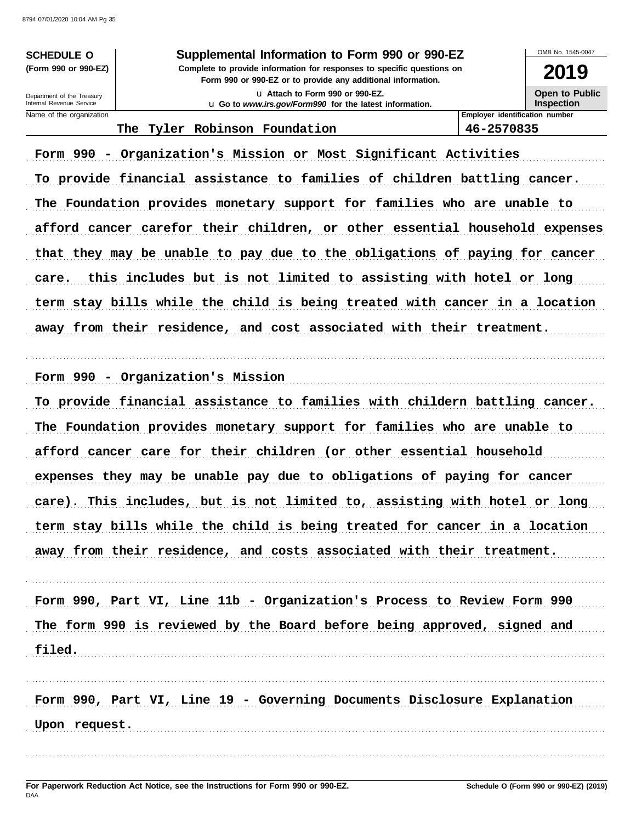**SCHEDULE O** (Form 990 or 990-EZ)

Department of the Treasury Internal Revenue Service

### Supplemental Information to Form 990 or 990-EZ

Complete to provide information for responses to specific questions on Form 990 or 990-EZ or to provide any additional information.

> U Attach to Form 990 or 990-EZ. u Go to www.irs.gov/Form990 for the latest information.

2019 **Open to Public** Inspection

OMB No. 1545-0047

Name of the organization The Tyler Robinson Foundation **Employer identification number** 46-2570835

Form 990 - Organization's Mission or Most Significant Activities To provide financial assistance to families of children battling cancer. The Foundation provides monetary support for families who are unable to afford cancer carefor their children, or other essential household expenses that they may be unable to pay due to the obligations of paying for cancer care. this includes but is not limited to assisting with hotel or long term stay bills while the child is being treated with cancer in a location away from their residence, and cost associated with their treatment.

Form 990 - Organization's Mission

To provide financial assistance to families with childern battling cancer. The Foundation provides monetary support for families who are unable to afford cancer care for their children (or other essential household expenses they may be unable pay due to obligations of paying for cancer care). This includes, but is not limited to, assisting with hotel or long term stay bills while the child is being treated for cancer in a location away from their residence, and costs associated with their treatment.

Form 990, Part VI, Line 11b - Organization's Process to Review Form 990 The form 990 is reviewed by the Board before being approved, signed and

filed.

Form 990, Part VI, Line 19 - Governing Documents Disclosure Explanation Upon request.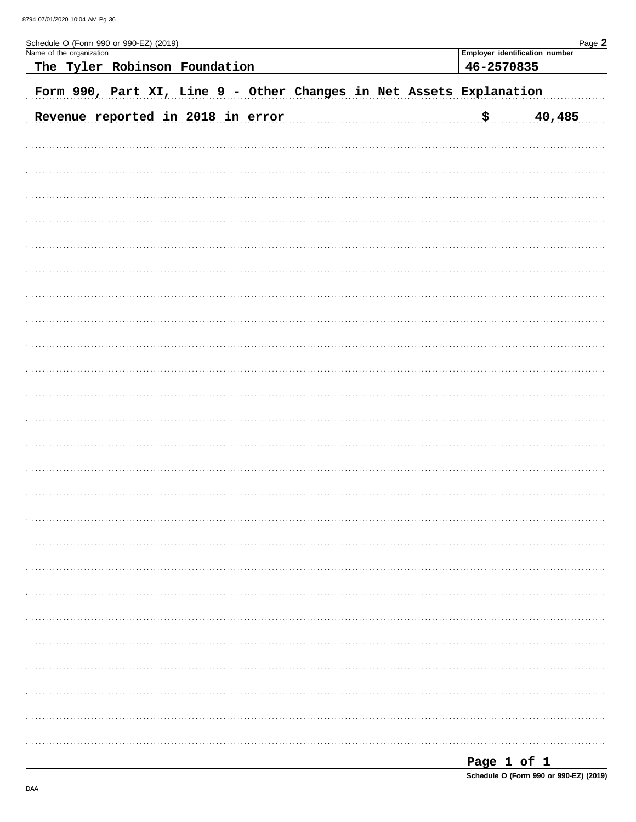| Name of the organization<br>Employer identification number<br>46-2570835<br>The Tyler Robinson Foundation<br>Form 990, Part XI, Line 9 - Other Changes in Net Assets Explanation<br>Revenue reported in 2018 in error<br>40,485<br>\$ |  |
|---------------------------------------------------------------------------------------------------------------------------------------------------------------------------------------------------------------------------------------|--|
|                                                                                                                                                                                                                                       |  |
|                                                                                                                                                                                                                                       |  |
|                                                                                                                                                                                                                                       |  |
|                                                                                                                                                                                                                                       |  |
|                                                                                                                                                                                                                                       |  |
|                                                                                                                                                                                                                                       |  |
|                                                                                                                                                                                                                                       |  |
|                                                                                                                                                                                                                                       |  |
|                                                                                                                                                                                                                                       |  |
|                                                                                                                                                                                                                                       |  |
|                                                                                                                                                                                                                                       |  |
|                                                                                                                                                                                                                                       |  |
|                                                                                                                                                                                                                                       |  |
|                                                                                                                                                                                                                                       |  |
|                                                                                                                                                                                                                                       |  |
|                                                                                                                                                                                                                                       |  |
|                                                                                                                                                                                                                                       |  |
|                                                                                                                                                                                                                                       |  |
|                                                                                                                                                                                                                                       |  |
|                                                                                                                                                                                                                                       |  |
|                                                                                                                                                                                                                                       |  |
|                                                                                                                                                                                                                                       |  |
|                                                                                                                                                                                                                                       |  |
|                                                                                                                                                                                                                                       |  |
|                                                                                                                                                                                                                                       |  |
|                                                                                                                                                                                                                                       |  |
|                                                                                                                                                                                                                                       |  |
|                                                                                                                                                                                                                                       |  |
|                                                                                                                                                                                                                                       |  |
|                                                                                                                                                                                                                                       |  |
|                                                                                                                                                                                                                                       |  |
|                                                                                                                                                                                                                                       |  |
|                                                                                                                                                                                                                                       |  |

Schedule O (Form 990 or 990-EZ) (2019)